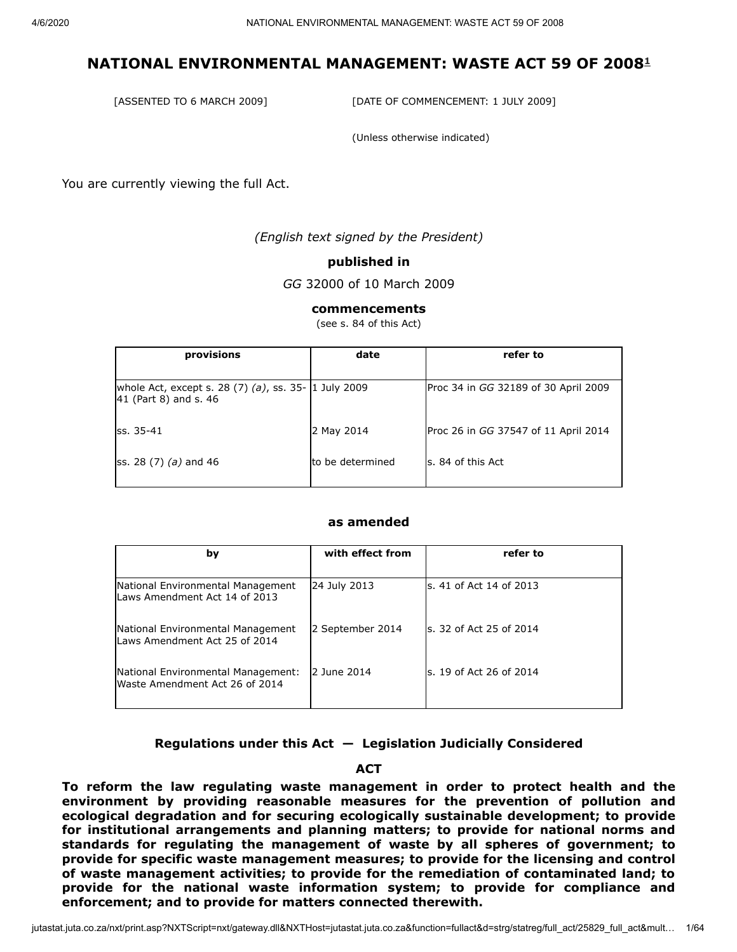[ASSENTED TO 6 MARCH 2009] [DATE OF COMMENCEMENT: 1 JULY 2009]

(Unless otherwise indicated)

You are currently viewing the full Act.

*(English text signed by the President)*

#### **published in**

*GG* 32000 of 10 March 2009

#### **commencements**

(see s. 84 of this Act)

| provisions                                                                            | date              | refer to                             |
|---------------------------------------------------------------------------------------|-------------------|--------------------------------------|
| whole Act, except s. 28 $(7)$ $(a)$ , ss. 35- 1 July 2009<br>$ 41$ (Part 8) and s. 46 |                   | Proc 34 in GG 32189 of 30 April 2009 |
| lss. 35-41                                                                            | 2 May 2014        | Proc 26 in GG 37547 of 11 April 2014 |
| ss. 28 $(7)$ $(a)$ and 46                                                             | Ito be determined | s. 84 of this Act                    |
|                                                                                       |                   |                                      |

#### **as amended**

| by                                                                   | with effect from | refer to                 |
|----------------------------------------------------------------------|------------------|--------------------------|
| National Environmental Management<br>Laws Amendment Act 14 of 2013   | 24 July 2013     | ls. 41 of Act 14 of 2013 |
| National Environmental Management<br>Laws Amendment Act 25 of 2014   | 2 September 2014 | ls. 32 of Act 25 of 2014 |
| National Environmental Management:<br>Waste Amendment Act 26 of 2014 | 2 June 2014      | ls. 19 of Act 26 of 2014 |
|                                                                      |                  |                          |

#### **Regulations under this Act — Legislation Judicially Considered**

#### **ACT**

**To reform the law regulating waste management in order to protect health and the environment by providing reasonable measures for the prevention of pollution and ecological degradation and for securing ecologically sustainable development; to provide for institutional arrangements and planning matters; to provide for national norms and standards for regulating the management of waste by all spheres of government; to provide for specific waste management measures; to provide for the licensing and control of waste management activities; to provide for the remediation of contaminated land; to provide for the national waste information system; to provide for compliance and enforcement; and to provide for matters connected therewith.**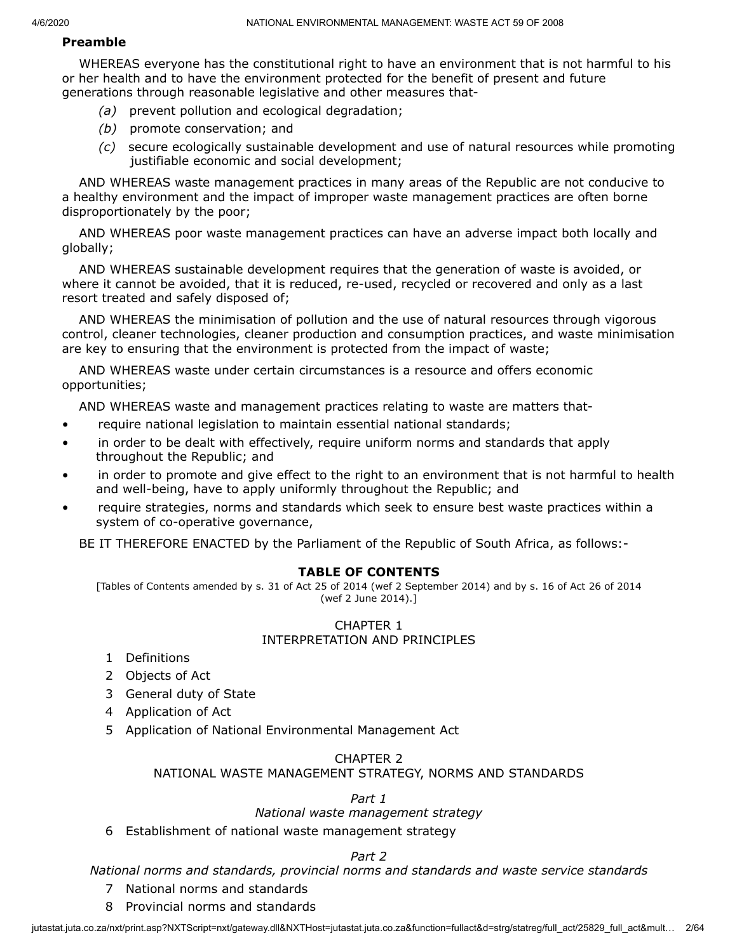#### **Preamble**

WHEREAS everyone has the constitutional right to have an environment that is not harmful to his or her health and to have the environment protected for the benefit of present and future generations through reasonable legislative and other measures that-

- *(a)* prevent pollution and ecological degradation;
- *(b)* promote conservation; and
- *(c)* secure ecologically sustainable development and use of natural resources while promoting justifiable economic and social development;

AND WHEREAS waste management practices in many areas of the Republic are not conducive to a healthy environment and the impact of improper waste management practices are often borne disproportionately by the poor;

AND WHEREAS poor waste management practices can have an adverse impact both locally and globally;

AND WHEREAS sustainable development requires that the generation of waste is avoided, or where it cannot be avoided, that it is reduced, re-used, recycled or recovered and only as a last resort treated and safely disposed of;

AND WHEREAS the minimisation of pollution and the use of natural resources through vigorous control, cleaner technologies, cleaner production and consumption practices, and waste minimisation are key to ensuring that the environment is protected from the impact of waste;

AND WHEREAS waste under certain circumstances is a resource and offers economic opportunities;

AND WHEREAS waste and management practices relating to waste are matters that-

- require national legislation to maintain essential national standards;
- in order to be dealt with effectively, require uniform norms and standards that apply throughout the Republic; and
- in order to promote and give effect to the right to an environment that is not harmful to health and well-being, have to apply uniformly throughout the Republic; and
- require strategies, norms and standards which seek to ensure best waste practices within a system of co-operative governance,

BE IT THEREFORE ENACTED by the Parliament of the Republic of South Africa, as follows:-

#### **TABLE OF CONTENTS**

[Tables of Contents amended by s. 31 of Act 25 of 2014 (wef 2 September 2014) and by s. 16 of Act 26 of 2014 (wef 2 June 2014).]

#### CHAPTER 1 INTERPRETATION AND PRINCIPLES

- 1 Definitions
- 2 Objects of Act
- 3 General duty of State
- 4 Application of Act
- 5 Application of National Environmental Management Act

#### CHAPTER 2

## NATIONAL WASTE MANAGEMENT STRATEGY, NORMS AND STANDARDS

#### *Part 1*

#### *National waste management strategy*

6 Establishment of national waste management strategy

#### *Part 2*

#### *National norms and standards, provincial norms and standards and waste service standards*

- 7 National norms and standards
- 8 Provincial norms and standards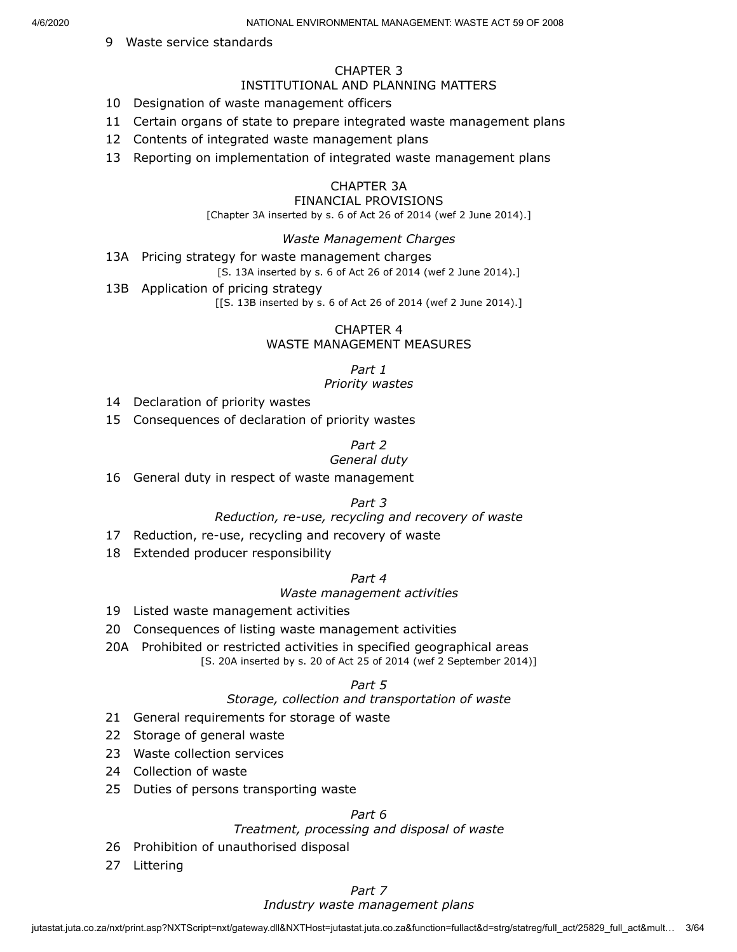#### 9 Waste service standards

#### CHAPTER 3

#### INSTITUTIONAL AND PLANNING MATTERS

- 10 Designation of waste management officers
- 11 Certain organs of state to prepare integrated waste management plans
- 12 Contents of integrated waste management plans
- 13 Reporting on implementation of integrated waste management plans

#### CHAPTER 3A

#### FINANCIAL PROVISIONS

[Chapter 3A inserted by s. 6 of Act 26 of 2014 (wef 2 June 2014).]

#### *Waste Management Charges*

13A Pricing strategy for waste management charges

[S. 13A inserted by s. 6 of Act 26 of 2014 (wef 2 June 2014).]

13B Application of pricing strategy

[[S. 13B inserted by s. 6 of Act 26 of 2014 (wef 2 June 2014).]

#### CHAPTER 4 WASTE MANAGEMENT MEASURES

*Part 1*

#### *Priority wastes*

- 14 Declaration of priority wastes
- 15 Consequences of declaration of priority wastes

#### *Part 2*

#### *General duty*

16 General duty in respect of waste management

#### *Part 3*

#### *Reduction, re-use, recycling and recovery of waste*

- 17 Reduction, re-use, recycling and recovery of waste
- 18 Extended producer responsibility

#### *Part 4*

#### *Waste management activities*

- 19 Listed waste management activities
- 20 Consequences of listing waste management activities
- 20A Prohibited or restricted activities in specified geographical areas [S. 20A inserted by s. 20 of Act 25 of 2014 (wef 2 September 2014)]

#### *Part 5*

#### *Storage, collection and transportation of waste*

- 21 General requirements for storage of waste
- 22 Storage of general waste
- 23 Waste collection services
- 24 Collection of waste
- 25 Duties of persons transporting waste

*Part 6*

# *Treatment, processing and disposal of waste*

- 26 Prohibition of unauthorised disposal
- 27 Littering

#### *Part 7*

#### *Industry waste management plans*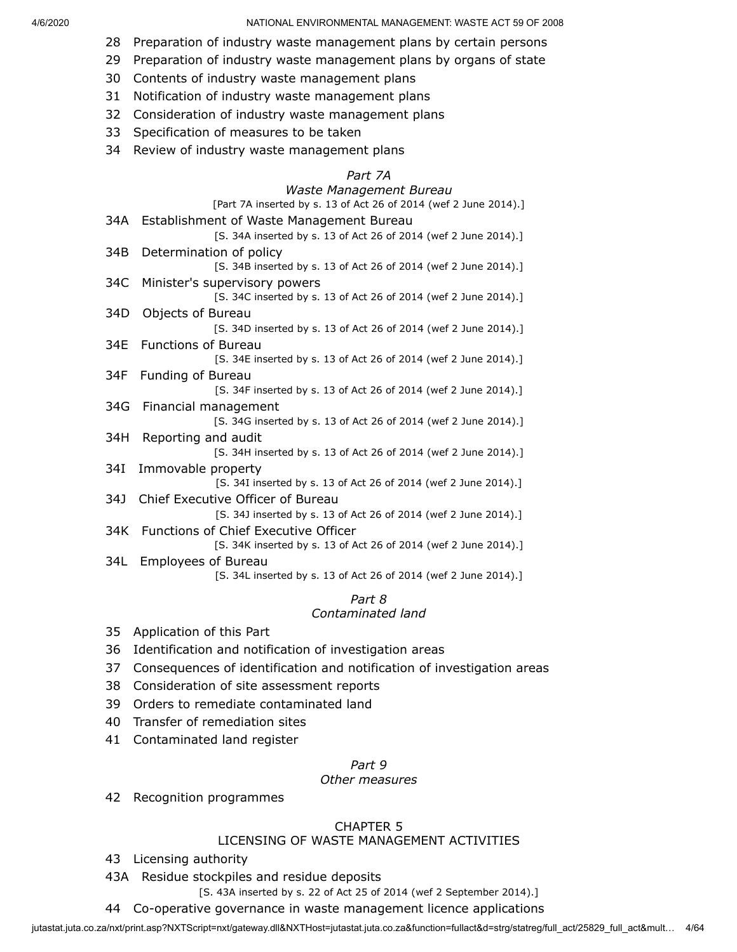- 28 Preparation of industry waste management plans by certain persons
- 29 Preparation of industry waste management plans by organs of state
- 30 Contents of industry waste management plans
- 31 Notification of industry waste management plans
- 32 Consideration of industry waste management plans
- 33 Specification of measures to be taken
- 34 Review of industry waste management plans

#### *Part 7A*

## *Waste Management Bureau*

|     | wasic management Darcaa                                          |
|-----|------------------------------------------------------------------|
|     | [Part 7A inserted by s. 13 of Act 26 of 2014 (wef 2 June 2014).] |
| 34A | Establishment of Waste Management Bureau                         |
|     | [S. 34A inserted by s. 13 of Act 26 of 2014 (wef 2 June 2014).]  |
| 34B | Determination of policy                                          |
|     | [S. 34B inserted by s. 13 of Act 26 of 2014 (wef 2 June 2014).]  |
| 34C | Minister's supervisory powers                                    |
|     | [S. 34C inserted by s. 13 of Act 26 of 2014 (wef 2 June 2014).]  |
| 34D | Objects of Bureau                                                |
|     | [S. 34D inserted by s. 13 of Act 26 of 2014 (wef 2 June 2014).]  |
| 34E | <b>Functions of Bureau</b>                                       |
|     | [S. 34E inserted by s. 13 of Act 26 of 2014 (wef 2 June 2014).]  |
| 34F | Funding of Bureau                                                |
|     | [S. 34F inserted by s. 13 of Act 26 of 2014 (wef 2 June 2014).]  |
| 34G | Financial management                                             |
|     | [S. 34G inserted by s. 13 of Act 26 of 2014 (wef 2 June 2014).]  |
| 34H | Reporting and audit                                              |
|     | [S. 34H inserted by s. 13 of Act 26 of 2014 (wef 2 June 2014).]  |
| 34I | Immovable property                                               |
|     | [S. 34I inserted by s. 13 of Act 26 of 2014 (wef 2 June 2014).]  |
| 34J | Chief Executive Officer of Bureau                                |
|     | [S. 34J inserted by s. 13 of Act 26 of 2014 (wef 2 June 2014).]  |
| 34K | <b>Functions of Chief Executive Officer</b>                      |
|     | [S. 34K inserted by s. 13 of Act 26 of 2014 (wef 2 June 2014).]  |
| 34L | <b>Employees of Bureau</b>                                       |
|     | [S. 34L inserted by s. 13 of Act 26 of 2014 (wef 2 June 2014).]  |
|     |                                                                  |

*Part 8*

# *Contaminated land*

- 35 Application of this Part
- 36 Identification and notification of investigation areas
- 37 Consequences of identification and notification of investigation areas
- 38 Consideration of site assessment reports
- 39 Orders to remediate contaminated land
- 40 Transfer of remediation sites
- 41 Contaminated land register

#### *Part 9*

## *Other measures*

42 Recognition programmes

# CHAPTER 5

## LICENSING OF WASTE MANAGEMENT ACTIVITIES

- 43 Licensing authority
- 43A Residue stockpiles and residue deposits

[S. 43A inserted by s. 22 of Act 25 of 2014 (wef 2 September 2014).]

44 Co-operative governance in waste management licence applications

jutastat.juta.co.za/nxt/print.asp?NXTScript=nxt/gateway.dll&NXTHost=jutastat.juta.co.za&function=fullact&d=strg/statreg/full\_act/25829\_full\_act&mult... 4/64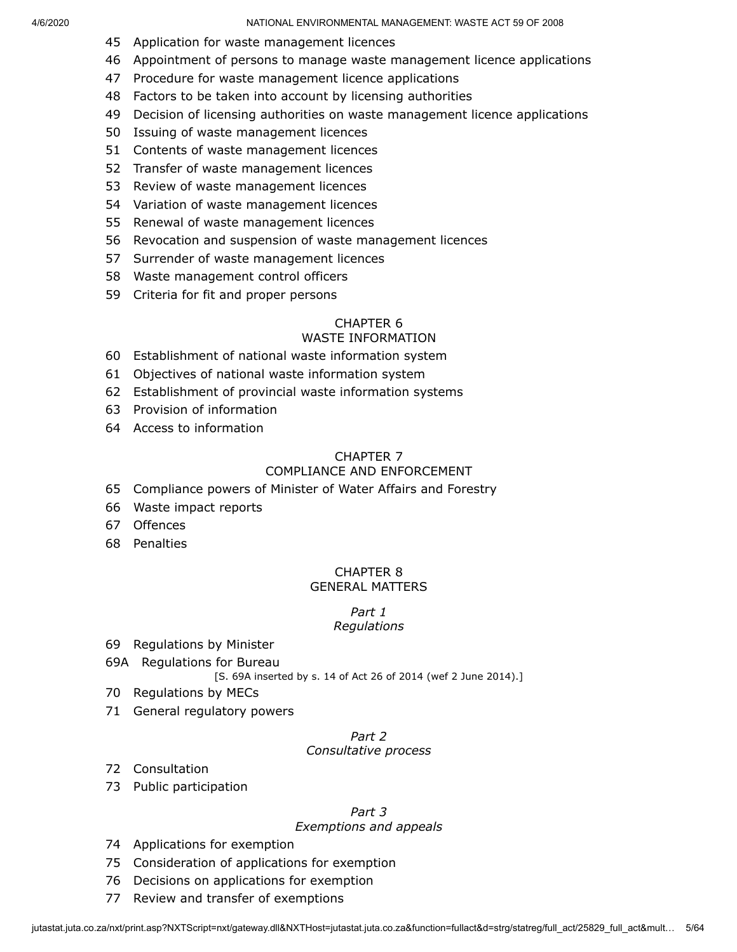- Application for waste management licences
- Appointment of persons to manage waste management licence applications
- Procedure for waste management licence applications
- Factors to be taken into account by licensing authorities
- Decision of licensing authorities on waste management licence applications
- Issuing of waste management licences
- Contents of waste management licences
- Transfer of waste management licences
- Review of waste management licences
- Variation of waste management licences
- Renewal of waste management licences
- Revocation and suspension of waste management licences
- Surrender of waste management licences
- Waste management control officers
- Criteria for fit and proper persons

# CHAPTER 6

# WASTE INFORMATION

- Establishment of national waste information system
- Objectives of national waste information system
- Establishment of provincial waste information systems
- Provision of information
- Access to information

#### CHAPTER 7

## COMPLIANCE AND ENFORCEMENT

- Compliance powers of Minister of Water Affairs and Forestry
- Waste impact reports
- Offences
- Penalties

# CHAPTER 8

# GENERAL MATTERS

#### *Part 1 Regulations*

- Regulations by Minister
- 69A Regulations for Bureau

[S. 69A inserted by s. 14 of Act 26 of 2014 (wef 2 June 2014).]

- Regulations by MECs
- General regulatory powers

#### *Part 2 Consultative process*

- Consultation
- Public participation

#### *Part 3*

#### *Exemptions and appeals*

- Applications for exemption
- Consideration of applications for exemption
- Decisions on applications for exemption
- Review and transfer of exemptions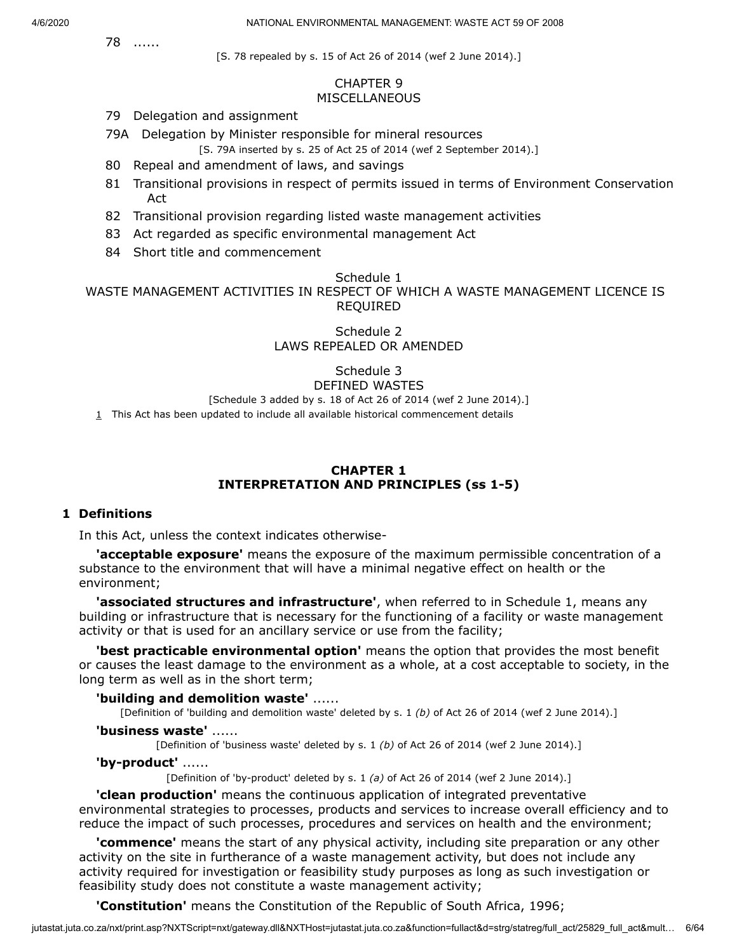78 ......

[S. 78 repealed by s. 15 of Act 26 of 2014 (wef 2 June 2014).]

### CHAPTER 9 **MISCELLANEOUS**

- 79 Delegation and assignment
- 79A Delegation by Minister responsible for mineral resources

[S. 79A inserted by s. 25 of Act 25 of 2014 (wef 2 September 2014).]

- 80 Repeal and amendment of laws, and savings
- 81 Transitional provisions in respect of permits issued in terms of Environment Conservation Act
- 82 Transitional provision regarding listed waste management activities
- 83 Act regarded as specific environmental management Act
- 84 Short title and commencement

## Schedule 1

WASTE MANAGEMENT ACTIVITIES IN RESPECT OF WHICH A WASTE MANAGEMENT LICENCE IS REQUIRED

## Schedule 2 LAWS REPEALED OR AMENDED

Schedule 3 DEFINED WASTES

[Schedule 3 added by s. 18 of Act 26 of 2014 (wef 2 June 2014).]

<span id="page-5-0"></span> $1$  This Act has been updated to include all available historical commencement details

### **CHAPTER 1 INTERPRETATION AND PRINCIPLES (ss 1-5)**

## **1 Definitions**

In this Act, unless the context indicates otherwise-

**'acceptable exposure'** means the exposure of the maximum permissible concentration of a substance to the environment that will have a minimal negative effect on health or the environment;

**'associated structures and infrastructure'**, when referred to in Schedule 1, means any building or infrastructure that is necessary for the functioning of a facility or waste management activity or that is used for an ancillary service or use from the facility;

**'best practicable environmental option'** means the option that provides the most benefit or causes the least damage to the environment as a whole, at a cost acceptable to society, in the long term as well as in the short term;

#### **'building and demolition waste'** ......

[Definition of 'building and demolition waste' deleted by s. 1 *(b)* of Act 26 of 2014 (wef 2 June 2014).]

#### **'business waste'** ......

[Definition of 'business waste' deleted by s. 1 *(b)* of Act 26 of 2014 (wef 2 June 2014).]

#### **'by-product'** ......

[Definition of 'by-product' deleted by s. 1 *(a)* of Act 26 of 2014 (wef 2 June 2014).]

**'clean production'** means the continuous application of integrated preventative environmental strategies to processes, products and services to increase overall efficiency and to reduce the impact of such processes, procedures and services on health and the environment;

**'commence'** means the start of any physical activity, including site preparation or any other activity on the site in furtherance of a waste management activity, but does not include any activity required for investigation or feasibility study purposes as long as such investigation or feasibility study does not constitute a waste management activity;

**'Constitution'** means the Constitution of the Republic of South Africa, 1996;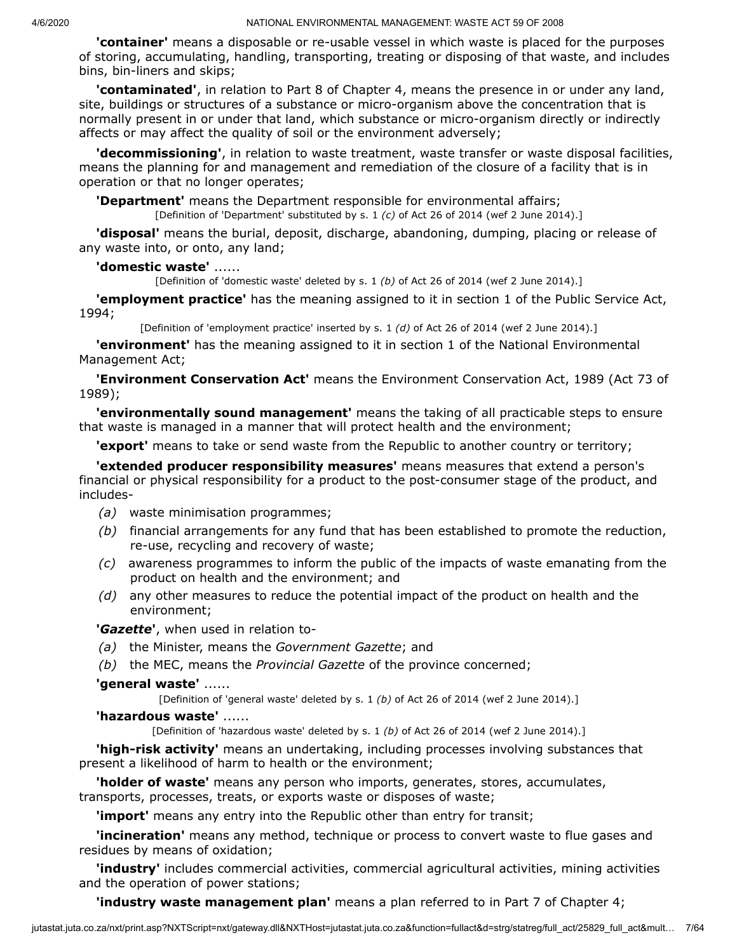**'container'** means a disposable or re-usable vessel in which waste is placed for the purposes of storing, accumulating, handling, transporting, treating or disposing of that waste, and includes bins, bin-liners and skips;

**'contaminated'**, in relation to Part 8 of Chapter 4, means the presence in or under any land, site, buildings or structures of a substance or micro-organism above the concentration that is normally present in or under that land, which substance or micro-organism directly or indirectly affects or may affect the quality of soil or the environment adversely;

**'decommissioning'**, in relation to waste treatment, waste transfer or waste disposal facilities, means the planning for and management and remediation of the closure of a facility that is in operation or that no longer operates;

**'Department'** means the Department responsible for environmental affairs;

[Definition of 'Department' substituted by s. 1 *(c)* of Act 26 of 2014 (wef 2 June 2014).]

**'disposal'** means the burial, deposit, discharge, abandoning, dumping, placing or release of any waste into, or onto, any land;

## **'domestic waste'** ......

[Definition of 'domestic waste' deleted by s. 1 *(b)* of Act 26 of 2014 (wef 2 June 2014).]

**'employment practice'** has the meaning assigned to it in section 1 of the Public Service Act, 1994;

[Definition of 'employment practice' inserted by s. 1 *(d)* of Act 26 of 2014 (wef 2 June 2014).]

**'environment'** has the meaning assigned to it in section 1 of the National Environmental Management Act;

**'Environment Conservation Act'** means the Environment Conservation Act, 1989 (Act 73 of 1989);

**'environmentally sound management'** means the taking of all practicable steps to ensure that waste is managed in a manner that will protect health and the environment;

**'export'** means to take or send waste from the Republic to another country or territory;

**'extended producer responsibility measures'** means measures that extend a person's financial or physical responsibility for a product to the post-consumer stage of the product, and includes-

- *(a)* waste minimisation programmes;
- *(b)* financial arrangements for any fund that has been established to promote the reduction, re-use, recycling and recovery of waste;
- *(c)* awareness programmes to inform the public of the impacts of waste emanating from the product on health and the environment; and
- *(d)* any other measures to reduce the potential impact of the product on health and the environment;

**'***Gazette***'**, when used in relation to-

- *(a)* the Minister, means the *Government Gazette*; and
- *(b)* the MEC, means the *Provincial Gazette* of the province concerned;

## **'general waste'** ......

[Definition of 'general waste' deleted by s. 1 *(b)* of Act 26 of 2014 (wef 2 June 2014).]

#### **'hazardous waste'** ......

[Definition of 'hazardous waste' deleted by s. 1 *(b)* of Act 26 of 2014 (wef 2 June 2014).]

**'high-risk activity'** means an undertaking, including processes involving substances that present a likelihood of harm to health or the environment;

**'holder of waste'** means any person who imports, generates, stores, accumulates, transports, processes, treats, or exports waste or disposes of waste;

**'import'** means any entry into the Republic other than entry for transit;

**'incineration'** means any method, technique or process to convert waste to flue gases and residues by means of oxidation;

**'industry'** includes commercial activities, commercial agricultural activities, mining activities and the operation of power stations;

**'industry waste management plan'** means a plan referred to in Part 7 of Chapter 4;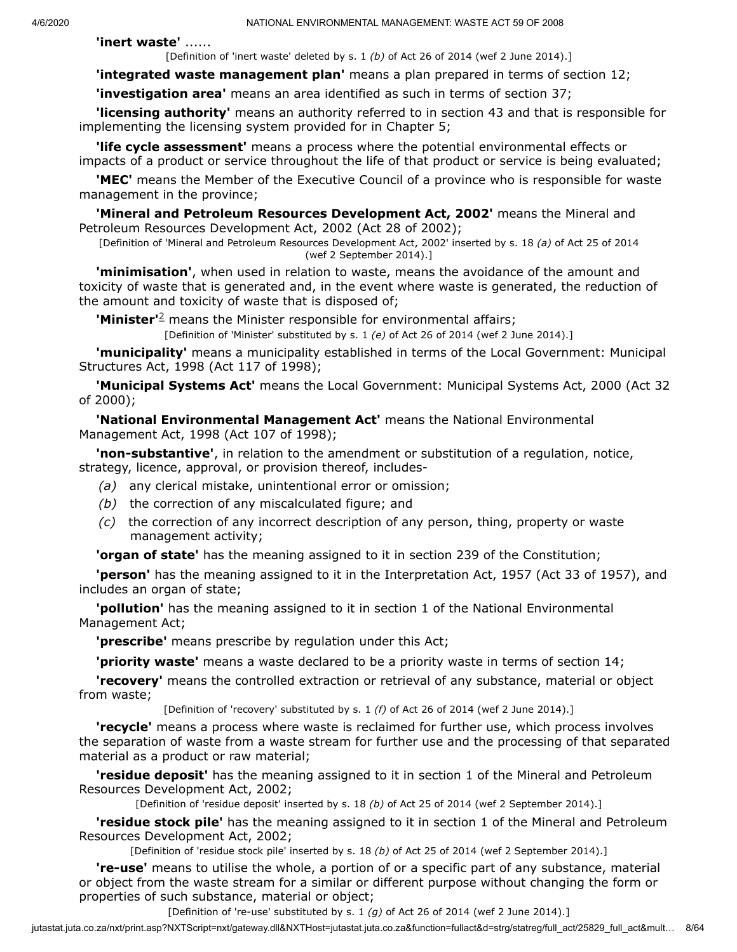**'inert waste'** ......

[Definition of 'inert waste' deleted by s. 1 *(b)* of Act 26 of 2014 (wef 2 June 2014).]

**'integrated waste management plan'** means a plan prepared in terms of section 12;

**'investigation area'** means an area identified as such in terms of section 37;

**'licensing authority'** means an authority referred to in section 43 and that is responsible for implementing the licensing system provided for in Chapter 5;

**'life cycle assessment'** means a process where the potential environmental effects or impacts of a product or service throughout the life of that product or service is being evaluated;

**'MEC'** means the Member of the Executive Council of a province who is responsible for waste management in the province;

**'Mineral and Petroleum Resources Development Act, 2002'** means the Mineral and Petroleum Resources Development Act, 2002 (Act 28 of 2002);

[Definition of 'Mineral and Petroleum Resources Development Act, 2002' inserted by s. 18 *(a)* of Act 25 of 2014 (wef 2 September 2014).]

**'minimisation'**, when used in relation to waste, means the avoidance of the amount and toxicity of waste that is generated and, in the event where waste is generated, the reduction of the amount and toxicity of waste that is disposed of;

**'Minister'**<sup>[2](#page-9-0)</sup> means the Minister responsible for environmental affairs;

[Definition of 'Minister' substituted by s. 1 *(e)* of Act 26 of 2014 (wef 2 June 2014).]

**'municipality'** means a municipality established in terms of the Local Government: Municipal Structures Act, 1998 (Act 117 of 1998);

**'Municipal Systems Act'** means the Local Government: Municipal Systems Act, 2000 (Act 32 of 2000);

**'National Environmental Management Act'** means the National Environmental Management Act, 1998 (Act 107 of 1998);

**'non-substantive'**, in relation to the amendment or substitution of a regulation, notice, strategy, licence, approval, or provision thereof, includes-

- *(a)* any clerical mistake, unintentional error or omission;
- *(b)* the correction of any miscalculated figure; and
- *(c)* the correction of any incorrect description of any person, thing, property or waste management activity;

**'organ of state'** has the meaning assigned to it in section 239 of the Constitution;

**'person'** has the meaning assigned to it in the Interpretation Act, 1957 (Act 33 of 1957), and includes an organ of state;

**'pollution'** has the meaning assigned to it in section 1 of the National Environmental Management Act;

**'prescribe'** means prescribe by regulation under this Act;

**'priority waste'** means a waste declared to be a priority waste in terms of section 14;

**'recovery'** means the controlled extraction or retrieval of any substance, material or object from waste;

[Definition of 'recovery' substituted by s. 1 *(f)* of Act 26 of 2014 (wef 2 June 2014).]

**'recycle'** means a process where waste is reclaimed for further use, which process involves the separation of waste from a waste stream for further use and the processing of that separated material as a product or raw material;

**'residue deposit'** has the meaning assigned to it in section 1 of the Mineral and Petroleum Resources Development Act, 2002;

[Definition of 'residue deposit' inserted by s. 18 *(b)* of Act 25 of 2014 (wef 2 September 2014).]

**'residue stock pile'** has the meaning assigned to it in section 1 of the Mineral and Petroleum Resources Development Act, 2002;

[Definition of 'residue stock pile' inserted by s. 18 *(b)* of Act 25 of 2014 (wef 2 September 2014).]

**'re-use'** means to utilise the whole, a portion of or a specific part of any substance, material or object from the waste stream for a similar or different purpose without changing the form or properties of such substance, material or object;

[Definition of 're-use' substituted by s. 1 *(g)* of Act 26 of 2014 (wef 2 June 2014).]

jutastat.juta.co.za/nxt/print.asp?NXTScript=nxt/gateway.dll&NXTHost=jutastat.juta.co.za&function=fullact&d=strg/statreg/full\_act/25829\_full\_act&mult… 8/64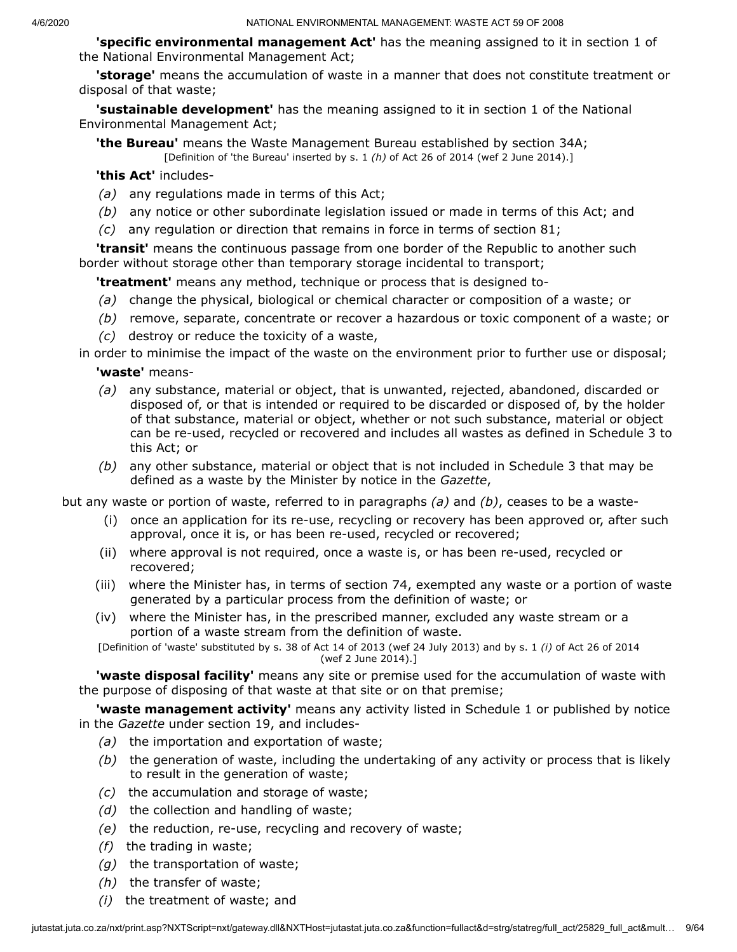**'specific environmental management Act'** has the meaning assigned to it in section 1 of the National Environmental Management Act;

**'storage'** means the accumulation of waste in a manner that does not constitute treatment or disposal of that waste;

**'sustainable development'** has the meaning assigned to it in section 1 of the National Environmental Management Act;

**'the Bureau'** means the Waste Management Bureau established by section 34A; [Definition of 'the Bureau' inserted by s. 1 *(h)* of Act 26 of 2014 (wef 2 June 2014).]

**'this Act'** includes-

- *(a)* any regulations made in terms of this Act;
- *(b)* any notice or other subordinate legislation issued or made in terms of this Act; and
- *(c)* any regulation or direction that remains in force in terms of section 81;

**'transit'** means the continuous passage from one border of the Republic to another such border without storage other than temporary storage incidental to transport;

**'treatment'** means any method, technique or process that is designed to-

- *(a)* change the physical, biological or chemical character or composition of a waste; or
- *(b)* remove, separate, concentrate or recover a hazardous or toxic component of a waste; or
- *(c)* destroy or reduce the toxicity of a waste,

in order to minimise the impact of the waste on the environment prior to further use or disposal; **'waste'** means-

- *(a)* any substance, material or object, that is unwanted, rejected, abandoned, discarded or disposed of, or that is intended or required to be discarded or disposed of, by the holder of that substance, material or object, whether or not such substance, material or object can be re-used, recycled or recovered and includes all wastes as defined in Schedule 3 to this Act; or
- *(b)* any other substance, material or object that is not included in Schedule 3 that may be defined as a waste by the Minister by notice in the *Gazette*,

but any waste or portion of waste, referred to in paragraphs *(a)* and *(b)*, ceases to be a waste-

- (i) once an application for its re-use, recycling or recovery has been approved or, after such approval, once it is, or has been re-used, recycled or recovered;
- (ii) where approval is not required, once a waste is, or has been re-used, recycled or recovered;
- (iii) where the Minister has, in terms of section 74, exempted any waste or a portion of waste generated by a particular process from the definition of waste; or
- (iv) where the Minister has, in the prescribed manner, excluded any waste stream or a portion of a waste stream from the definition of waste.

[Definition of 'waste' substituted by s. 38 of Act 14 of 2013 (wef 24 July 2013) and by s. 1 *(i)* of Act 26 of 2014 (wef 2 June 2014).]

**'waste disposal facility'** means any site or premise used for the accumulation of waste with the purpose of disposing of that waste at that site or on that premise;

**'waste management activity'** means any activity listed in Schedule 1 or published by notice in the *Gazette* under section 19, and includes-

- *(a)* the importation and exportation of waste;
- *(b)* the generation of waste, including the undertaking of any activity or process that is likely to result in the generation of waste;
- *(c)* the accumulation and storage of waste;
- *(d)* the collection and handling of waste;
- *(e)* the reduction, re-use, recycling and recovery of waste;
- *(f)* the trading in waste;
- *(g)* the transportation of waste;
- *(h)* the transfer of waste;
- *(i)* the treatment of waste; and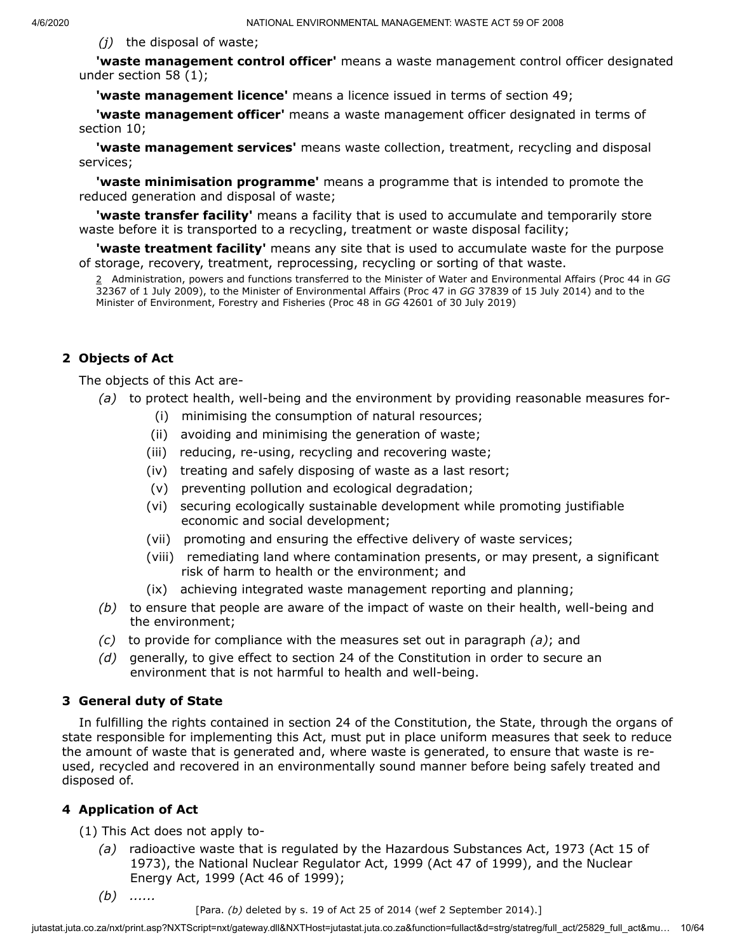*(j)* the disposal of waste;

**'waste management control officer'** means a waste management control officer designated under section 58 (1);

**'waste management licence'** means a licence issued in terms of section 49;

**'waste management officer'** means a waste management officer designated in terms of section 10;

**'waste management services'** means waste collection, treatment, recycling and disposal services;

**'waste minimisation programme'** means a programme that is intended to promote the reduced generation and disposal of waste;

**'waste transfer facility'** means a facility that is used to accumulate and temporarily store waste before it is transported to a recycling, treatment or waste disposal facility;

<span id="page-9-0"></span>**'waste treatment facility'** means any site that is used to accumulate waste for the purpose of storage, recovery, treatment, reprocessing, recycling or sorting of that waste.

2 Administration, powers and functions transferred to the Minister of Water and Environmental Affairs (Proc 44 in *GG* 32367 of 1 July 2009), to the Minister of Environmental Affairs (Proc 47 in *GG* 37839 of 15 July 2014) and to the Minister of Environment, Forestry and Fisheries (Proc 48 in *GG* 42601 of 30 July 2019)

## **2 Objects of Act**

The objects of this Act are-

- *(a)* to protect health, well-being and the environment by providing reasonable measures for-
	- (i) minimising the consumption of natural resources;
	- (ii) avoiding and minimising the generation of waste;
	- (iii) reducing, re-using, recycling and recovering waste;
	- (iv) treating and safely disposing of waste as a last resort;
	- (v) preventing pollution and ecological degradation;
	- (vi) securing ecologically sustainable development while promoting justifiable economic and social development;
	- (vii) promoting and ensuring the effective delivery of waste services;
	- (viii) remediating land where contamination presents, or may present, a significant risk of harm to health or the environment; and
	- (ix) achieving integrated waste management reporting and planning;
- *(b)* to ensure that people are aware of the impact of waste on their health, well-being and the environment;
- *(c)* to provide for compliance with the measures set out in paragraph *(a)*; and
- *(d)* generally, to give effect to section 24 of the Constitution in order to secure an environment that is not harmful to health and well-being.

## **3 General duty of State**

In fulfilling the rights contained in section 24 of the Constitution, the State, through the organs of state responsible for implementing this Act, must put in place uniform measures that seek to reduce the amount of waste that is generated and, where waste is generated, to ensure that waste is reused, recycled and recovered in an environmentally sound manner before being safely treated and disposed of.

## **4 Application of Act**

(1) This Act does not apply to-

- *(a)* radioactive waste that is regulated by the Hazardous Substances Act, 1973 (Act 15 of 1973), the National Nuclear Regulator Act, 1999 (Act 47 of 1999), and the Nuclear Energy Act, 1999 (Act 46 of 1999);
- *(b) ......*

[Para. *(b)* deleted by s. 19 of Act 25 of 2014 (wef 2 September 2014).]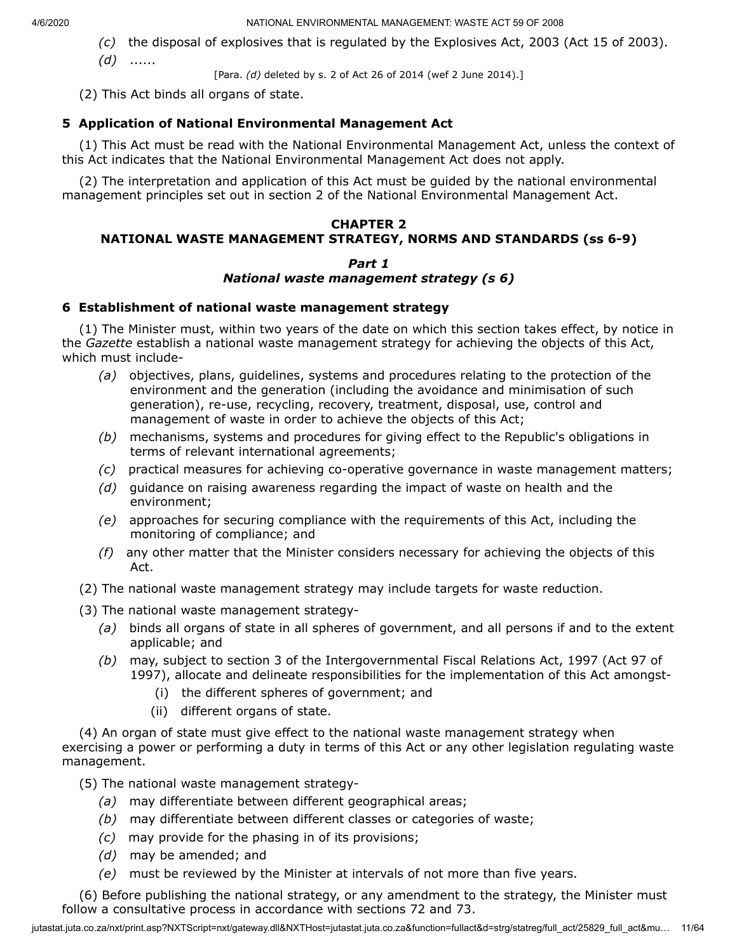- *(c)* the disposal of explosives that is regulated by the Explosives Act, 2003 (Act 15 of 2003).
- *(d)* ......
- [Para. *(d)* deleted by s. 2 of Act 26 of 2014 (wef 2 June 2014).]

(2) This Act binds all organs of state.

# **5 Application of National Environmental Management Act**

(1) This Act must be read with the National Environmental Management Act, unless the context of this Act indicates that the National Environmental Management Act does not apply.

(2) The interpretation and application of this Act must be guided by the national environmental management principles set out in section 2 of the National Environmental Management Act.

# **CHAPTER 2 NATIONAL WASTE MANAGEMENT STRATEGY, NORMS AND STANDARDS (ss 6-9)**

#### *Part 1 National waste management strategy (s 6)*

# **6 Establishment of national waste management strategy**

(1) The Minister must, within two years of the date on which this section takes effect, by notice in the *Gazette* establish a national waste management strategy for achieving the objects of this Act, which must include-

- *(a)* objectives, plans, guidelines, systems and procedures relating to the protection of the environment and the generation (including the avoidance and minimisation of such generation), re-use, recycling, recovery, treatment, disposal, use, control and management of waste in order to achieve the objects of this Act;
- *(b)* mechanisms, systems and procedures for giving effect to the Republic's obligations in terms of relevant international agreements;
- *(c)* practical measures for achieving co-operative governance in waste management matters;
- *(d)* guidance on raising awareness regarding the impact of waste on health and the environment;
- *(e)* approaches for securing compliance with the requirements of this Act, including the monitoring of compliance; and
- *(f)* any other matter that the Minister considers necessary for achieving the objects of this Act.
- (2) The national waste management strategy may include targets for waste reduction.
- (3) The national waste management strategy-
	- *(a)* binds all organs of state in all spheres of government, and all persons if and to the extent applicable; and
	- *(b)* may, subject to section 3 of the Intergovernmental Fiscal Relations Act, 1997 (Act 97 of 1997), allocate and delineate responsibilities for the implementation of this Act amongst-
		- (i) the different spheres of government; and
		- (ii) different organs of state.

(4) An organ of state must give effect to the national waste management strategy when exercising a power or performing a duty in terms of this Act or any other legislation regulating waste management.

- (5) The national waste management strategy-
	- *(a)* may differentiate between different geographical areas;
	- *(b)* may differentiate between different classes or categories of waste;
	- *(c)* may provide for the phasing in of its provisions;
	- *(d)* may be amended; and
	- *(e)* must be reviewed by the Minister at intervals of not more than five years.

(6) Before publishing the national strategy, or any amendment to the strategy, the Minister must follow a consultative process in accordance with sections 72 and 73.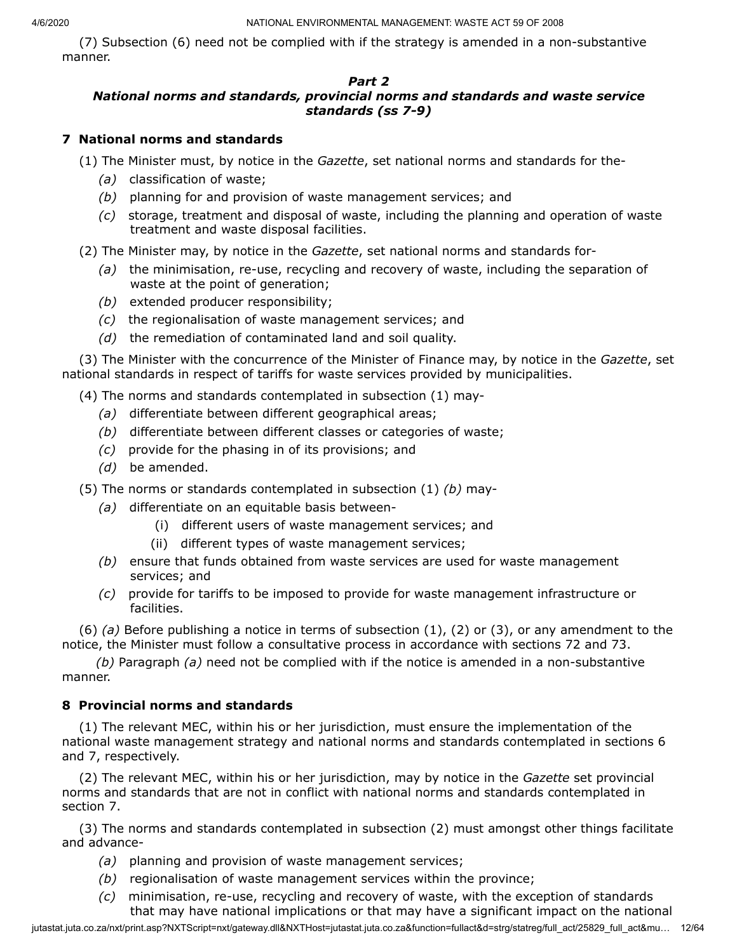(7) Subsection (6) need not be complied with if the strategy is amended in a non-substantive manner.

# *Part 2*

# *National norms and standards, provincial norms and standards and waste service standards (ss 7-9)*

# **7 National norms and standards**

(1) The Minister must, by notice in the *Gazette*, set national norms and standards for the-

- *(a)* classification of waste;
- *(b)* planning for and provision of waste management services; and
- *(c)* storage, treatment and disposal of waste, including the planning and operation of waste treatment and waste disposal facilities.

(2) The Minister may, by notice in the *Gazette*, set national norms and standards for-

- *(a)* the minimisation, re-use, recycling and recovery of waste, including the separation of waste at the point of generation;
- *(b)* extended producer responsibility;
- *(c)* the regionalisation of waste management services; and
- *(d)* the remediation of contaminated land and soil quality.

(3) The Minister with the concurrence of the Minister of Finance may, by notice in the *Gazette*, set national standards in respect of tariffs for waste services provided by municipalities.

(4) The norms and standards contemplated in subsection (1) may-

- *(a)* differentiate between different geographical areas;
- *(b)* differentiate between different classes or categories of waste;
- *(c)* provide for the phasing in of its provisions; and
- *(d)* be amended.
- (5) The norms or standards contemplated in subsection (1) *(b)* may-
	- *(a)* differentiate on an equitable basis between-
		- (i) different users of waste management services; and
		- (ii) different types of waste management services;
	- *(b)* ensure that funds obtained from waste services are used for waste management services; and
	- *(c)* provide for tariffs to be imposed to provide for waste management infrastructure or facilities.

(6) *(a)* Before publishing a notice in terms of subsection (1), (2) or (3), or any amendment to the notice, the Minister must follow a consultative process in accordance with sections 72 and 73.

*(b)* Paragraph *(a)* need not be complied with if the notice is amended in a non-substantive manner.

# **8 Provincial norms and standards**

(1) The relevant MEC, within his or her jurisdiction, must ensure the implementation of the national waste management strategy and national norms and standards contemplated in sections 6 and 7, respectively.

(2) The relevant MEC, within his or her jurisdiction, may by notice in the *Gazette* set provincial norms and standards that are not in conflict with national norms and standards contemplated in section 7.

(3) The norms and standards contemplated in subsection (2) must amongst other things facilitate and advance-

- *(a)* planning and provision of waste management services;
- *(b)* regionalisation of waste management services within the province;
- *(c)* minimisation, re-use, recycling and recovery of waste, with the exception of standards that may have national implications or that may have a significant impact on the national

jutastat.juta.co.za/nxt/print.asp?NXTScript=nxt/gateway.dll&NXTHost=jutastat.juta.co.za&function=fullact&d=strg/statreg/full\_act/25829\_full\_act&mu... 12/64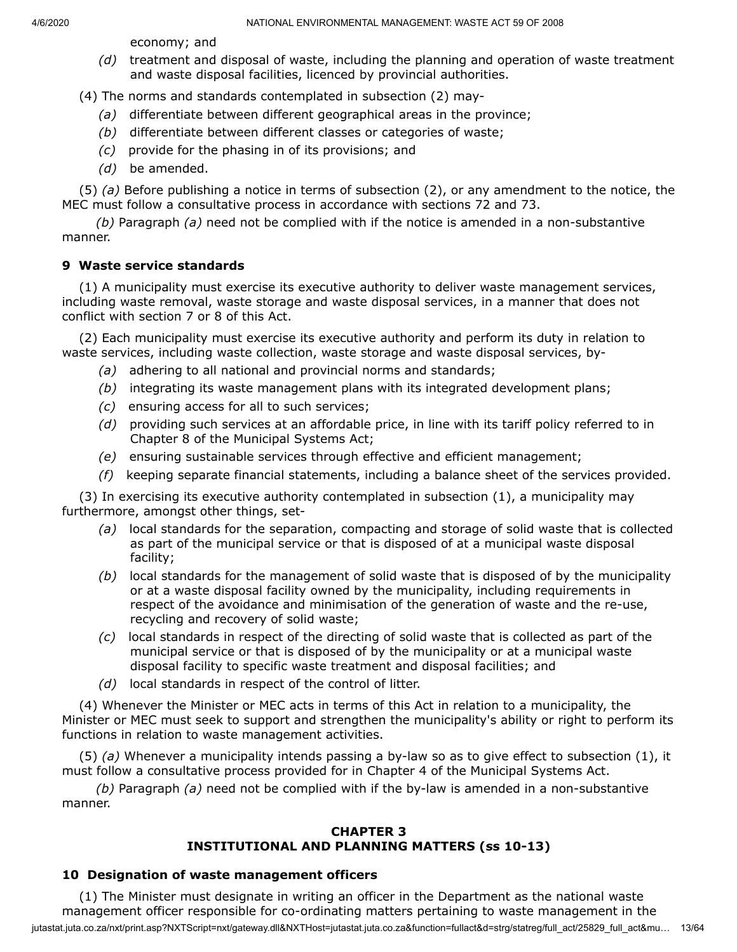economy; and

*(d)* treatment and disposal of waste, including the planning and operation of waste treatment and waste disposal facilities, licenced by provincial authorities.

(4) The norms and standards contemplated in subsection (2) may-

- *(a)* differentiate between different geographical areas in the province;
- *(b)* differentiate between different classes or categories of waste;
- *(c)* provide for the phasing in of its provisions; and
- *(d)* be amended.

(5) *(a)* Before publishing a notice in terms of subsection (2), or any amendment to the notice, the MEC must follow a consultative process in accordance with sections 72 and 73.

*(b)* Paragraph *(a)* need not be complied with if the notice is amended in a non-substantive manner.

# **9 Waste service standards**

(1) A municipality must exercise its executive authority to deliver waste management services, including waste removal, waste storage and waste disposal services, in a manner that does not conflict with section 7 or 8 of this Act.

(2) Each municipality must exercise its executive authority and perform its duty in relation to waste services, including waste collection, waste storage and waste disposal services, by-

- *(a)* adhering to all national and provincial norms and standards;
- *(b)* integrating its waste management plans with its integrated development plans;
- *(c)* ensuring access for all to such services;
- *(d)* providing such services at an affordable price, in line with its tariff policy referred to in Chapter 8 of the Municipal Systems Act;
- *(e)* ensuring sustainable services through effective and efficient management;
- *(f)* keeping separate financial statements, including a balance sheet of the services provided.

(3) In exercising its executive authority contemplated in subsection (1), a municipality may furthermore, amongst other things, set-

- *(a)* local standards for the separation, compacting and storage of solid waste that is collected as part of the municipal service or that is disposed of at a municipal waste disposal facility;
- *(b)* local standards for the management of solid waste that is disposed of by the municipality or at a waste disposal facility owned by the municipality, including requirements in respect of the avoidance and minimisation of the generation of waste and the re-use, recycling and recovery of solid waste;
- *(c)* local standards in respect of the directing of solid waste that is collected as part of the municipal service or that is disposed of by the municipality or at a municipal waste disposal facility to specific waste treatment and disposal facilities; and
- *(d)* local standards in respect of the control of litter.

(4) Whenever the Minister or MEC acts in terms of this Act in relation to a municipality, the Minister or MEC must seek to support and strengthen the municipality's ability or right to perform its functions in relation to waste management activities.

(5) *(a)* Whenever a municipality intends passing a by-law so as to give effect to subsection (1), it must follow a consultative process provided for in Chapter 4 of the Municipal Systems Act.

*(b)* Paragraph *(a)* need not be complied with if the by-law is amended in a non-substantive manner.

## **CHAPTER 3 INSTITUTIONAL AND PLANNING MATTERS (ss 10-13)**

# **10 Designation of waste management officers**

jutastat.juta.co.za/nxt/print.asp?NXTScript=nxt/gateway.dll&NXTHost=jutastat.juta.co.za&function=fullact&d=strg/statreg/full\_act/25829\_full\_act&mu… 13/64 (1) The Minister must designate in writing an officer in the Department as the national waste management officer responsible for co-ordinating matters pertaining to waste management in the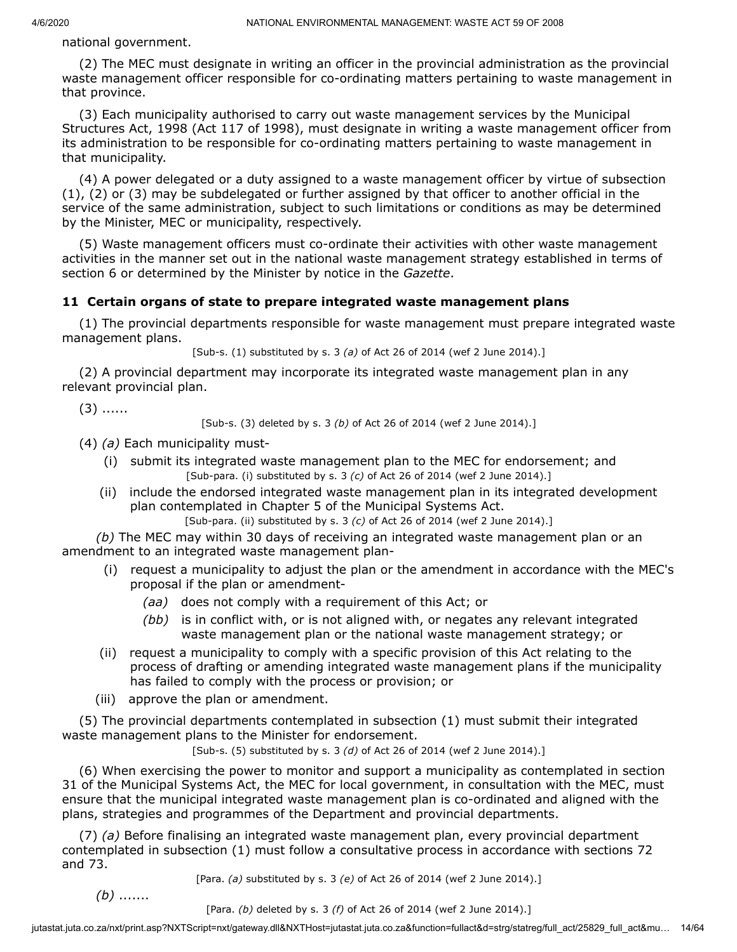national government.

(2) The MEC must designate in writing an officer in the provincial administration as the provincial waste management officer responsible for co-ordinating matters pertaining to waste management in that province.

(3) Each municipality authorised to carry out waste management services by the Municipal Structures Act, 1998 (Act 117 of 1998), must designate in writing a waste management officer from its administration to be responsible for co-ordinating matters pertaining to waste management in that municipality.

(4) A power delegated or a duty assigned to a waste management officer by virtue of subsection (1), (2) or (3) may be subdelegated or further assigned by that officer to another official in the service of the same administration, subject to such limitations or conditions as may be determined by the Minister, MEC or municipality, respectively.

(5) Waste management officers must co-ordinate their activities with other waste management activities in the manner set out in the national waste management strategy established in terms of section 6 or determined by the Minister by notice in the *Gazette*.

# **11 Certain organs of state to prepare integrated waste management plans**

(1) The provincial departments responsible for waste management must prepare integrated waste management plans.

[Sub-s. (1) substituted by s. 3 *(a)* of Act 26 of 2014 (wef 2 June 2014).]

(2) A provincial department may incorporate its integrated waste management plan in any relevant provincial plan.

 $(3)$  ......

[Sub-s. (3) deleted by s. 3 *(b)* of Act 26 of 2014 (wef 2 June 2014).]

(4) *(a)* Each municipality must-

- (i) submit its integrated waste management plan to the MEC for endorsement; and [Sub-para. (i) substituted by s. 3 *(c)* of Act 26 of 2014 (wef 2 June 2014).]
- (ii) include the endorsed integrated waste management plan in its integrated development plan contemplated in Chapter 5 of the Municipal Systems Act. [Sub-para. (ii) substituted by s. 3 *(c)* of Act 26 of 2014 (wef 2 June 2014).]

*(b)* The MEC may within 30 days of receiving an integrated waste management plan or an amendment to an integrated waste management plan-

- (i) request a municipality to adjust the plan or the amendment in accordance with the MEC's proposal if the plan or amendment-
	- *(aa)* does not comply with a requirement of this Act; or
	- *(bb)* is in conflict with, or is not aligned with, or negates any relevant integrated waste management plan or the national waste management strategy; or
- (ii) request a municipality to comply with a specific provision of this Act relating to the process of drafting or amending integrated waste management plans if the municipality has failed to comply with the process or provision; or
- (iii) approve the plan or amendment.

(5) The provincial departments contemplated in subsection (1) must submit their integrated waste management plans to the Minister for endorsement.

[Sub-s. (5) substituted by s. 3 *(d)* of Act 26 of 2014 (wef 2 June 2014).]

(6) When exercising the power to monitor and support a municipality as contemplated in section 31 of the Municipal Systems Act, the MEC for local government, in consultation with the MEC, must ensure that the municipal integrated waste management plan is co-ordinated and aligned with the plans, strategies and programmes of the Department and provincial departments.

(7) *(a)* Before finalising an integrated waste management plan, every provincial department contemplated in subsection (1) must follow a consultative process in accordance with sections 72 and 73.

[Para. *(a)* substituted by s. 3 *(e)* of Act 26 of 2014 (wef 2 June 2014).]

*(b)* .......

[Para. *(b)* deleted by s. 3 *(f)* of Act 26 of 2014 (wef 2 June 2014).]

jutastat.juta.co.za/nxt/print.asp?NXTScript=nxt/gateway.dll&NXTHost=jutastat.juta.co.za&function=fullact&d=strg/statreg/full\_act/25829\_full\_act&mu... 14/64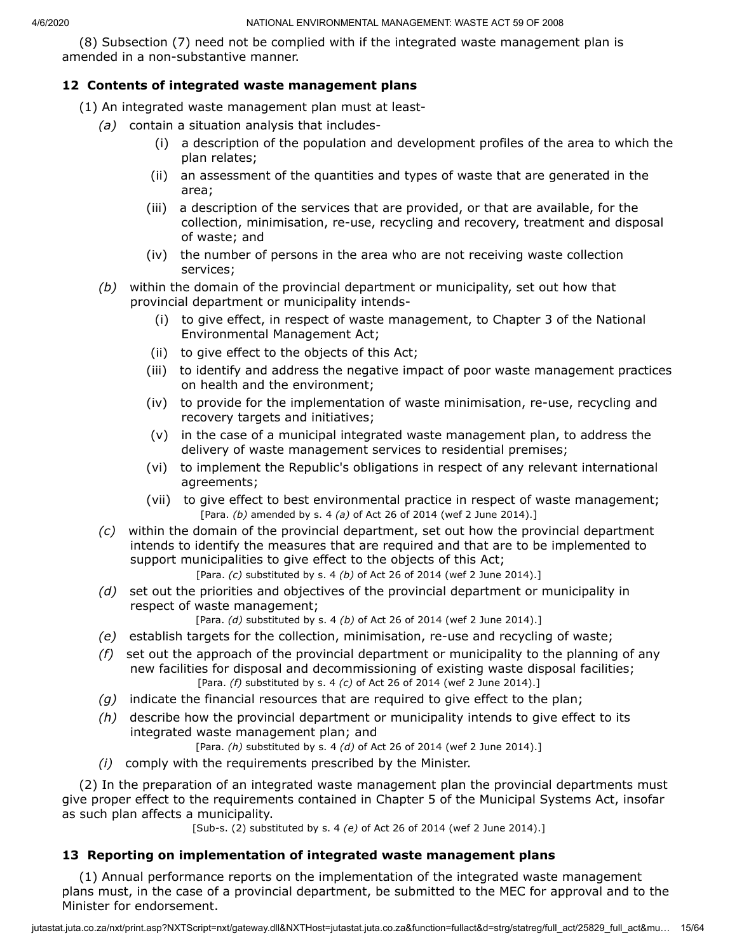(8) Subsection (7) need not be complied with if the integrated waste management plan is amended in a non-substantive manner.

# **12 Contents of integrated waste management plans**

- (1) An integrated waste management plan must at least-
	- *(a)* contain a situation analysis that includes-
		- (i) a description of the population and development profiles of the area to which the plan relates;
		- (ii) an assessment of the quantities and types of waste that are generated in the area;
		- (iii) a description of the services that are provided, or that are available, for the collection, minimisation, re-use, recycling and recovery, treatment and disposal of waste; and
		- (iv) the number of persons in the area who are not receiving waste collection services;
	- *(b)* within the domain of the provincial department or municipality, set out how that provincial department or municipality intends-
		- (i) to give effect, in respect of waste management, to Chapter 3 of the National Environmental Management Act;
		- (ii) to give effect to the objects of this Act;
		- (iii) to identify and address the negative impact of poor waste management practices on health and the environment;
		- (iv) to provide for the implementation of waste minimisation, re-use, recycling and recovery targets and initiatives;
		- (v) in the case of a municipal integrated waste management plan, to address the delivery of waste management services to residential premises;
		- (vi) to implement the Republic's obligations in respect of any relevant international agreements;
		- (vii) to give effect to best environmental practice in respect of waste management; [Para. *(b)* amended by s. 4 *(a)* of Act 26 of 2014 (wef 2 June 2014).]
	- *(c)* within the domain of the provincial department, set out how the provincial department intends to identify the measures that are required and that are to be implemented to support municipalities to give effect to the objects of this Act;

[Para. *(c)* substituted by s. 4 *(b)* of Act 26 of 2014 (wef 2 June 2014).]

*(d)* set out the priorities and objectives of the provincial department or municipality in respect of waste management;

[Para. *(d)* substituted by s. 4 *(b)* of Act 26 of 2014 (wef 2 June 2014).]

- *(e)* establish targets for the collection, minimisation, re-use and recycling of waste;
- *(f)* set out the approach of the provincial department or municipality to the planning of any new facilities for disposal and decommissioning of existing waste disposal facilities; [Para. *(f)* substituted by s. 4 *(c)* of Act 26 of 2014 (wef 2 June 2014).]
- *(g)* indicate the financial resources that are required to give effect to the plan;
- *(h)* describe how the provincial department or municipality intends to give effect to its integrated waste management plan; and

[Para. *(h)* substituted by s. 4 *(d)* of Act 26 of 2014 (wef 2 June 2014).]

*(i)* comply with the requirements prescribed by the Minister.

(2) In the preparation of an integrated waste management plan the provincial departments must give proper effect to the requirements contained in Chapter 5 of the Municipal Systems Act, insofar as such plan affects a municipality.

[Sub-s. (2) substituted by s. 4 *(e)* of Act 26 of 2014 (wef 2 June 2014).]

## **13 Reporting on implementation of integrated waste management plans**

(1) Annual performance reports on the implementation of the integrated waste management plans must, in the case of a provincial department, be submitted to the MEC for approval and to the Minister for endorsement.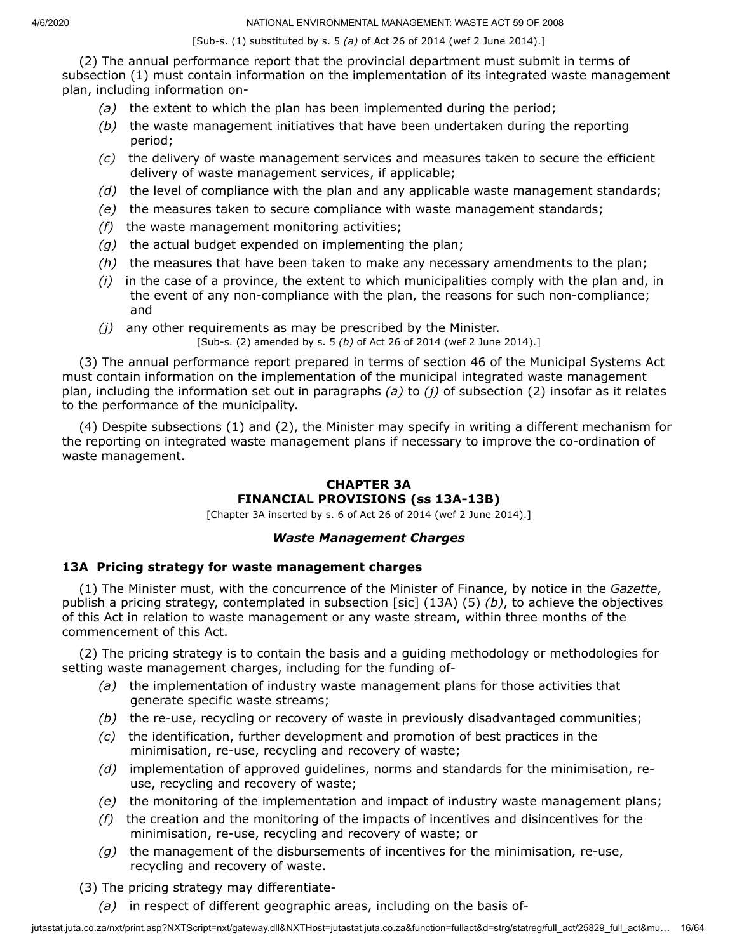[Sub-s. (1) substituted by s. 5 *(a)* of Act 26 of 2014 (wef 2 June 2014).]

(2) The annual performance report that the provincial department must submit in terms of subsection (1) must contain information on the implementation of its integrated waste management plan, including information on-

- *(a)* the extent to which the plan has been implemented during the period;
- *(b)* the waste management initiatives that have been undertaken during the reporting period;
- *(c)* the delivery of waste management services and measures taken to secure the efficient delivery of waste management services, if applicable;
- *(d)* the level of compliance with the plan and any applicable waste management standards;
- *(e)* the measures taken to secure compliance with waste management standards;
- *(f)* the waste management monitoring activities;
- *(g)* the actual budget expended on implementing the plan;
- *(h)* the measures that have been taken to make any necessary amendments to the plan;
- *(i)* in the case of a province, the extent to which municipalities comply with the plan and, in the event of any non-compliance with the plan, the reasons for such non-compliance; and
- *(j)* any other requirements as may be prescribed by the Minister.

[Sub-s. (2) amended by s. 5 *(b)* of Act 26 of 2014 (wef 2 June 2014).]

(3) The annual performance report prepared in terms of section 46 of the Municipal Systems Act must contain information on the implementation of the municipal integrated waste management plan, including the information set out in paragraphs *(a)* to *(j)* of subsection (2) insofar as it relates to the performance of the municipality.

(4) Despite subsections (1) and (2), the Minister may specify in writing a different mechanism for the reporting on integrated waste management plans if necessary to improve the co-ordination of waste management.

# **CHAPTER 3A FINANCIAL PROVISIONS (ss 13A-13B)**

[Chapter 3A inserted by s. 6 of Act 26 of 2014 (wef 2 June 2014).]

# *Waste Management Charges*

# **13A Pricing strategy for waste management charges**

(1) The Minister must, with the concurrence of the Minister of Finance, by notice in the *Gazette*, publish a pricing strategy, contemplated in subsection [sic] (13A) (5) *(b)*, to achieve the objectives of this Act in relation to waste management or any waste stream, within three months of the commencement of this Act.

(2) The pricing strategy is to contain the basis and a guiding methodology or methodologies for setting waste management charges, including for the funding of-

- *(a)* the implementation of industry waste management plans for those activities that generate specific waste streams;
- *(b)* the re-use, recycling or recovery of waste in previously disadvantaged communities;
- *(c)* the identification, further development and promotion of best practices in the minimisation, re-use, recycling and recovery of waste;
- *(d)* implementation of approved guidelines, norms and standards for the minimisation, reuse, recycling and recovery of waste;
- *(e)* the monitoring of the implementation and impact of industry waste management plans;
- *(f)* the creation and the monitoring of the impacts of incentives and disincentives for the minimisation, re-use, recycling and recovery of waste; or
- *(g)* the management of the disbursements of incentives for the minimisation, re-use, recycling and recovery of waste.
- (3) The pricing strategy may differentiate-
	- *(a)* in respect of different geographic areas, including on the basis of-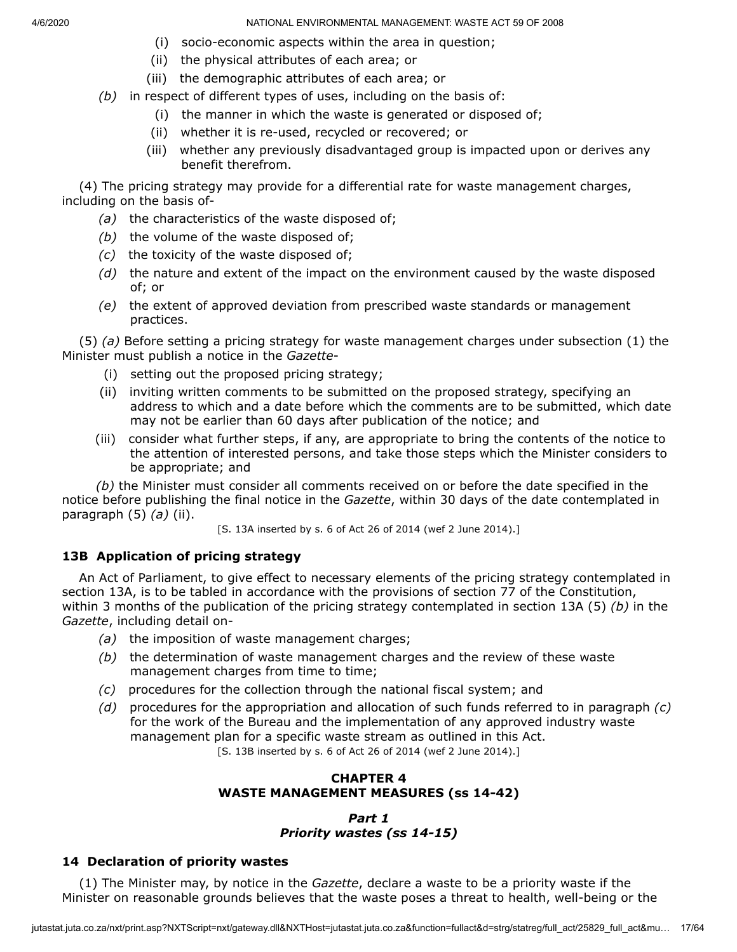- (i) socio-economic aspects within the area in question;
- (ii) the physical attributes of each area; or
- (iii) the demographic attributes of each area; or
- *(b)* in respect of different types of uses, including on the basis of:
	- (i) the manner in which the waste is generated or disposed of;
	- (ii) whether it is re-used, recycled or recovered; or
	- (iii) whether any previously disadvantaged group is impacted upon or derives any benefit therefrom.

(4) The pricing strategy may provide for a differential rate for waste management charges, including on the basis of-

- *(a)* the characteristics of the waste disposed of;
- *(b)* the volume of the waste disposed of;
- *(c)* the toxicity of the waste disposed of;
- *(d)* the nature and extent of the impact on the environment caused by the waste disposed of; or
- *(e)* the extent of approved deviation from prescribed waste standards or management practices.

(5) *(a)* Before setting a pricing strategy for waste management charges under subsection (1) the Minister must publish a notice in the *Gazette*-

- (i) setting out the proposed pricing strategy;
- (ii) inviting written comments to be submitted on the proposed strategy, specifying an address to which and a date before which the comments are to be submitted, which date may not be earlier than 60 days after publication of the notice; and
- (iii) consider what further steps, if any, are appropriate to bring the contents of the notice to the attention of interested persons, and take those steps which the Minister considers to be appropriate; and

*(b)* the Minister must consider all comments received on or before the date specified in the notice before publishing the final notice in the *Gazette*, within 30 days of the date contemplated in paragraph (5) *(a)* (ii).

[S. 13A inserted by s. 6 of Act 26 of 2014 (wef 2 June 2014).]

# **13B Application of pricing strategy**

An Act of Parliament, to give effect to necessary elements of the pricing strategy contemplated in section 13A, is to be tabled in accordance with the provisions of section 77 of the Constitution, within 3 months of the publication of the pricing strategy contemplated in section 13A (5) *(b)* in the *Gazette*, including detail on-

- *(a)* the imposition of waste management charges;
- *(b)* the determination of waste management charges and the review of these waste management charges from time to time;
- *(c)* procedures for the collection through the national fiscal system; and
- *(d)* procedures for the appropriation and allocation of such funds referred to in paragraph *(c)* for the work of the Bureau and the implementation of any approved industry waste management plan for a specific waste stream as outlined in this Act.

[S. 13B inserted by s. 6 of Act 26 of 2014 (wef 2 June 2014).]

## **CHAPTER 4 WASTE MANAGEMENT MEASURES (ss 14-42)**

## *Part 1 Priority wastes (ss 14-15)*

# **14 Declaration of priority wastes**

(1) The Minister may, by notice in the *Gazette*, declare a waste to be a priority waste if the Minister on reasonable grounds believes that the waste poses a threat to health, well-being or the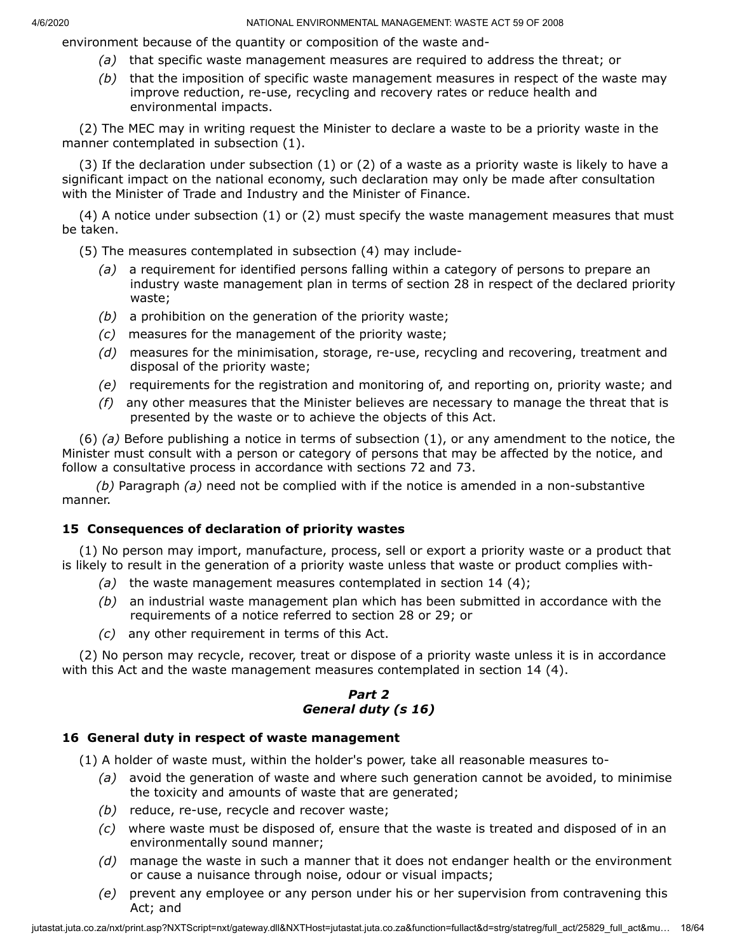environment because of the quantity or composition of the waste and-

- *(a)* that specific waste management measures are required to address the threat; or
- *(b)* that the imposition of specific waste management measures in respect of the waste may improve reduction, re-use, recycling and recovery rates or reduce health and environmental impacts.

(2) The MEC may in writing request the Minister to declare a waste to be a priority waste in the manner contemplated in subsection (1).

(3) If the declaration under subsection (1) or (2) of a waste as a priority waste is likely to have a significant impact on the national economy, such declaration may only be made after consultation with the Minister of Trade and Industry and the Minister of Finance.

(4) A notice under subsection (1) or (2) must specify the waste management measures that must be taken.

(5) The measures contemplated in subsection (4) may include-

- *(a)* a requirement for identified persons falling within a category of persons to prepare an industry waste management plan in terms of section 28 in respect of the declared priority waste;
- *(b)* a prohibition on the generation of the priority waste;
- *(c)* measures for the management of the priority waste;
- *(d)* measures for the minimisation, storage, re-use, recycling and recovering, treatment and disposal of the priority waste;
- *(e)* requirements for the registration and monitoring of, and reporting on, priority waste; and
- *(f)* any other measures that the Minister believes are necessary to manage the threat that is presented by the waste or to achieve the objects of this Act.

(6) *(a)* Before publishing a notice in terms of subsection (1), or any amendment to the notice, the Minister must consult with a person or category of persons that may be affected by the notice, and follow a consultative process in accordance with sections 72 and 73.

*(b)* Paragraph *(a)* need not be complied with if the notice is amended in a non-substantive manner.

# **15 Consequences of declaration of priority wastes**

(1) No person may import, manufacture, process, sell or export a priority waste or a product that is likely to result in the generation of a priority waste unless that waste or product complies with-

- *(a)* the waste management measures contemplated in section 14 (4);
- *(b)* an industrial waste management plan which has been submitted in accordance with the requirements of a notice referred to section 28 or 29; or
- *(c)* any other requirement in terms of this Act.

(2) No person may recycle, recover, treat or dispose of a priority waste unless it is in accordance with this Act and the waste management measures contemplated in section 14 (4).

# *Part 2 General duty (s 16)*

# **16 General duty in respect of waste management**

(1) A holder of waste must, within the holder's power, take all reasonable measures to-

- *(a)* avoid the generation of waste and where such generation cannot be avoided, to minimise the toxicity and amounts of waste that are generated;
- *(b)* reduce, re-use, recycle and recover waste;
- *(c)* where waste must be disposed of, ensure that the waste is treated and disposed of in an environmentally sound manner;
- *(d)* manage the waste in such a manner that it does not endanger health or the environment or cause a nuisance through noise, odour or visual impacts;
- *(e)* prevent any employee or any person under his or her supervision from contravening this Act; and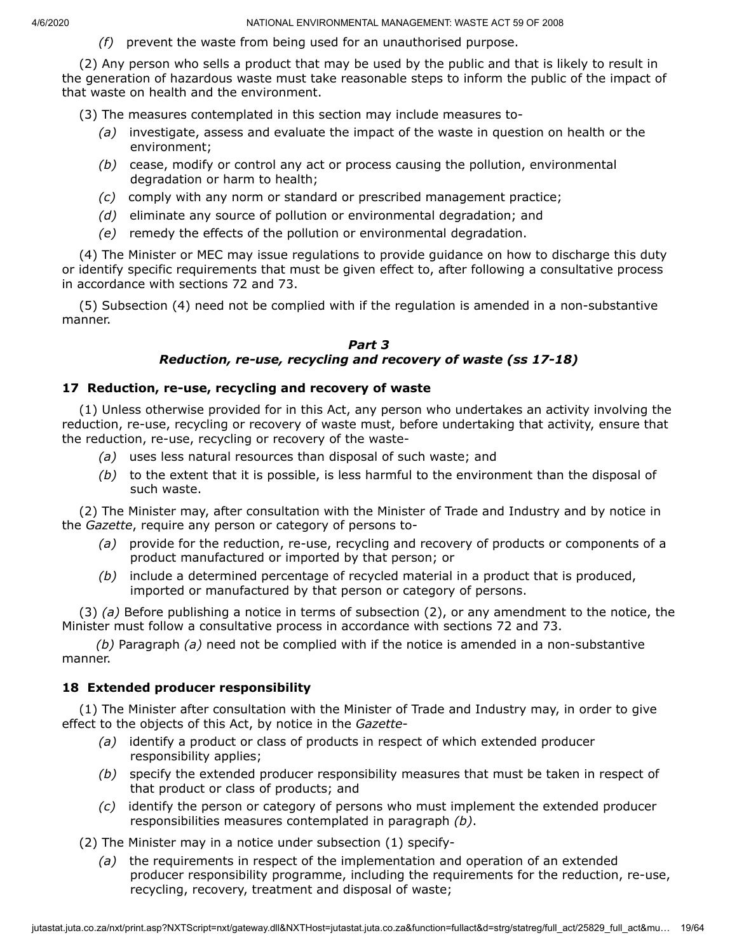*(f)* prevent the waste from being used for an unauthorised purpose.

(2) Any person who sells a product that may be used by the public and that is likely to result in the generation of hazardous waste must take reasonable steps to inform the public of the impact of that waste on health and the environment.

(3) The measures contemplated in this section may include measures to-

- *(a)* investigate, assess and evaluate the impact of the waste in question on health or the environment;
- *(b)* cease, modify or control any act or process causing the pollution, environmental degradation or harm to health;
- *(c)* comply with any norm or standard or prescribed management practice;
- *(d)* eliminate any source of pollution or environmental degradation; and
- *(e)* remedy the effects of the pollution or environmental degradation.

(4) The Minister or MEC may issue regulations to provide guidance on how to discharge this duty or identify specific requirements that must be given effect to, after following a consultative process in accordance with sections 72 and 73.

(5) Subsection (4) need not be complied with if the regulation is amended in a non-substantive manner.

#### *Part 3 Reduction, re-use, recycling and recovery of waste (ss 17-18)*

#### **17 Reduction, re-use, recycling and recovery of waste**

(1) Unless otherwise provided for in this Act, any person who undertakes an activity involving the reduction, re-use, recycling or recovery of waste must, before undertaking that activity, ensure that the reduction, re-use, recycling or recovery of the waste-

- *(a)* uses less natural resources than disposal of such waste; and
- *(b)* to the extent that it is possible, is less harmful to the environment than the disposal of such waste.

(2) The Minister may, after consultation with the Minister of Trade and Industry and by notice in the *Gazette*, require any person or category of persons to-

- *(a)* provide for the reduction, re-use, recycling and recovery of products or components of a product manufactured or imported by that person; or
- *(b)* include a determined percentage of recycled material in a product that is produced, imported or manufactured by that person or category of persons.

(3) *(a)* Before publishing a notice in terms of subsection (2), or any amendment to the notice, the Minister must follow a consultative process in accordance with sections 72 and 73.

*(b)* Paragraph *(a)* need not be complied with if the notice is amended in a non-substantive manner.

## **18 Extended producer responsibility**

(1) The Minister after consultation with the Minister of Trade and Industry may, in order to give effect to the objects of this Act, by notice in the *Gazette*-

- *(a)* identify a product or class of products in respect of which extended producer responsibility applies;
- *(b)* specify the extended producer responsibility measures that must be taken in respect of that product or class of products; and
- *(c)* identify the person or category of persons who must implement the extended producer responsibilities measures contemplated in paragraph *(b)*.

(2) The Minister may in a notice under subsection (1) specify-

*(a)* the requirements in respect of the implementation and operation of an extended producer responsibility programme, including the requirements for the reduction, re-use, recycling, recovery, treatment and disposal of waste;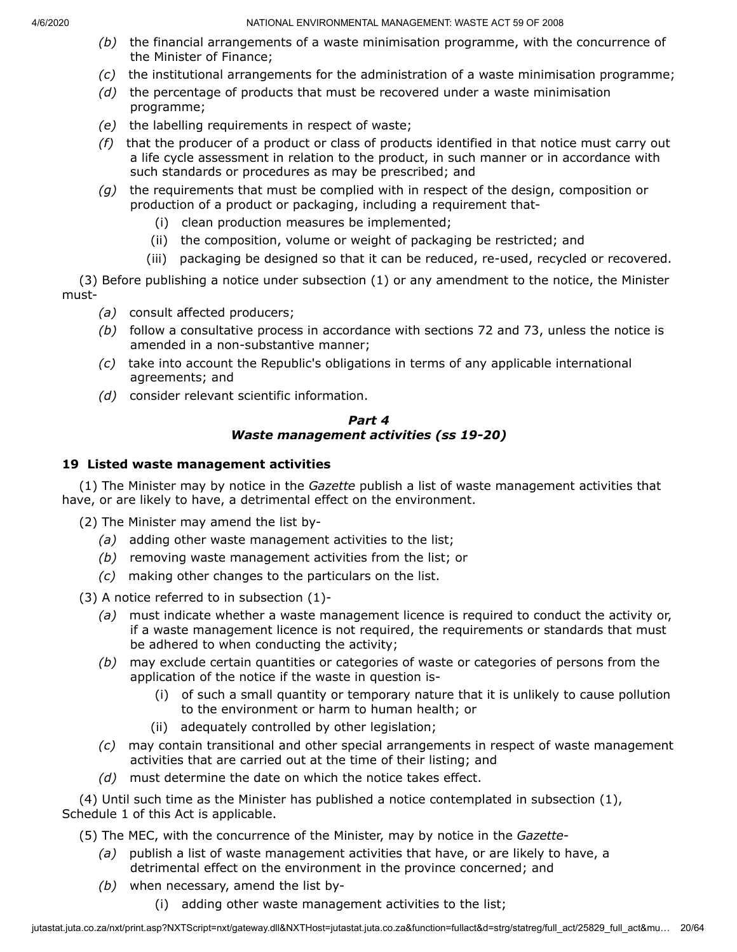- *(b)* the financial arrangements of a waste minimisation programme, with the concurrence of the Minister of Finance;
- *(c)* the institutional arrangements for the administration of a waste minimisation programme;
- *(d)* the percentage of products that must be recovered under a waste minimisation programme;
- *(e)* the labelling requirements in respect of waste;
- *(f)* that the producer of a product or class of products identified in that notice must carry out a life cycle assessment in relation to the product, in such manner or in accordance with such standards or procedures as may be prescribed; and
- *(g)* the requirements that must be complied with in respect of the design, composition or production of a product or packaging, including a requirement that-
	- (i) clean production measures be implemented;
	- (ii) the composition, volume or weight of packaging be restricted; and
	- (iii) packaging be designed so that it can be reduced, re-used, recycled or recovered.

(3) Before publishing a notice under subsection (1) or any amendment to the notice, the Minister must-

- *(a)* consult affected producers;
- *(b)* follow a consultative process in accordance with sections 72 and 73, unless the notice is amended in a non-substantive manner;
- *(c)* take into account the Republic's obligations in terms of any applicable international agreements; and
- *(d)* consider relevant scientific information.

# *Part 4 Waste management activities (ss 19-20)*

# **19 Listed waste management activities**

(1) The Minister may by notice in the *Gazette* publish a list of waste management activities that have, or are likely to have, a detrimental effect on the environment.

(2) The Minister may amend the list by-

- *(a)* adding other waste management activities to the list;
- *(b)* removing waste management activities from the list; or
- *(c)* making other changes to the particulars on the list.

(3) A notice referred to in subsection (1)-

- *(a)* must indicate whether a waste management licence is required to conduct the activity or, if a waste management licence is not required, the requirements or standards that must be adhered to when conducting the activity;
- *(b)* may exclude certain quantities or categories of waste or categories of persons from the application of the notice if the waste in question is-
	- (i) of such a small quantity or temporary nature that it is unlikely to cause pollution to the environment or harm to human health; or
	- (ii) adequately controlled by other legislation;
- *(c)* may contain transitional and other special arrangements in respect of waste management activities that are carried out at the time of their listing; and
- *(d)* must determine the date on which the notice takes effect.

(4) Until such time as the Minister has published a notice contemplated in subsection (1), Schedule 1 of this Act is applicable.

- (5) The MEC, with the concurrence of the Minister, may by notice in the *Gazette*
	- *(a)* publish a list of waste management activities that have, or are likely to have, a detrimental effect on the environment in the province concerned; and
	- *(b)* when necessary, amend the list by-
		- (i) adding other waste management activities to the list;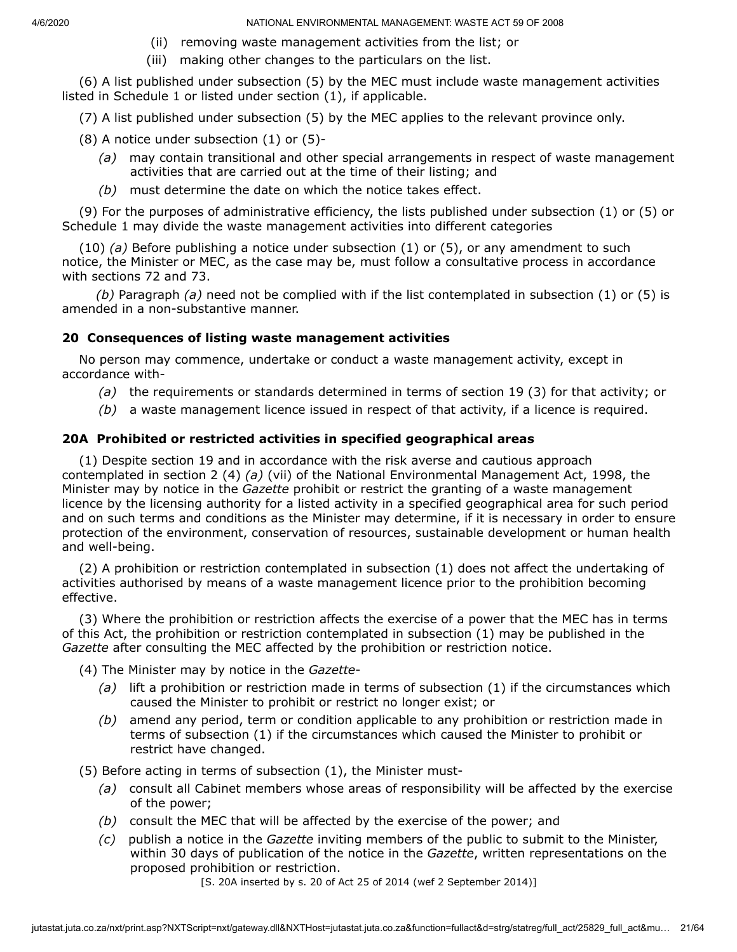- (ii) removing waste management activities from the list; or
- (iii) making other changes to the particulars on the list.

(6) A list published under subsection (5) by the MEC must include waste management activities listed in Schedule 1 or listed under section (1), if applicable.

(7) A list published under subsection (5) by the MEC applies to the relevant province only.

- $(8)$  A notice under subsection  $(1)$  or  $(5)$ -
	- *(a)* may contain transitional and other special arrangements in respect of waste management activities that are carried out at the time of their listing; and
	- *(b)* must determine the date on which the notice takes effect.

(9) For the purposes of administrative efficiency, the lists published under subsection (1) or (5) or Schedule 1 may divide the waste management activities into different categories

(10) *(a)* Before publishing a notice under subsection (1) or (5), or any amendment to such notice, the Minister or MEC, as the case may be, must follow a consultative process in accordance with sections 72 and 73.

*(b)* Paragraph *(a)* need not be complied with if the list contemplated in subsection (1) or (5) is amended in a non-substantive manner.

# **20 Consequences of listing waste management activities**

No person may commence, undertake or conduct a waste management activity, except in accordance with-

- *(a)* the requirements or standards determined in terms of section 19 (3) for that activity; or
- *(b)* a waste management licence issued in respect of that activity, if a licence is required.

# **20A Prohibited or restricted activities in specified geographical areas**

(1) Despite section 19 and in accordance with the risk averse and cautious approach contemplated in section 2 (4) *(a)* (vii) of the National Environmental Management Act, 1998, the Minister may by notice in the *Gazette* prohibit or restrict the granting of a waste management licence by the licensing authority for a listed activity in a specified geographical area for such period and on such terms and conditions as the Minister may determine, if it is necessary in order to ensure protection of the environment, conservation of resources, sustainable development or human health and well-being.

(2) A prohibition or restriction contemplated in subsection (1) does not affect the undertaking of activities authorised by means of a waste management licence prior to the prohibition becoming effective.

(3) Where the prohibition or restriction affects the exercise of a power that the MEC has in terms of this Act, the prohibition or restriction contemplated in subsection (1) may be published in the *Gazette* after consulting the MEC affected by the prohibition or restriction notice.

(4) The Minister may by notice in the *Gazette*-

- *(a)* lift a prohibition or restriction made in terms of subsection (1) if the circumstances which caused the Minister to prohibit or restrict no longer exist; or
- *(b)* amend any period, term or condition applicable to any prohibition or restriction made in terms of subsection (1) if the circumstances which caused the Minister to prohibit or restrict have changed.

(5) Before acting in terms of subsection (1), the Minister must-

- *(a)* consult all Cabinet members whose areas of responsibility will be affected by the exercise of the power;
- *(b)* consult the MEC that will be affected by the exercise of the power; and
- *(c)* publish a notice in the *Gazette* inviting members of the public to submit to the Minister, within 30 days of publication of the notice in the *Gazette*, written representations on the proposed prohibition or restriction.

[S. 20A inserted by s. 20 of Act 25 of 2014 (wef 2 September 2014)]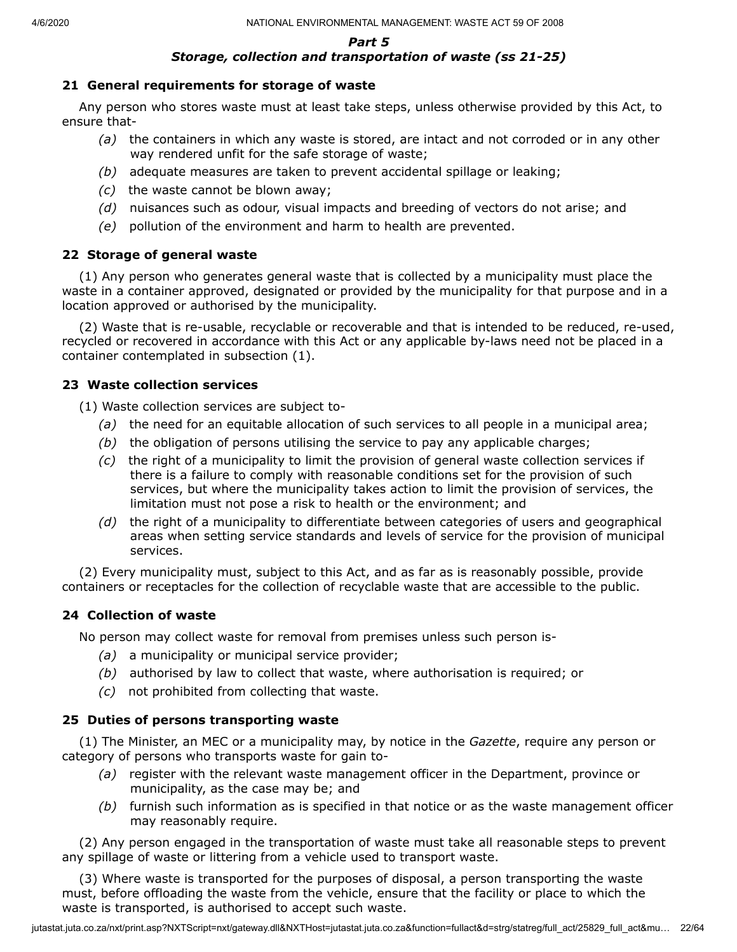#### *Part 5 Storage, collection and transportation of waste (ss 21-25)*

## **21 General requirements for storage of waste**

Any person who stores waste must at least take steps, unless otherwise provided by this Act, to ensure that-

- *(a)* the containers in which any waste is stored, are intact and not corroded or in any other way rendered unfit for the safe storage of waste;
- *(b)* adequate measures are taken to prevent accidental spillage or leaking;
- *(c)* the waste cannot be blown away;
- *(d)* nuisances such as odour, visual impacts and breeding of vectors do not arise; and
- *(e)* pollution of the environment and harm to health are prevented.

## **22 Storage of general waste**

(1) Any person who generates general waste that is collected by a municipality must place the waste in a container approved, designated or provided by the municipality for that purpose and in a location approved or authorised by the municipality.

(2) Waste that is re-usable, recyclable or recoverable and that is intended to be reduced, re-used, recycled or recovered in accordance with this Act or any applicable by-laws need not be placed in a container contemplated in subsection (1).

#### **23 Waste collection services**

(1) Waste collection services are subject to-

- *(a)* the need for an equitable allocation of such services to all people in a municipal area;
- *(b)* the obligation of persons utilising the service to pay any applicable charges;
- *(c)* the right of a municipality to limit the provision of general waste collection services if there is a failure to comply with reasonable conditions set for the provision of such services, but where the municipality takes action to limit the provision of services, the limitation must not pose a risk to health or the environment; and
- *(d)* the right of a municipality to differentiate between categories of users and geographical areas when setting service standards and levels of service for the provision of municipal services.

(2) Every municipality must, subject to this Act, and as far as is reasonably possible, provide containers or receptacles for the collection of recyclable waste that are accessible to the public.

## **24 Collection of waste**

No person may collect waste for removal from premises unless such person is-

- *(a)* a municipality or municipal service provider;
- *(b)* authorised by law to collect that waste, where authorisation is required; or
- *(c)* not prohibited from collecting that waste.

## **25 Duties of persons transporting waste**

(1) The Minister, an MEC or a municipality may, by notice in the *Gazette*, require any person or category of persons who transports waste for gain to-

- *(a)* register with the relevant waste management officer in the Department, province or municipality, as the case may be; and
- *(b)* furnish such information as is specified in that notice or as the waste management officer may reasonably require.

(2) Any person engaged in the transportation of waste must take all reasonable steps to prevent any spillage of waste or littering from a vehicle used to transport waste.

(3) Where waste is transported for the purposes of disposal, a person transporting the waste must, before offloading the waste from the vehicle, ensure that the facility or place to which the waste is transported, is authorised to accept such waste.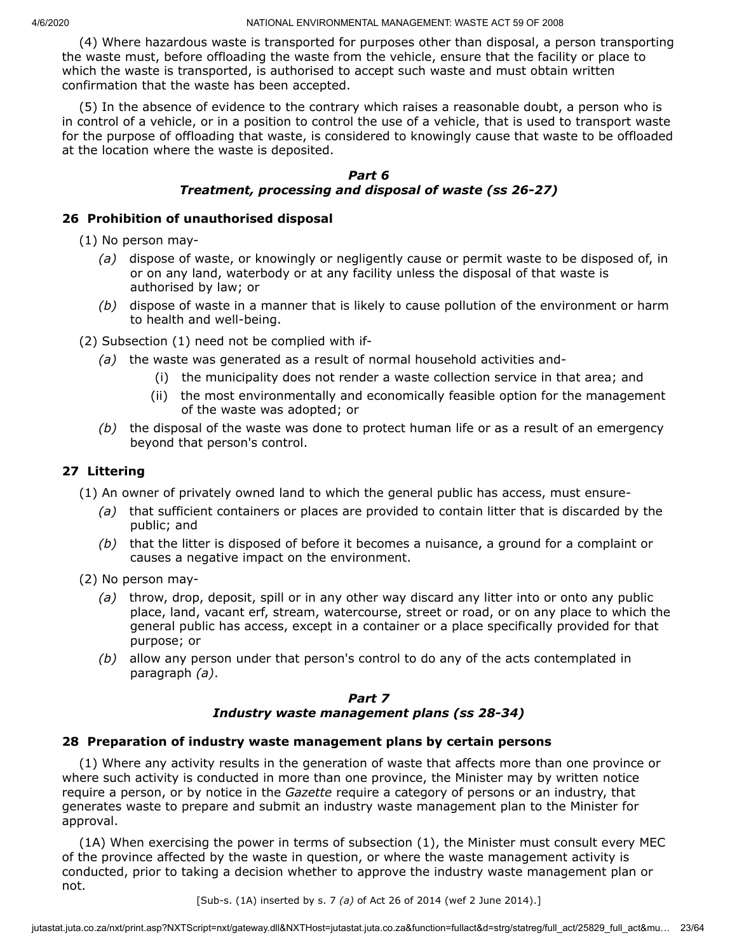(4) Where hazardous waste is transported for purposes other than disposal, a person transporting the waste must, before offloading the waste from the vehicle, ensure that the facility or place to which the waste is transported, is authorised to accept such waste and must obtain written confirmation that the waste has been accepted.

(5) In the absence of evidence to the contrary which raises a reasonable doubt, a person who is in control of a vehicle, or in a position to control the use of a vehicle, that is used to transport waste for the purpose of offloading that waste, is considered to knowingly cause that waste to be offloaded at the location where the waste is deposited.

## *Part 6 Treatment, processing and disposal of waste (ss 26-27)*

## **26 Prohibition of unauthorised disposal**

(1) No person may-

- *(a)* dispose of waste, or knowingly or negligently cause or permit waste to be disposed of, in or on any land, waterbody or at any facility unless the disposal of that waste is authorised by law; or
- *(b)* dispose of waste in a manner that is likely to cause pollution of the environment or harm to health and well-being.

(2) Subsection (1) need not be complied with if-

- *(a)* the waste was generated as a result of normal household activities and-
	- (i) the municipality does not render a waste collection service in that area; and
	- (ii) the most environmentally and economically feasible option for the management of the waste was adopted; or
- *(b)* the disposal of the waste was done to protect human life or as a result of an emergency beyond that person's control.

#### **27 Littering**

(1) An owner of privately owned land to which the general public has access, must ensure-

- *(a)* that sufficient containers or places are provided to contain litter that is discarded by the public; and
- *(b)* that the litter is disposed of before it becomes a nuisance, a ground for a complaint or causes a negative impact on the environment.
- (2) No person may-
	- *(a)* throw, drop, deposit, spill or in any other way discard any litter into or onto any public place, land, vacant erf, stream, watercourse, street or road, or on any place to which the general public has access, except in a container or a place specifically provided for that purpose; or
	- *(b)* allow any person under that person's control to do any of the acts contemplated in paragraph *(a)*.

#### *Part 7 Industry waste management plans (ss 28-34)*

#### **28 Preparation of industry waste management plans by certain persons**

(1) Where any activity results in the generation of waste that affects more than one province or where such activity is conducted in more than one province, the Minister may by written notice require a person, or by notice in the *Gazette* require a category of persons or an industry, that generates waste to prepare and submit an industry waste management plan to the Minister for approval.

(1A) When exercising the power in terms of subsection (1), the Minister must consult every MEC of the province affected by the waste in question, or where the waste management activity is conducted, prior to taking a decision whether to approve the industry waste management plan or not.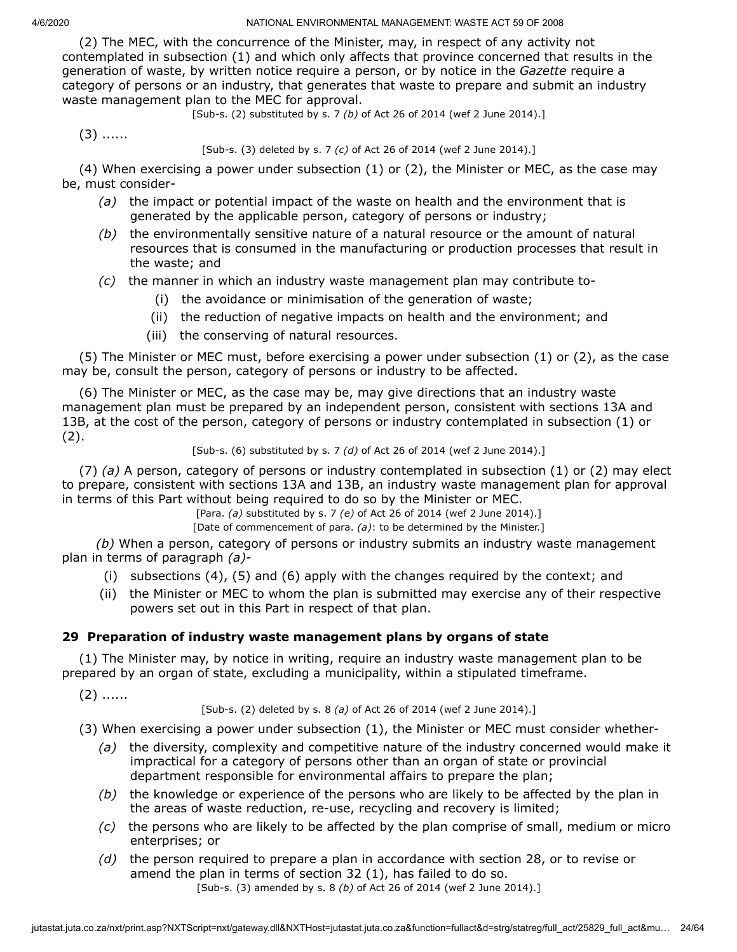(2) The MEC, with the concurrence of the Minister, may, in respect of any activity not contemplated in subsection (1) and which only affects that province concerned that results in the generation of waste, by written notice require a person, or by notice in the *Gazette* require a category of persons or an industry, that generates that waste to prepare and submit an industry waste management plan to the MEC for approval.

[Sub-s. (2) substituted by s. 7 *(b)* of Act 26 of 2014 (wef 2 June 2014).]

 $(3)$  ......

[Sub-s. (3) deleted by s. 7 *(c)* of Act 26 of 2014 (wef 2 June 2014).]

(4) When exercising a power under subsection (1) or (2), the Minister or MEC, as the case may be, must consider-

- *(a)* the impact or potential impact of the waste on health and the environment that is generated by the applicable person, category of persons or industry;
- *(b)* the environmentally sensitive nature of a natural resource or the amount of natural resources that is consumed in the manufacturing or production processes that result in the waste; and
- *(c)* the manner in which an industry waste management plan may contribute to-
	- (i) the avoidance or minimisation of the generation of waste;
	- (ii) the reduction of negative impacts on health and the environment; and
	- (iii) the conserving of natural resources.

(5) The Minister or MEC must, before exercising a power under subsection (1) or (2), as the case may be, consult the person, category of persons or industry to be affected.

(6) The Minister or MEC, as the case may be, may give directions that an industry waste management plan must be prepared by an independent person, consistent with sections 13A and 13B, at the cost of the person, category of persons or industry contemplated in subsection (1) or  $(2).$ 

#### [Sub-s. (6) substituted by s. 7 *(d)* of Act 26 of 2014 (wef 2 June 2014).]

(7) *(a)* A person, category of persons or industry contemplated in subsection (1) or (2) may elect to prepare, consistent with sections 13A and 13B, an industry waste management plan for approval in terms of this Part without being required to do so by the Minister or MEC.

[Para. *(a)* substituted by s. 7 *(e)* of Act 26 of 2014 (wef 2 June 2014).]

[Date of commencement of para. *(a)*: to be determined by the Minister.]

*(b)* When a person, category of persons or industry submits an industry waste management plan in terms of paragraph *(a)*-

- (i) subsections (4), (5) and (6) apply with the changes required by the context; and
- (ii) the Minister or MEC to whom the plan is submitted may exercise any of their respective powers set out in this Part in respect of that plan.

# **29 Preparation of industry waste management plans by organs of state**

(1) The Minister may, by notice in writing, require an industry waste management plan to be prepared by an organ of state, excluding a municipality, within a stipulated timeframe.

 $(2)$  ......

[Sub-s. (2) deleted by s. 8 *(a)* of Act 26 of 2014 (wef 2 June 2014).]

(3) When exercising a power under subsection (1), the Minister or MEC must consider whether-

- *(a)* the diversity, complexity and competitive nature of the industry concerned would make it impractical for a category of persons other than an organ of state or provincial department responsible for environmental affairs to prepare the plan;
- *(b)* the knowledge or experience of the persons who are likely to be affected by the plan in the areas of waste reduction, re-use, recycling and recovery is limited;
- *(c)* the persons who are likely to be affected by the plan comprise of small, medium or micro enterprises; or
- *(d)* the person required to prepare a plan in accordance with section 28, or to revise or amend the plan in terms of section 32 (1), has failed to do so. [Sub-s. (3) amended by s. 8 *(b)* of Act 26 of 2014 (wef 2 June 2014).]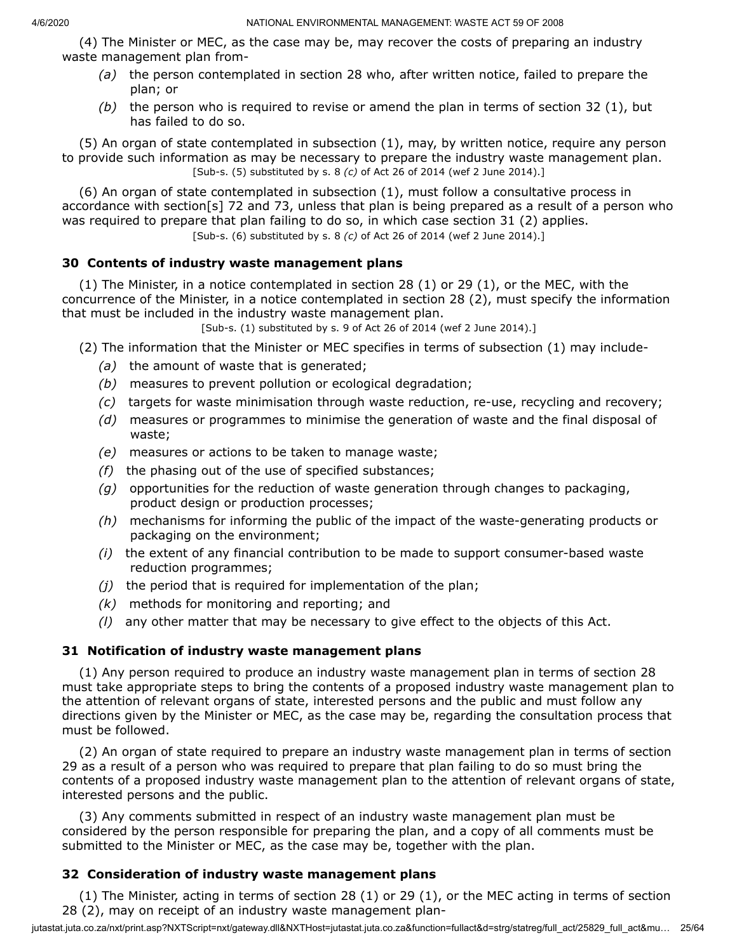(4) The Minister or MEC, as the case may be, may recover the costs of preparing an industry waste management plan from-

- *(a)* the person contemplated in section 28 who, after written notice, failed to prepare the plan; or
- *(b)* the person who is required to revise or amend the plan in terms of section 32 (1), but has failed to do so.

(5) An organ of state contemplated in subsection (1), may, by written notice, require any person to provide such information as may be necessary to prepare the industry waste management plan. [Sub-s. (5) substituted by s. 8 *(c)* of Act 26 of 2014 (wef 2 June 2014).]

(6) An organ of state contemplated in subsection (1), must follow a consultative process in accordance with section[s] 72 and 73, unless that plan is being prepared as a result of a person who was required to prepare that plan failing to do so, in which case section 31 (2) applies. [Sub-s. (6) substituted by s. 8 *(c)* of Act 26 of 2014 (wef 2 June 2014).]

**30 Contents of industry waste management plans**

(1) The Minister, in a notice contemplated in section 28 (1) or 29 (1), or the MEC, with the concurrence of the Minister, in a notice contemplated in section 28 (2), must specify the information that must be included in the industry waste management plan.

[Sub-s. (1) substituted by s. 9 of Act 26 of 2014 (wef 2 June 2014).]

- (2) The information that the Minister or MEC specifies in terms of subsection (1) may include-
	- *(a)* the amount of waste that is generated;
	- *(b)* measures to prevent pollution or ecological degradation;
	- *(c)* targets for waste minimisation through waste reduction, re-use, recycling and recovery;
	- *(d)* measures or programmes to minimise the generation of waste and the final disposal of waste;
	- *(e)* measures or actions to be taken to manage waste;
	- *(f)* the phasing out of the use of specified substances;
	- *(g)* opportunities for the reduction of waste generation through changes to packaging, product design or production processes;
	- *(h)* mechanisms for informing the public of the impact of the waste-generating products or packaging on the environment;
	- *(i)* the extent of any financial contribution to be made to support consumer-based waste reduction programmes;
	- *(j)* the period that is required for implementation of the plan;
	- *(k)* methods for monitoring and reporting; and
	- *(l)* any other matter that may be necessary to give effect to the objects of this Act.

## **31 Notification of industry waste management plans**

(1) Any person required to produce an industry waste management plan in terms of section 28 must take appropriate steps to bring the contents of a proposed industry waste management plan to the attention of relevant organs of state, interested persons and the public and must follow any directions given by the Minister or MEC, as the case may be, regarding the consultation process that must be followed.

(2) An organ of state required to prepare an industry waste management plan in terms of section 29 as a result of a person who was required to prepare that plan failing to do so must bring the contents of a proposed industry waste management plan to the attention of relevant organs of state, interested persons and the public.

(3) Any comments submitted in respect of an industry waste management plan must be considered by the person responsible for preparing the plan, and a copy of all comments must be submitted to the Minister or MEC, as the case may be, together with the plan.

## **32 Consideration of industry waste management plans**

(1) The Minister, acting in terms of section 28 (1) or 29 (1), or the MEC acting in terms of section 28 (2), may on receipt of an industry waste management plan-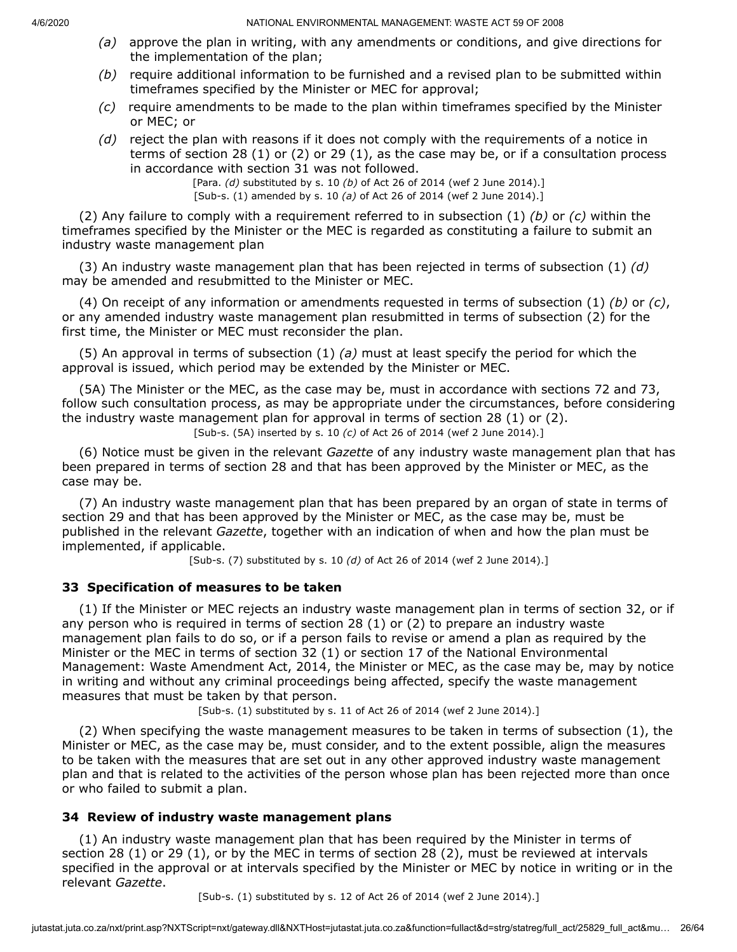- *(a)* approve the plan in writing, with any amendments or conditions, and give directions for the implementation of the plan;
- *(b)* require additional information to be furnished and a revised plan to be submitted within timeframes specified by the Minister or MEC for approval;
- *(c)* require amendments to be made to the plan within timeframes specified by the Minister or MEC; or
- *(d)* reject the plan with reasons if it does not comply with the requirements of a notice in terms of section 28 (1) or (2) or 29 (1), as the case may be, or if a consultation process in accordance with section 31 was not followed.

[Para. *(d)* substituted by s. 10 *(b)* of Act 26 of 2014 (wef 2 June 2014).] [Sub-s. (1) amended by s. 10 *(a)* of Act 26 of 2014 (wef 2 June 2014).]

(2) Any failure to comply with a requirement referred to in subsection (1) *(b)* or *(c)* within the timeframes specified by the Minister or the MEC is regarded as constituting a failure to submit an industry waste management plan

(3) An industry waste management plan that has been rejected in terms of subsection (1) *(d)* may be amended and resubmitted to the Minister or MEC.

(4) On receipt of any information or amendments requested in terms of subsection (1) *(b)* or *(c)*, or any amended industry waste management plan resubmitted in terms of subsection (2) for the first time, the Minister or MEC must reconsider the plan.

(5) An approval in terms of subsection (1) *(a)* must at least specify the period for which the approval is issued, which period may be extended by the Minister or MEC.

(5A) The Minister or the MEC, as the case may be, must in accordance with sections 72 and 73, follow such consultation process, as may be appropriate under the circumstances, before considering the industry waste management plan for approval in terms of section 28 (1) or (2). [Sub-s. (5A) inserted by s. 10 *(c)* of Act 26 of 2014 (wef 2 June 2014).]

(6) Notice must be given in the relevant *Gazette* of any industry waste management plan that has been prepared in terms of section 28 and that has been approved by the Minister or MEC, as the case may be.

(7) An industry waste management plan that has been prepared by an organ of state in terms of section 29 and that has been approved by the Minister or MEC, as the case may be, must be published in the relevant *Gazette*, together with an indication of when and how the plan must be implemented, if applicable.

[Sub-s. (7) substituted by s. 10 *(d)* of Act 26 of 2014 (wef 2 June 2014).]

## **33 Specification of measures to be taken**

(1) If the Minister or MEC rejects an industry waste management plan in terms of section 32, or if any person who is required in terms of section 28 (1) or (2) to prepare an industry waste management plan fails to do so, or if a person fails to revise or amend a plan as required by the Minister or the MEC in terms of section 32 (1) or section 17 of the National Environmental Management: Waste Amendment Act, 2014, the Minister or MEC, as the case may be, may by notice in writing and without any criminal proceedings being affected, specify the waste management measures that must be taken by that person.

[Sub-s. (1) substituted by s. 11 of Act 26 of 2014 (wef 2 June 2014).]

(2) When specifying the waste management measures to be taken in terms of subsection (1), the Minister or MEC, as the case may be, must consider, and to the extent possible, align the measures to be taken with the measures that are set out in any other approved industry waste management plan and that is related to the activities of the person whose plan has been rejected more than once or who failed to submit a plan.

## **34 Review of industry waste management plans**

(1) An industry waste management plan that has been required by the Minister in terms of section 28 (1) or 29 (1), or by the MEC in terms of section 28 (2), must be reviewed at intervals specified in the approval or at intervals specified by the Minister or MEC by notice in writing or in the relevant *Gazette*.

[Sub-s. (1) substituted by s. 12 of Act 26 of 2014 (wef 2 June 2014).]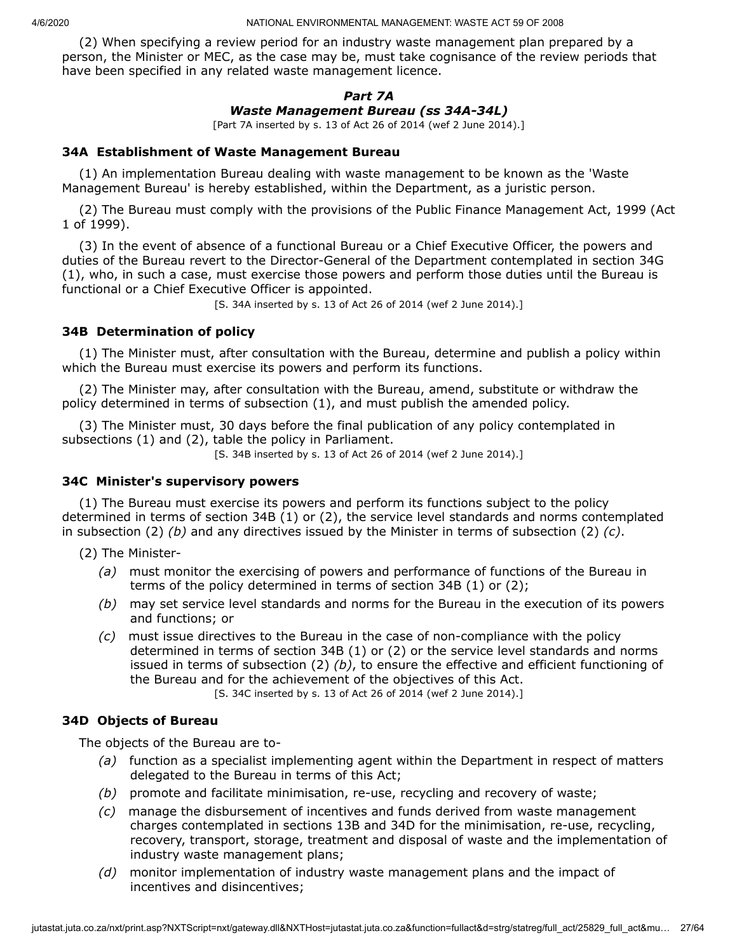(2) When specifying a review period for an industry waste management plan prepared by a person, the Minister or MEC, as the case may be, must take cognisance of the review periods that have been specified in any related waste management licence.

# *Part 7A Waste Management Bureau (ss 34A-34L)*

[Part 7A inserted by s. 13 of Act 26 of 2014 (wef 2 June 2014).]

# **34A Establishment of Waste Management Bureau**

(1) An implementation Bureau dealing with waste management to be known as the 'Waste Management Bureau' is hereby established, within the Department, as a juristic person.

(2) The Bureau must comply with the provisions of the Public Finance Management Act, 1999 (Act 1 of 1999).

(3) In the event of absence of a functional Bureau or a Chief Executive Officer, the powers and duties of the Bureau revert to the Director-General of the Department contemplated in section 34G (1), who, in such a case, must exercise those powers and perform those duties until the Bureau is functional or a Chief Executive Officer is appointed.

[S. 34A inserted by s. 13 of Act 26 of 2014 (wef 2 June 2014).]

# **34B Determination of policy**

(1) The Minister must, after consultation with the Bureau, determine and publish a policy within which the Bureau must exercise its powers and perform its functions.

(2) The Minister may, after consultation with the Bureau, amend, substitute or withdraw the policy determined in terms of subsection (1), and must publish the amended policy.

(3) The Minister must, 30 days before the final publication of any policy contemplated in subsections (1) and (2), table the policy in Parliament.

[S. 34B inserted by s. 13 of Act 26 of 2014 (wef 2 June 2014).]

## **34C Minister's supervisory powers**

(1) The Bureau must exercise its powers and perform its functions subject to the policy determined in terms of section 34B (1) or (2), the service level standards and norms contemplated in subsection (2) *(b)* and any directives issued by the Minister in terms of subsection (2) *(c)*.

(2) The Minister-

- *(a)* must monitor the exercising of powers and performance of functions of the Bureau in terms of the policy determined in terms of section 34B (1) or (2);
- *(b)* may set service level standards and norms for the Bureau in the execution of its powers and functions; or
- *(c)* must issue directives to the Bureau in the case of non-compliance with the policy determined in terms of section 34B (1) or (2) or the service level standards and norms issued in terms of subsection (2) *(b)*, to ensure the effective and efficient functioning of the Bureau and for the achievement of the objectives of this Act.

[S. 34C inserted by s. 13 of Act 26 of 2014 (wef 2 June 2014).]

# **34D Objects of Bureau**

The objects of the Bureau are to-

- *(a)* function as a specialist implementing agent within the Department in respect of matters delegated to the Bureau in terms of this Act;
- *(b)* promote and facilitate minimisation, re-use, recycling and recovery of waste;
- *(c)* manage the disbursement of incentives and funds derived from waste management charges contemplated in sections 13B and 34D for the minimisation, re-use, recycling, recovery, transport, storage, treatment and disposal of waste and the implementation of industry waste management plans;
- *(d)* monitor implementation of industry waste management plans and the impact of incentives and disincentives;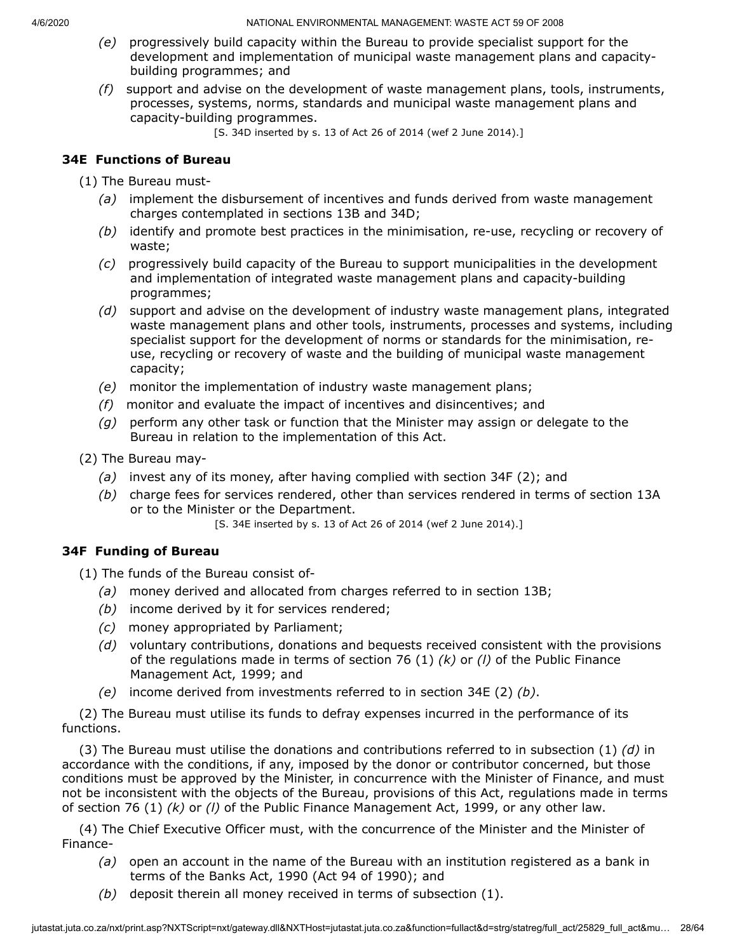- *(e)* progressively build capacity within the Bureau to provide specialist support for the development and implementation of municipal waste management plans and capacitybuilding programmes; and
- *(f)* support and advise on the development of waste management plans, tools, instruments, processes, systems, norms, standards and municipal waste management plans and capacity-building programmes.

[S. 34D inserted by s. 13 of Act 26 of 2014 (wef 2 June 2014).]

# **34E Functions of Bureau**

(1) The Bureau must-

- *(a)* implement the disbursement of incentives and funds derived from waste management charges contemplated in sections 13B and 34D;
- *(b)* identify and promote best practices in the minimisation, re-use, recycling or recovery of waste;
- *(c)* progressively build capacity of the Bureau to support municipalities in the development and implementation of integrated waste management plans and capacity-building programmes;
- *(d)* support and advise on the development of industry waste management plans, integrated waste management plans and other tools, instruments, processes and systems, including specialist support for the development of norms or standards for the minimisation, reuse, recycling or recovery of waste and the building of municipal waste management capacity;
- *(e)* monitor the implementation of industry waste management plans;
- *(f)* monitor and evaluate the impact of incentives and disincentives; and
- *(g)* perform any other task or function that the Minister may assign or delegate to the Bureau in relation to the implementation of this Act.
- (2) The Bureau may-
	- *(a)* invest any of its money, after having complied with section 34F (2); and
	- *(b)* charge fees for services rendered, other than services rendered in terms of section 13A or to the Minister or the Department.

[S. 34E inserted by s. 13 of Act 26 of 2014 (wef 2 June 2014).]

# **34F Funding of Bureau**

(1) The funds of the Bureau consist of-

- *(a)* money derived and allocated from charges referred to in section 13B;
- *(b)* income derived by it for services rendered;
- *(c)* money appropriated by Parliament;
- *(d)* voluntary contributions, donations and bequests received consistent with the provisions of the regulations made in terms of section 76 (1) *(k)* or *(l)* of the Public Finance Management Act, 1999; and
- *(e)* income derived from investments referred to in section 34E (2) *(b)*.

(2) The Bureau must utilise its funds to defray expenses incurred in the performance of its functions.

(3) The Bureau must utilise the donations and contributions referred to in subsection (1) *(d)* in accordance with the conditions, if any, imposed by the donor or contributor concerned, but those conditions must be approved by the Minister, in concurrence with the Minister of Finance, and must not be inconsistent with the objects of the Bureau, provisions of this Act, regulations made in terms of section 76 (1) *(k)* or *(l)* of the Public Finance Management Act, 1999, or any other law.

(4) The Chief Executive Officer must, with the concurrence of the Minister and the Minister of Finance-

- *(a)* open an account in the name of the Bureau with an institution registered as a bank in terms of the Banks Act, 1990 (Act 94 of 1990); and
- *(b)* deposit therein all money received in terms of subsection (1).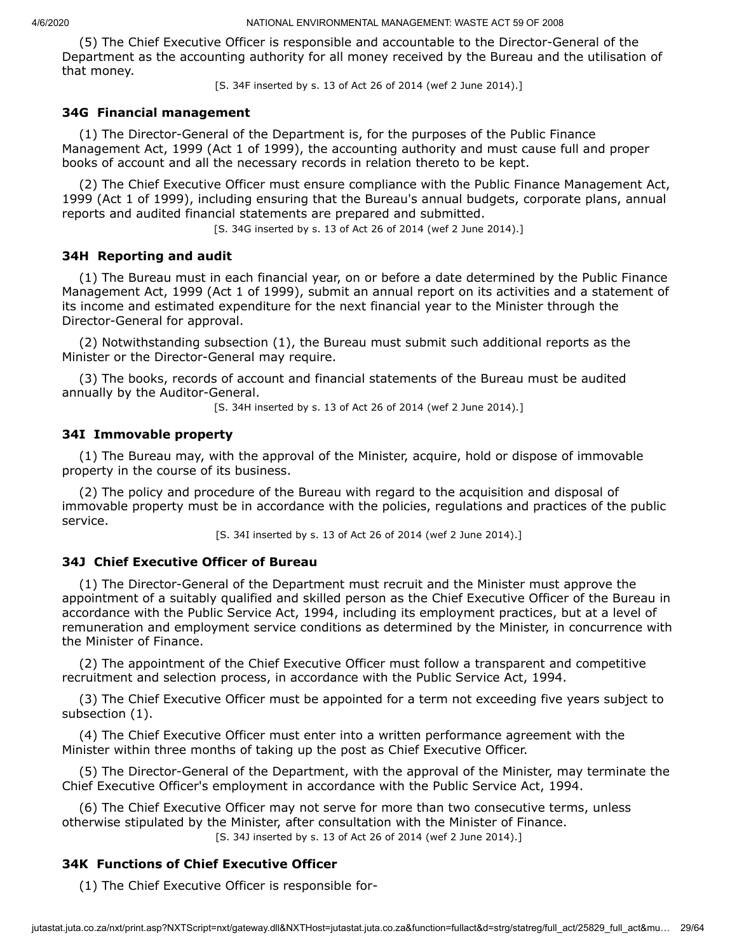(5) The Chief Executive Officer is responsible and accountable to the Director-General of the Department as the accounting authority for all money received by the Bureau and the utilisation of that money.

[S. 34F inserted by s. 13 of Act 26 of 2014 (wef 2 June 2014).]

### **34G Financial management**

(1) The Director-General of the Department is, for the purposes of the Public Finance Management Act, 1999 (Act 1 of 1999), the accounting authority and must cause full and proper books of account and all the necessary records in relation thereto to be kept.

(2) The Chief Executive Officer must ensure compliance with the Public Finance Management Act, 1999 (Act 1 of 1999), including ensuring that the Bureau's annual budgets, corporate plans, annual reports and audited financial statements are prepared and submitted.

[S. 34G inserted by s. 13 of Act 26 of 2014 (wef 2 June 2014).]

#### **34H Reporting and audit**

(1) The Bureau must in each financial year, on or before a date determined by the Public Finance Management Act, 1999 (Act 1 of 1999), submit an annual report on its activities and a statement of its income and estimated expenditure for the next financial year to the Minister through the Director-General for approval.

(2) Notwithstanding subsection (1), the Bureau must submit such additional reports as the Minister or the Director-General may require.

(3) The books, records of account and financial statements of the Bureau must be audited annually by the Auditor-General.

[S. 34H inserted by s. 13 of Act 26 of 2014 (wef 2 June 2014).]

#### **34I Immovable property**

(1) The Bureau may, with the approval of the Minister, acquire, hold or dispose of immovable property in the course of its business.

(2) The policy and procedure of the Bureau with regard to the acquisition and disposal of immovable property must be in accordance with the policies, regulations and practices of the public service.

[S. 34I inserted by s. 13 of Act 26 of 2014 (wef 2 June 2014).]

#### **34J Chief Executive Officer of Bureau**

(1) The Director-General of the Department must recruit and the Minister must approve the appointment of a suitably qualified and skilled person as the Chief Executive Officer of the Bureau in accordance with the Public Service Act, 1994, including its employment practices, but at a level of remuneration and employment service conditions as determined by the Minister, in concurrence with the Minister of Finance.

(2) The appointment of the Chief Executive Officer must follow a transparent and competitive recruitment and selection process, in accordance with the Public Service Act, 1994.

(3) The Chief Executive Officer must be appointed for a term not exceeding five years subject to subsection (1).

(4) The Chief Executive Officer must enter into a written performance agreement with the Minister within three months of taking up the post as Chief Executive Officer.

(5) The Director-General of the Department, with the approval of the Minister, may terminate the Chief Executive Officer's employment in accordance with the Public Service Act, 1994.

(6) The Chief Executive Officer may not serve for more than two consecutive terms, unless otherwise stipulated by the Minister, after consultation with the Minister of Finance.

[S. 34J inserted by s. 13 of Act 26 of 2014 (wef 2 June 2014).]

## **34K Functions of Chief Executive Officer**

(1) The Chief Executive Officer is responsible for-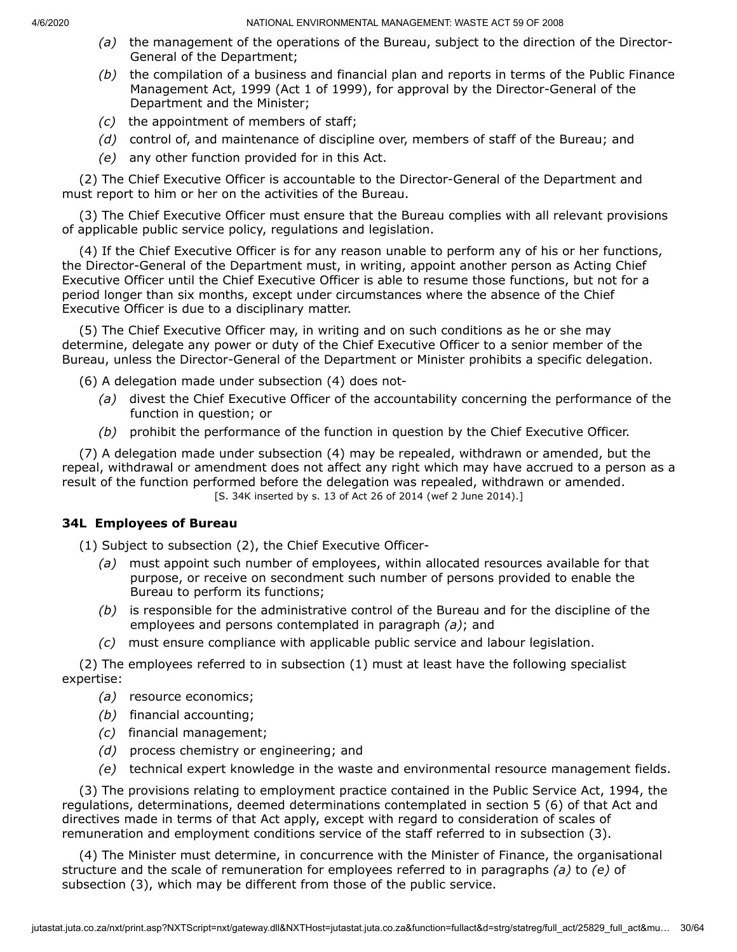- *(a)* the management of the operations of the Bureau, subject to the direction of the Director-General of the Department;
- *(b)* the compilation of a business and financial plan and reports in terms of the Public Finance Management Act, 1999 (Act 1 of 1999), for approval by the Director-General of the Department and the Minister;
- *(c)* the appointment of members of staff;
- *(d)* control of, and maintenance of discipline over, members of staff of the Bureau; and
- *(e)* any other function provided for in this Act.

(2) The Chief Executive Officer is accountable to the Director-General of the Department and must report to him or her on the activities of the Bureau.

(3) The Chief Executive Officer must ensure that the Bureau complies with all relevant provisions of applicable public service policy, regulations and legislation.

(4) If the Chief Executive Officer is for any reason unable to perform any of his or her functions, the Director-General of the Department must, in writing, appoint another person as Acting Chief Executive Officer until the Chief Executive Officer is able to resume those functions, but not for a period longer than six months, except under circumstances where the absence of the Chief Executive Officer is due to a disciplinary matter.

(5) The Chief Executive Officer may, in writing and on such conditions as he or she may determine, delegate any power or duty of the Chief Executive Officer to a senior member of the Bureau, unless the Director-General of the Department or Minister prohibits a specific delegation.

- (6) A delegation made under subsection (4) does not-
	- *(a)* divest the Chief Executive Officer of the accountability concerning the performance of the function in question; or
	- *(b)* prohibit the performance of the function in question by the Chief Executive Officer.

(7) A delegation made under subsection (4) may be repealed, withdrawn or amended, but the repeal, withdrawal or amendment does not affect any right which may have accrued to a person as a result of the function performed before the delegation was repealed, withdrawn or amended. [S. 34K inserted by s. 13 of Act 26 of 2014 (wef 2 June 2014).]

## **34L Employees of Bureau**

(1) Subject to subsection (2), the Chief Executive Officer-

- *(a)* must appoint such number of employees, within allocated resources available for that purpose, or receive on secondment such number of persons provided to enable the Bureau to perform its functions;
- *(b)* is responsible for the administrative control of the Bureau and for the discipline of the employees and persons contemplated in paragraph *(a)*; and
- *(c)* must ensure compliance with applicable public service and labour legislation.

(2) The employees referred to in subsection (1) must at least have the following specialist expertise:

- *(a)* resource economics;
- *(b)* financial accounting;
- *(c)* financial management;
- *(d)* process chemistry or engineering; and
- *(e)* technical expert knowledge in the waste and environmental resource management fields.

(3) The provisions relating to employment practice contained in the Public Service Act, 1994, the regulations, determinations, deemed determinations contemplated in section 5 (6) of that Act and directives made in terms of that Act apply, except with regard to consideration of scales of remuneration and employment conditions service of the staff referred to in subsection (3).

(4) The Minister must determine, in concurrence with the Minister of Finance, the organisational structure and the scale of remuneration for employees referred to in paragraphs *(a)* to *(e)* of subsection (3), which may be different from those of the public service.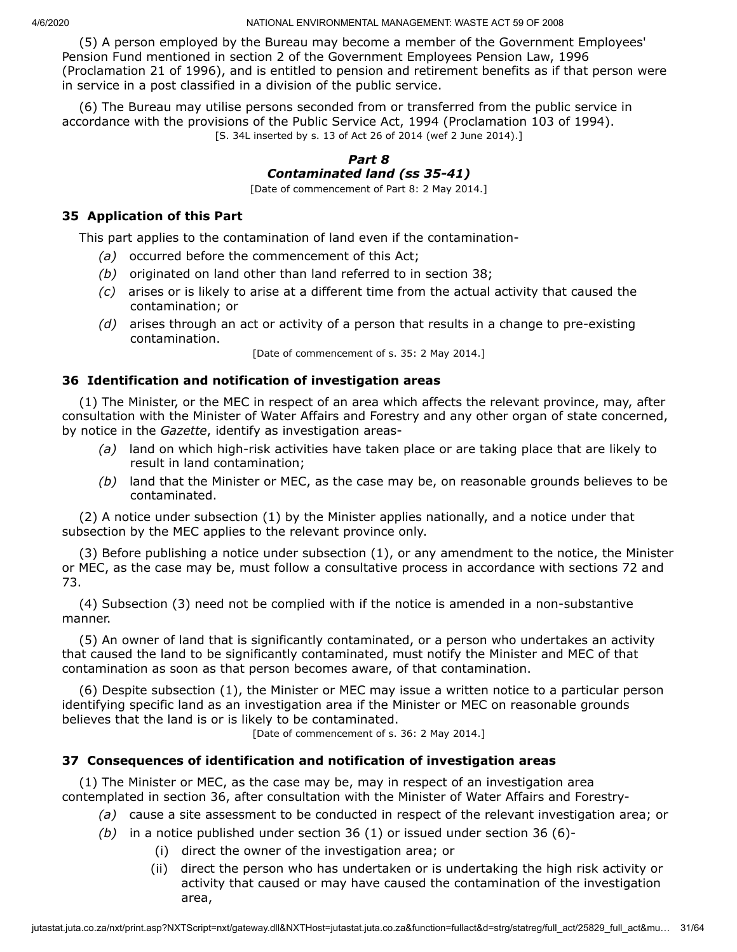(5) A person employed by the Bureau may become a member of the Government Employees' Pension Fund mentioned in section 2 of the Government Employees Pension Law, 1996 (Proclamation 21 of 1996), and is entitled to pension and retirement benefits as if that person were in service in a post classified in a division of the public service.

(6) The Bureau may utilise persons seconded from or transferred from the public service in accordance with the provisions of the Public Service Act, 1994 (Proclamation 103 of 1994). [S. 34L inserted by s. 13 of Act 26 of 2014 (wef 2 June 2014).]

# *Part 8 Contaminated land (ss 35-41)*

[Date of commencement of Part 8: 2 May 2014.]

# **35 Application of this Part**

This part applies to the contamination of land even if the contamination-

- *(a)* occurred before the commencement of this Act;
- *(b)* originated on land other than land referred to in section 38;
- *(c)* arises or is likely to arise at a different time from the actual activity that caused the contamination; or
- *(d)* arises through an act or activity of a person that results in a change to pre-existing contamination.

[Date of commencement of s. 35: 2 May 2014.]

# **36 Identification and notification of investigation areas**

(1) The Minister, or the MEC in respect of an area which affects the relevant province, may, after consultation with the Minister of Water Affairs and Forestry and any other organ of state concerned, by notice in the *Gazette*, identify as investigation areas-

- *(a)* land on which high-risk activities have taken place or are taking place that are likely to result in land contamination;
- *(b)* land that the Minister or MEC, as the case may be, on reasonable grounds believes to be contaminated.

(2) A notice under subsection (1) by the Minister applies nationally, and a notice under that subsection by the MEC applies to the relevant province only.

(3) Before publishing a notice under subsection (1), or any amendment to the notice, the Minister or MEC, as the case may be, must follow a consultative process in accordance with sections 72 and 73.

(4) Subsection (3) need not be complied with if the notice is amended in a non-substantive manner.

(5) An owner of land that is significantly contaminated, or a person who undertakes an activity that caused the land to be significantly contaminated, must notify the Minister and MEC of that contamination as soon as that person becomes aware, of that contamination.

(6) Despite subsection (1), the Minister or MEC may issue a written notice to a particular person identifying specific land as an investigation area if the Minister or MEC on reasonable grounds believes that the land is or is likely to be contaminated.

[Date of commencement of s. 36: 2 May 2014.]

# **37 Consequences of identification and notification of investigation areas**

(1) The Minister or MEC, as the case may be, may in respect of an investigation area contemplated in section 36, after consultation with the Minister of Water Affairs and Forestry-

- *(a)* cause a site assessment to be conducted in respect of the relevant investigation area; or
- *(b)* in a notice published under section 36 (1) or issued under section 36 (6)-
	- (i) direct the owner of the investigation area; or
	- (ii) direct the person who has undertaken or is undertaking the high risk activity or activity that caused or may have caused the contamination of the investigation area,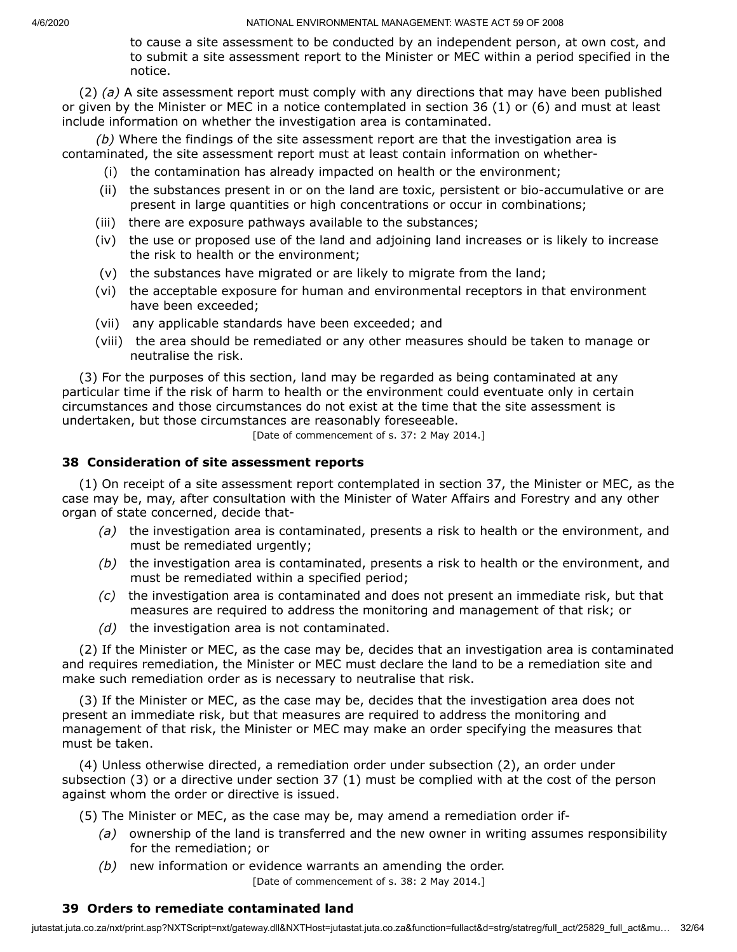to cause a site assessment to be conducted by an independent person, at own cost, and to submit a site assessment report to the Minister or MEC within a period specified in the notice.

(2) *(a)* A site assessment report must comply with any directions that may have been published or given by the Minister or MEC in a notice contemplated in section 36 (1) or (6) and must at least include information on whether the investigation area is contaminated.

*(b)* Where the findings of the site assessment report are that the investigation area is contaminated, the site assessment report must at least contain information on whether-

- (i) the contamination has already impacted on health or the environment;
- (ii) the substances present in or on the land are toxic, persistent or bio-accumulative or are present in large quantities or high concentrations or occur in combinations;
- (iii) there are exposure pathways available to the substances;
- (iv) the use or proposed use of the land and adjoining land increases or is likely to increase the risk to health or the environment;
- (v) the substances have migrated or are likely to migrate from the land;
- (vi) the acceptable exposure for human and environmental receptors in that environment have been exceeded;
- (vii) any applicable standards have been exceeded; and
- (viii) the area should be remediated or any other measures should be taken to manage or neutralise the risk.

(3) For the purposes of this section, land may be regarded as being contaminated at any particular time if the risk of harm to health or the environment could eventuate only in certain circumstances and those circumstances do not exist at the time that the site assessment is undertaken, but those circumstances are reasonably foreseeable.

[Date of commencement of s. 37: 2 May 2014.]

# **38 Consideration of site assessment reports**

(1) On receipt of a site assessment report contemplated in section 37, the Minister or MEC, as the case may be, may, after consultation with the Minister of Water Affairs and Forestry and any other organ of state concerned, decide that-

- *(a)* the investigation area is contaminated, presents a risk to health or the environment, and must be remediated urgently;
- *(b)* the investigation area is contaminated, presents a risk to health or the environment, and must be remediated within a specified period;
- *(c)* the investigation area is contaminated and does not present an immediate risk, but that measures are required to address the monitoring and management of that risk; or
- *(d)* the investigation area is not contaminated.

(2) If the Minister or MEC, as the case may be, decides that an investigation area is contaminated and requires remediation, the Minister or MEC must declare the land to be a remediation site and make such remediation order as is necessary to neutralise that risk.

(3) If the Minister or MEC, as the case may be, decides that the investigation area does not present an immediate risk, but that measures are required to address the monitoring and management of that risk, the Minister or MEC may make an order specifying the measures that must be taken.

(4) Unless otherwise directed, a remediation order under subsection (2), an order under subsection (3) or a directive under section 37 (1) must be complied with at the cost of the person against whom the order or directive is issued.

- (5) The Minister or MEC, as the case may be, may amend a remediation order if-
	- *(a)* ownership of the land is transferred and the new owner in writing assumes responsibility for the remediation; or
	- *(b)* new information or evidence warrants an amending the order. [Date of commencement of s. 38: 2 May 2014.]

# **39 Orders to remediate contaminated land**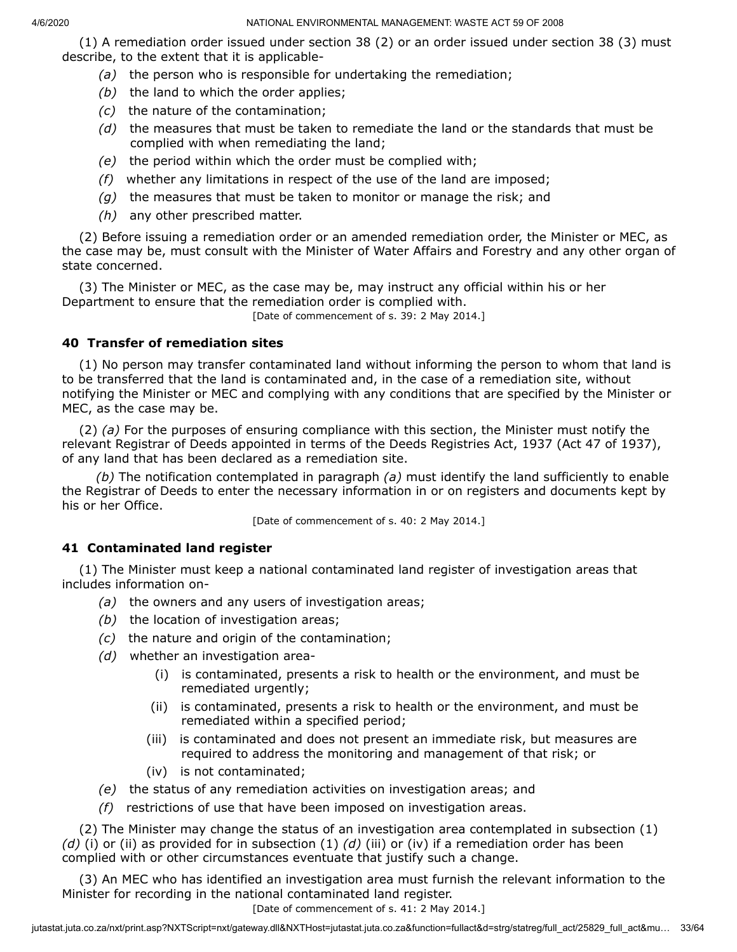(1) A remediation order issued under section 38 (2) or an order issued under section 38 (3) must describe, to the extent that it is applicable-

- *(a)* the person who is responsible for undertaking the remediation;
- *(b)* the land to which the order applies;
- *(c)* the nature of the contamination;
- *(d)* the measures that must be taken to remediate the land or the standards that must be complied with when remediating the land;
- *(e)* the period within which the order must be complied with;
- *(f)* whether any limitations in respect of the use of the land are imposed;
- *(g)* the measures that must be taken to monitor or manage the risk; and
- *(h)* any other prescribed matter.

(2) Before issuing a remediation order or an amended remediation order, the Minister or MEC, as the case may be, must consult with the Minister of Water Affairs and Forestry and any other organ of state concerned.

(3) The Minister or MEC, as the case may be, may instruct any official within his or her Department to ensure that the remediation order is complied with.

[Date of commencement of s. 39: 2 May 2014.]

# **40 Transfer of remediation sites**

(1) No person may transfer contaminated land without informing the person to whom that land is to be transferred that the land is contaminated and, in the case of a remediation site, without notifying the Minister or MEC and complying with any conditions that are specified by the Minister or MEC, as the case may be.

(2) *(a)* For the purposes of ensuring compliance with this section, the Minister must notify the relevant Registrar of Deeds appointed in terms of the Deeds Registries Act, 1937 (Act 47 of 1937), of any land that has been declared as a remediation site.

*(b)* The notification contemplated in paragraph *(a)* must identify the land sufficiently to enable the Registrar of Deeds to enter the necessary information in or on registers and documents kept by his or her Office.

[Date of commencement of s. 40: 2 May 2014.]

## **41 Contaminated land register**

(1) The Minister must keep a national contaminated land register of investigation areas that includes information on-

- *(a)* the owners and any users of investigation areas;
- *(b)* the location of investigation areas;
- *(c)* the nature and origin of the contamination;
- *(d)* whether an investigation area-
	- (i) is contaminated, presents a risk to health or the environment, and must be remediated urgently;
	- (ii) is contaminated, presents a risk to health or the environment, and must be remediated within a specified period;
	- (iii) is contaminated and does not present an immediate risk, but measures are required to address the monitoring and management of that risk; or
	- (iv) is not contaminated;
- *(e)* the status of any remediation activities on investigation areas; and
- *(f)* restrictions of use that have been imposed on investigation areas.

(2) The Minister may change the status of an investigation area contemplated in subsection (1) *(d)* (i) or (ii) as provided for in subsection (1) *(d)* (iii) or (iv) if a remediation order has been complied with or other circumstances eventuate that justify such a change.

(3) An MEC who has identified an investigation area must furnish the relevant information to the Minister for recording in the national contaminated land register.

#### [Date of commencement of s. 41: 2 May 2014.]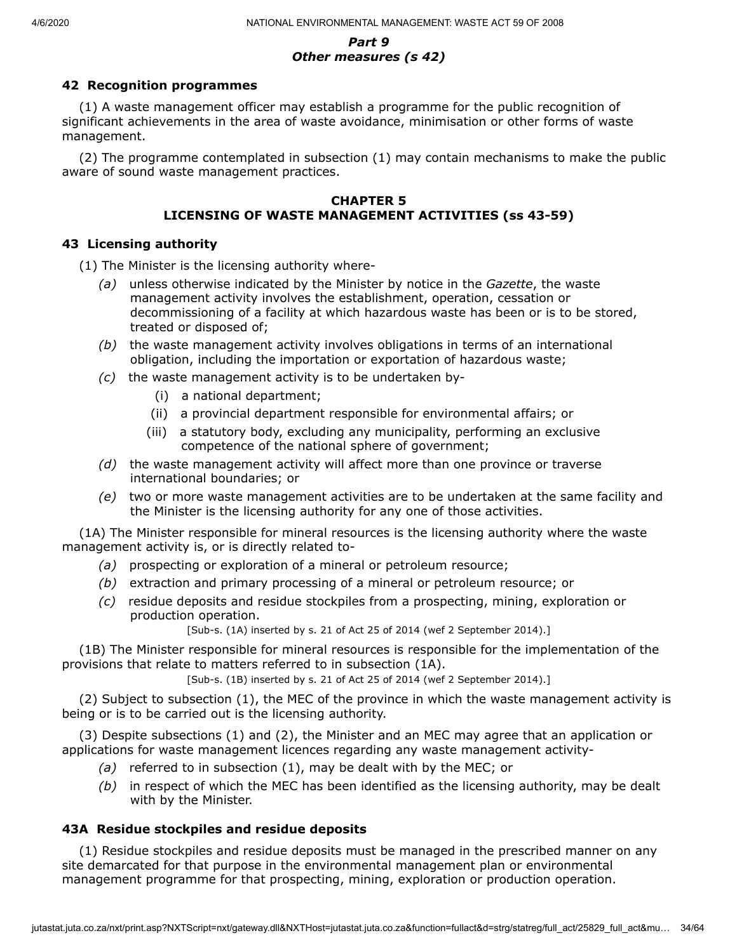#### *Part 9 Other measures (s 42)*

# **42 Recognition programmes**

(1) A waste management officer may establish a programme for the public recognition of significant achievements in the area of waste avoidance, minimisation or other forms of waste management.

(2) The programme contemplated in subsection (1) may contain mechanisms to make the public aware of sound waste management practices.

#### **CHAPTER 5 LICENSING OF WASTE MANAGEMENT ACTIVITIES (ss 43-59)**

# **43 Licensing authority**

(1) The Minister is the licensing authority where-

- *(a)* unless otherwise indicated by the Minister by notice in the *Gazette*, the waste management activity involves the establishment, operation, cessation or decommissioning of a facility at which hazardous waste has been or is to be stored, treated or disposed of;
- *(b)* the waste management activity involves obligations in terms of an international obligation, including the importation or exportation of hazardous waste;
- *(c)* the waste management activity is to be undertaken by-
	- (i) a national department;
	- (ii) a provincial department responsible for environmental affairs; or
	- (iii) a statutory body, excluding any municipality, performing an exclusive competence of the national sphere of government;
- *(d)* the waste management activity will affect more than one province or traverse international boundaries; or
- *(e)* two or more waste management activities are to be undertaken at the same facility and the Minister is the licensing authority for any one of those activities.

(1A) The Minister responsible for mineral resources is the licensing authority where the waste management activity is, or is directly related to-

- *(a)* prospecting or exploration of a mineral or petroleum resource;
- *(b)* extraction and primary processing of a mineral or petroleum resource; or
- *(c)* residue deposits and residue stockpiles from a prospecting, mining, exploration or production operation.

[Sub-s. (1A) inserted by s. 21 of Act 25 of 2014 (wef 2 September 2014).]

(1B) The Minister responsible for mineral resources is responsible for the implementation of the provisions that relate to matters referred to in subsection (1A).

[Sub-s. (1B) inserted by s. 21 of Act 25 of 2014 (wef 2 September 2014).]

(2) Subject to subsection (1), the MEC of the province in which the waste management activity is being or is to be carried out is the licensing authority.

(3) Despite subsections (1) and (2), the Minister and an MEC may agree that an application or applications for waste management licences regarding any waste management activity-

- *(a)* referred to in subsection (1), may be dealt with by the MEC; or
- *(b)* in respect of which the MEC has been identified as the licensing authority, may be dealt with by the Minister.

# **43A Residue stockpiles and residue deposits**

(1) Residue stockpiles and residue deposits must be managed in the prescribed manner on any site demarcated for that purpose in the environmental management plan or environmental management programme for that prospecting, mining, exploration or production operation.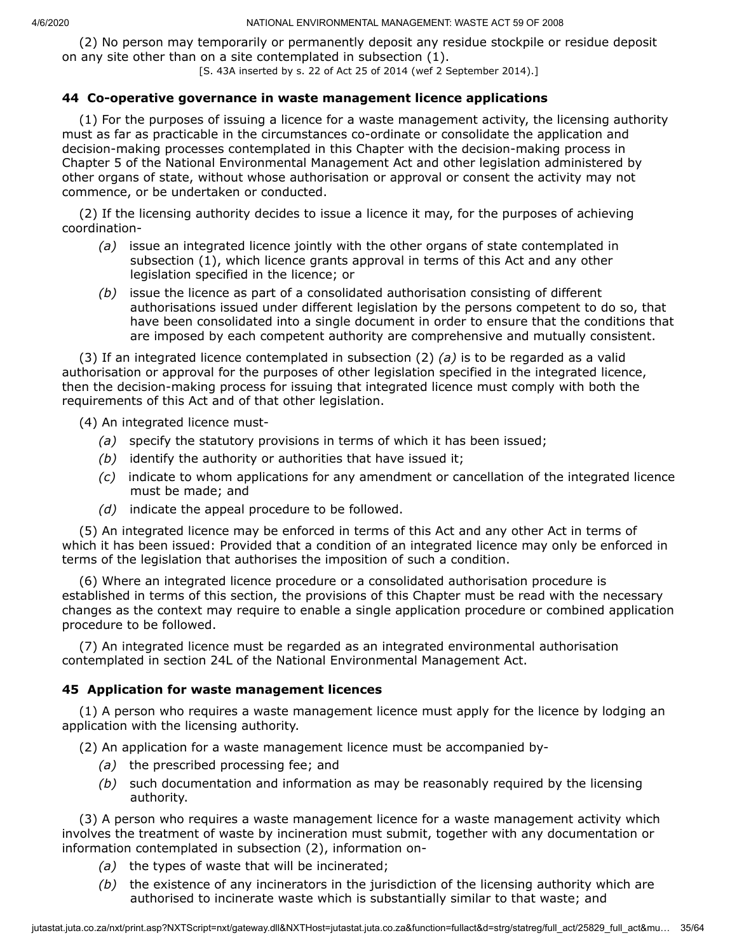(2) No person may temporarily or permanently deposit any residue stockpile or residue deposit on any site other than on a site contemplated in subsection (1).

[S. 43A inserted by s. 22 of Act 25 of 2014 (wef 2 September 2014).]

#### **44 Co-operative governance in waste management licence applications**

(1) For the purposes of issuing a licence for a waste management activity, the licensing authority must as far as practicable in the circumstances co-ordinate or consolidate the application and decision-making processes contemplated in this Chapter with the decision-making process in Chapter 5 of the National Environmental Management Act and other legislation administered by other organs of state, without whose authorisation or approval or consent the activity may not commence, or be undertaken or conducted.

(2) If the licensing authority decides to issue a licence it may, for the purposes of achieving coordination-

- *(a)* issue an integrated licence jointly with the other organs of state contemplated in subsection (1), which licence grants approval in terms of this Act and any other legislation specified in the licence; or
- *(b)* issue the licence as part of a consolidated authorisation consisting of different authorisations issued under different legislation by the persons competent to do so, that have been consolidated into a single document in order to ensure that the conditions that are imposed by each competent authority are comprehensive and mutually consistent.

(3) If an integrated licence contemplated in subsection (2) *(a)* is to be regarded as a valid authorisation or approval for the purposes of other legislation specified in the integrated licence, then the decision-making process for issuing that integrated licence must comply with both the requirements of this Act and of that other legislation.

(4) An integrated licence must-

- *(a)* specify the statutory provisions in terms of which it has been issued;
- *(b)* identify the authority or authorities that have issued it;
- *(c)* indicate to whom applications for any amendment or cancellation of the integrated licence must be made; and
- *(d)* indicate the appeal procedure to be followed.

(5) An integrated licence may be enforced in terms of this Act and any other Act in terms of which it has been issued: Provided that a condition of an integrated licence may only be enforced in terms of the legislation that authorises the imposition of such a condition.

(6) Where an integrated licence procedure or a consolidated authorisation procedure is established in terms of this section, the provisions of this Chapter must be read with the necessary changes as the context may require to enable a single application procedure or combined application procedure to be followed.

(7) An integrated licence must be regarded as an integrated environmental authorisation contemplated in section 24L of the National Environmental Management Act.

## **45 Application for waste management licences**

(1) A person who requires a waste management licence must apply for the licence by lodging an application with the licensing authority.

(2) An application for a waste management licence must be accompanied by-

- *(a)* the prescribed processing fee; and
- *(b)* such documentation and information as may be reasonably required by the licensing authority.

(3) A person who requires a waste management licence for a waste management activity which involves the treatment of waste by incineration must submit, together with any documentation or information contemplated in subsection (2), information on-

- *(a)* the types of waste that will be incinerated;
- *(b)* the existence of any incinerators in the jurisdiction of the licensing authority which are authorised to incinerate waste which is substantially similar to that waste; and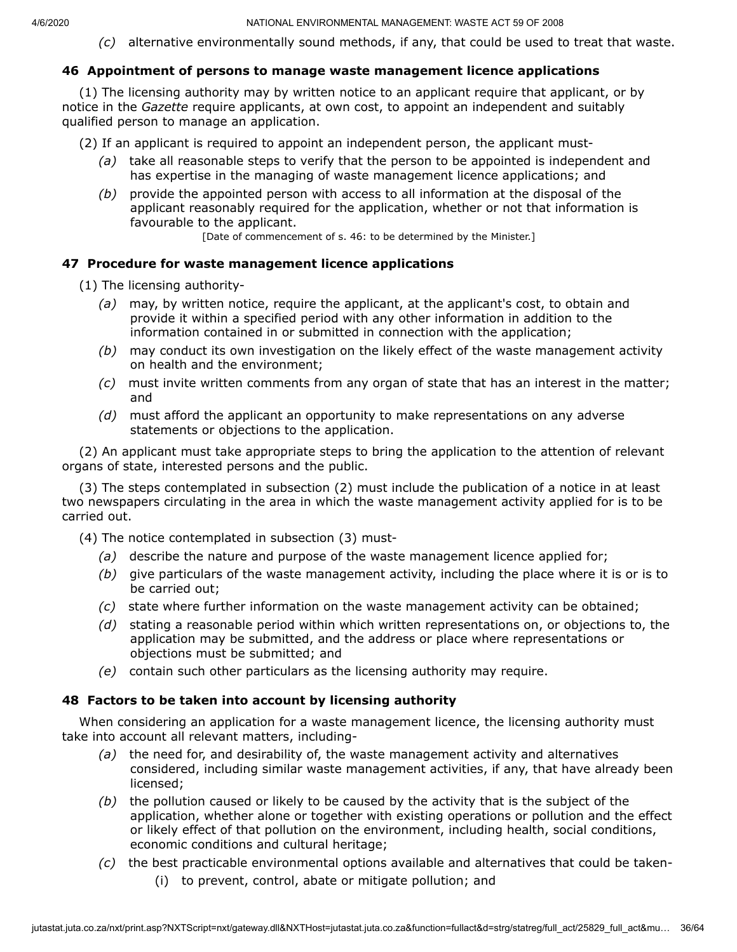*(c)* alternative environmentally sound methods, if any, that could be used to treat that waste.

## **46 Appointment of persons to manage waste management licence applications**

(1) The licensing authority may by written notice to an applicant require that applicant, or by notice in the *Gazette* require applicants, at own cost, to appoint an independent and suitably qualified person to manage an application.

- (2) If an applicant is required to appoint an independent person, the applicant must-
	- *(a)* take all reasonable steps to verify that the person to be appointed is independent and has expertise in the managing of waste management licence applications; and
	- *(b)* provide the appointed person with access to all information at the disposal of the applicant reasonably required for the application, whether or not that information is favourable to the applicant.

[Date of commencement of s. 46: to be determined by the Minister.]

## **47 Procedure for waste management licence applications**

- (1) The licensing authority-
	- *(a)* may, by written notice, require the applicant, at the applicant's cost, to obtain and provide it within a specified period with any other information in addition to the information contained in or submitted in connection with the application;
	- *(b)* may conduct its own investigation on the likely effect of the waste management activity on health and the environment;
	- *(c)* must invite written comments from any organ of state that has an interest in the matter; and
	- *(d)* must afford the applicant an opportunity to make representations on any adverse statements or objections to the application.

(2) An applicant must take appropriate steps to bring the application to the attention of relevant organs of state, interested persons and the public.

(3) The steps contemplated in subsection (2) must include the publication of a notice in at least two newspapers circulating in the area in which the waste management activity applied for is to be carried out.

- (4) The notice contemplated in subsection (3) must-
	- *(a)* describe the nature and purpose of the waste management licence applied for;
	- *(b)* give particulars of the waste management activity, including the place where it is or is to be carried out;
	- *(c)* state where further information on the waste management activity can be obtained;
	- *(d)* stating a reasonable period within which written representations on, or objections to, the application may be submitted, and the address or place where representations or objections must be submitted; and
	- *(e)* contain such other particulars as the licensing authority may require.

## **48 Factors to be taken into account by licensing authority**

When considering an application for a waste management licence, the licensing authority must take into account all relevant matters, including-

- *(a)* the need for, and desirability of, the waste management activity and alternatives considered, including similar waste management activities, if any, that have already been licensed;
- *(b)* the pollution caused or likely to be caused by the activity that is the subject of the application, whether alone or together with existing operations or pollution and the effect or likely effect of that pollution on the environment, including health, social conditions, economic conditions and cultural heritage;
- *(c)* the best practicable environmental options available and alternatives that could be taken-
	- (i) to prevent, control, abate or mitigate pollution; and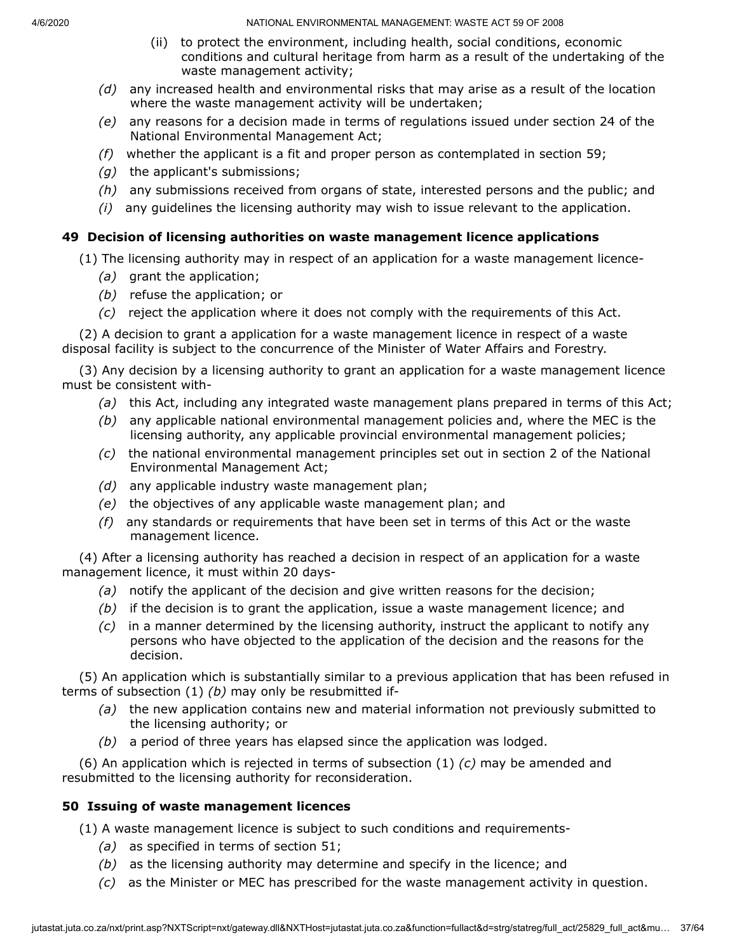- (ii) to protect the environment, including health, social conditions, economic conditions and cultural heritage from harm as a result of the undertaking of the waste management activity;
- *(d)* any increased health and environmental risks that may arise as a result of the location where the waste management activity will be undertaken;
- *(e)* any reasons for a decision made in terms of regulations issued under section 24 of the National Environmental Management Act;
- *(f)* whether the applicant is a fit and proper person as contemplated in section 59;
- *(g)* the applicant's submissions;
- *(h)* any submissions received from organs of state, interested persons and the public; and
- *(i)* any guidelines the licensing authority may wish to issue relevant to the application.

## **49 Decision of licensing authorities on waste management licence applications**

(1) The licensing authority may in respect of an application for a waste management licence-

- *(a)* grant the application;
- *(b)* refuse the application; or
- *(c)* reject the application where it does not comply with the requirements of this Act.

(2) A decision to grant a application for a waste management licence in respect of a waste disposal facility is subject to the concurrence of the Minister of Water Affairs and Forestry.

(3) Any decision by a licensing authority to grant an application for a waste management licence must be consistent with-

- *(a)* this Act, including any integrated waste management plans prepared in terms of this Act;
- *(b)* any applicable national environmental management policies and, where the MEC is the licensing authority, any applicable provincial environmental management policies;
- *(c)* the national environmental management principles set out in section 2 of the National Environmental Management Act;
- *(d)* any applicable industry waste management plan;
- *(e)* the objectives of any applicable waste management plan; and
- *(f)* any standards or requirements that have been set in terms of this Act or the waste management licence.

(4) After a licensing authority has reached a decision in respect of an application for a waste management licence, it must within 20 days-

- *(a)* notify the applicant of the decision and give written reasons for the decision;
- *(b)* if the decision is to grant the application, issue a waste management licence; and
- *(c)* in a manner determined by the licensing authority, instruct the applicant to notify any persons who have objected to the application of the decision and the reasons for the decision.

(5) An application which is substantially similar to a previous application that has been refused in terms of subsection (1) *(b)* may only be resubmitted if-

- *(a)* the new application contains new and material information not previously submitted to the licensing authority; or
- *(b)* a period of three years has elapsed since the application was lodged.

(6) An application which is rejected in terms of subsection (1) *(c)* may be amended and resubmitted to the licensing authority for reconsideration.

## **50 Issuing of waste management licences**

(1) A waste management licence is subject to such conditions and requirements-

- *(a)* as specified in terms of section 51;
- *(b)* as the licensing authority may determine and specify in the licence; and
- *(c)* as the Minister or MEC has prescribed for the waste management activity in question.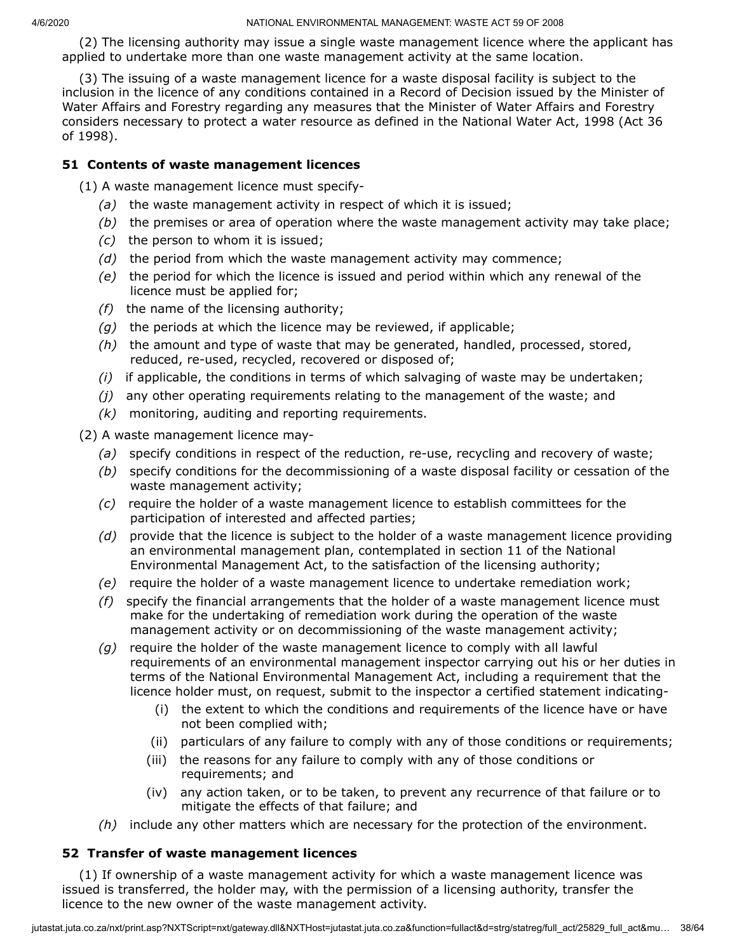(2) The licensing authority may issue a single waste management licence where the applicant has applied to undertake more than one waste management activity at the same location.

(3) The issuing of a waste management licence for a waste disposal facility is subject to the inclusion in the licence of any conditions contained in a Record of Decision issued by the Minister of Water Affairs and Forestry regarding any measures that the Minister of Water Affairs and Forestry considers necessary to protect a water resource as defined in the National Water Act, 1998 (Act 36 of 1998).

# **51 Contents of waste management licences**

(1) A waste management licence must specify-

- *(a)* the waste management activity in respect of which it is issued;
- *(b)* the premises or area of operation where the waste management activity may take place;
- *(c)* the person to whom it is issued;
- *(d)* the period from which the waste management activity may commence;
- *(e)* the period for which the licence is issued and period within which any renewal of the licence must be applied for;
- *(f)* the name of the licensing authority;
- *(g)* the periods at which the licence may be reviewed, if applicable;
- *(h)* the amount and type of waste that may be generated, handled, processed, stored, reduced, re-used, recycled, recovered or disposed of;
- *(i)* if applicable, the conditions in terms of which salvaging of waste may be undertaken;
- *(j)* any other operating requirements relating to the management of the waste; and
- *(k)* monitoring, auditing and reporting requirements.

(2) A waste management licence may-

- *(a)* specify conditions in respect of the reduction, re-use, recycling and recovery of waste;
- *(b)* specify conditions for the decommissioning of a waste disposal facility or cessation of the waste management activity;
- *(c)* require the holder of a waste management licence to establish committees for the participation of interested and affected parties;
- *(d)* provide that the licence is subject to the holder of a waste management licence providing an environmental management plan, contemplated in section 11 of the National Environmental Management Act, to the satisfaction of the licensing authority;
- *(e)* require the holder of a waste management licence to undertake remediation work;
- *(f)* specify the financial arrangements that the holder of a waste management licence must make for the undertaking of remediation work during the operation of the waste management activity or on decommissioning of the waste management activity;
- *(g)* require the holder of the waste management licence to comply with all lawful requirements of an environmental management inspector carrying out his or her duties in terms of the National Environmental Management Act, including a requirement that the licence holder must, on request, submit to the inspector a certified statement indicating-
	- (i) the extent to which the conditions and requirements of the licence have or have not been complied with;
	- (ii) particulars of any failure to comply with any of those conditions or requirements;
	- (iii) the reasons for any failure to comply with any of those conditions or requirements; and
	- (iv) any action taken, or to be taken, to prevent any recurrence of that failure or to mitigate the effects of that failure; and
- *(h)* include any other matters which are necessary for the protection of the environment.

## **52 Transfer of waste management licences**

(1) If ownership of a waste management activity for which a waste management licence was issued is transferred, the holder may, with the permission of a licensing authority, transfer the licence to the new owner of the waste management activity.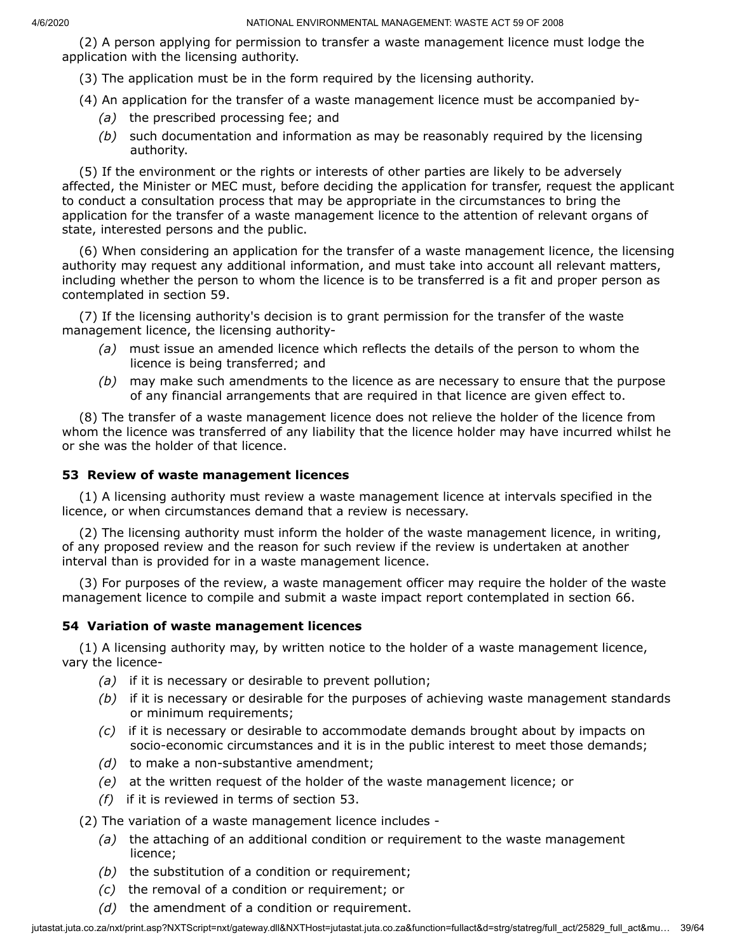(2) A person applying for permission to transfer a waste management licence must lodge the application with the licensing authority.

(3) The application must be in the form required by the licensing authority.

(4) An application for the transfer of a waste management licence must be accompanied by-

- *(a)* the prescribed processing fee; and
- *(b)* such documentation and information as may be reasonably required by the licensing authority.

(5) If the environment or the rights or interests of other parties are likely to be adversely affected, the Minister or MEC must, before deciding the application for transfer, request the applicant to conduct a consultation process that may be appropriate in the circumstances to bring the application for the transfer of a waste management licence to the attention of relevant organs of state, interested persons and the public.

(6) When considering an application for the transfer of a waste management licence, the licensing authority may request any additional information, and must take into account all relevant matters, including whether the person to whom the licence is to be transferred is a fit and proper person as contemplated in section 59.

(7) If the licensing authority's decision is to grant permission for the transfer of the waste management licence, the licensing authority-

- *(a)* must issue an amended licence which reflects the details of the person to whom the licence is being transferred; and
- *(b)* may make such amendments to the licence as are necessary to ensure that the purpose of any financial arrangements that are required in that licence are given effect to.

(8) The transfer of a waste management licence does not relieve the holder of the licence from whom the licence was transferred of any liability that the licence holder may have incurred whilst he or she was the holder of that licence.

## **53 Review of waste management licences**

(1) A licensing authority must review a waste management licence at intervals specified in the licence, or when circumstances demand that a review is necessary.

(2) The licensing authority must inform the holder of the waste management licence, in writing, of any proposed review and the reason for such review if the review is undertaken at another interval than is provided for in a waste management licence.

(3) For purposes of the review, a waste management officer may require the holder of the waste management licence to compile and submit a waste impact report contemplated in section 66.

#### **54 Variation of waste management licences**

(1) A licensing authority may, by written notice to the holder of a waste management licence, vary the licence-

- *(a)* if it is necessary or desirable to prevent pollution;
- *(b)* if it is necessary or desirable for the purposes of achieving waste management standards or minimum requirements;
- *(c)* if it is necessary or desirable to accommodate demands brought about by impacts on socio-economic circumstances and it is in the public interest to meet those demands;
- *(d)* to make a non-substantive amendment;
- *(e)* at the written request of the holder of the waste management licence; or
- *(f)* if it is reviewed in terms of section 53.

(2) The variation of a waste management licence includes -

- *(a)* the attaching of an additional condition or requirement to the waste management licence;
- *(b)* the substitution of a condition or requirement;
- *(c)* the removal of a condition or requirement; or
- *(d)* the amendment of a condition or requirement.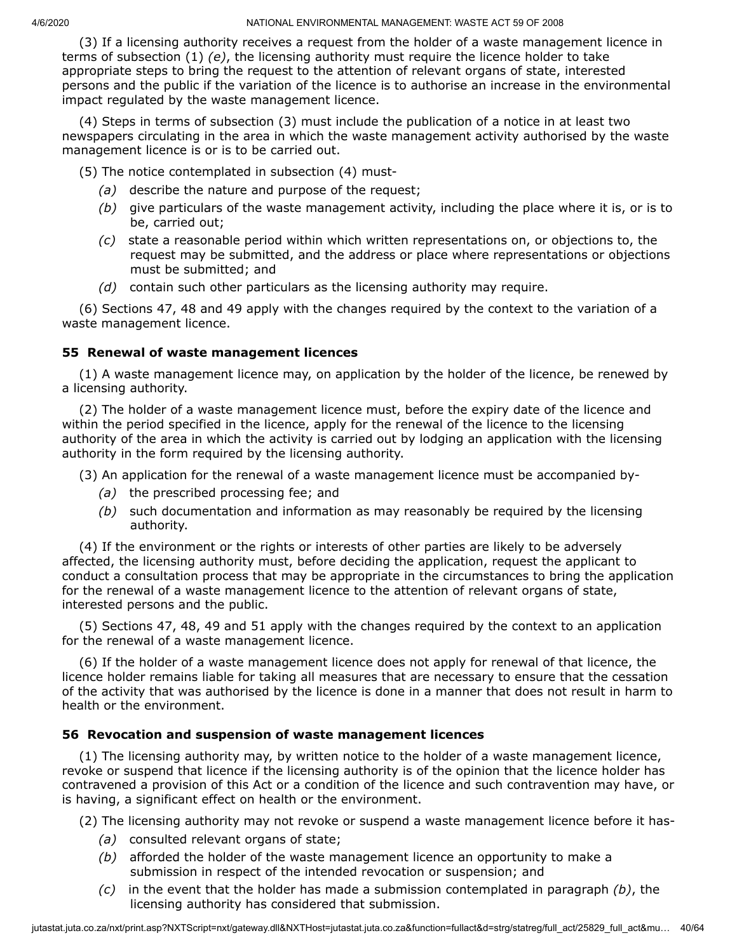(3) If a licensing authority receives a request from the holder of a waste management licence in terms of subsection (1) *(e)*, the licensing authority must require the licence holder to take appropriate steps to bring the request to the attention of relevant organs of state, interested persons and the public if the variation of the licence is to authorise an increase in the environmental impact regulated by the waste management licence.

(4) Steps in terms of subsection (3) must include the publication of a notice in at least two newspapers circulating in the area in which the waste management activity authorised by the waste management licence is or is to be carried out.

(5) The notice contemplated in subsection (4) must-

- *(a)* describe the nature and purpose of the request;
- *(b)* give particulars of the waste management activity, including the place where it is, or is to be, carried out;
- *(c)* state a reasonable period within which written representations on, or objections to, the request may be submitted, and the address or place where representations or objections must be submitted; and
- *(d)* contain such other particulars as the licensing authority may require.

(6) Sections 47, 48 and 49 apply with the changes required by the context to the variation of a waste management licence.

## **55 Renewal of waste management licences**

(1) A waste management licence may, on application by the holder of the licence, be renewed by a licensing authority.

(2) The holder of a waste management licence must, before the expiry date of the licence and within the period specified in the licence, apply for the renewal of the licence to the licensing authority of the area in which the activity is carried out by lodging an application with the licensing authority in the form required by the licensing authority.

(3) An application for the renewal of a waste management licence must be accompanied by-

- *(a)* the prescribed processing fee; and
- *(b)* such documentation and information as may reasonably be required by the licensing authority.

(4) If the environment or the rights or interests of other parties are likely to be adversely affected, the licensing authority must, before deciding the application, request the applicant to conduct a consultation process that may be appropriate in the circumstances to bring the application for the renewal of a waste management licence to the attention of relevant organs of state, interested persons and the public.

(5) Sections 47, 48, 49 and 51 apply with the changes required by the context to an application for the renewal of a waste management licence.

(6) If the holder of a waste management licence does not apply for renewal of that licence, the licence holder remains liable for taking all measures that are necessary to ensure that the cessation of the activity that was authorised by the licence is done in a manner that does not result in harm to health or the environment.

## **56 Revocation and suspension of waste management licences**

(1) The licensing authority may, by written notice to the holder of a waste management licence, revoke or suspend that licence if the licensing authority is of the opinion that the licence holder has contravened a provision of this Act or a condition of the licence and such contravention may have, or is having, a significant effect on health or the environment.

(2) The licensing authority may not revoke or suspend a waste management licence before it has-

- *(a)* consulted relevant organs of state;
- *(b)* afforded the holder of the waste management licence an opportunity to make a submission in respect of the intended revocation or suspension; and
- *(c)* in the event that the holder has made a submission contemplated in paragraph *(b)*, the licensing authority has considered that submission.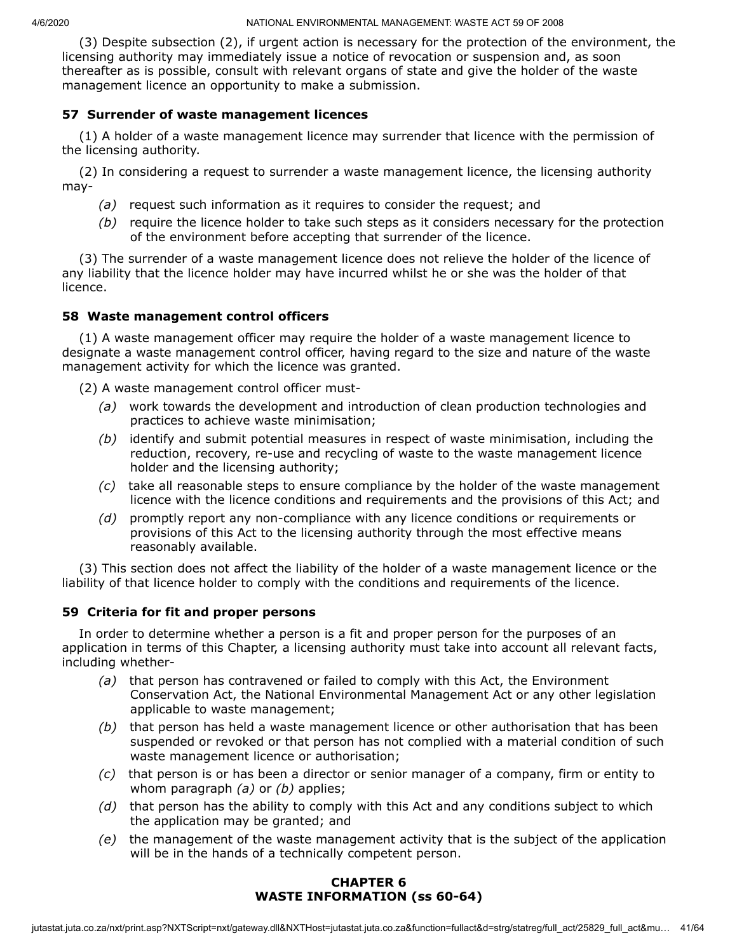(3) Despite subsection (2), if urgent action is necessary for the protection of the environment, the licensing authority may immediately issue a notice of revocation or suspension and, as soon thereafter as is possible, consult with relevant organs of state and give the holder of the waste management licence an opportunity to make a submission.

## **57 Surrender of waste management licences**

(1) A holder of a waste management licence may surrender that licence with the permission of the licensing authority.

(2) In considering a request to surrender a waste management licence, the licensing authority may-

- *(a)* request such information as it requires to consider the request; and
- *(b)* require the licence holder to take such steps as it considers necessary for the protection of the environment before accepting that surrender of the licence.

(3) The surrender of a waste management licence does not relieve the holder of the licence of any liability that the licence holder may have incurred whilst he or she was the holder of that licence.

#### **58 Waste management control officers**

(1) A waste management officer may require the holder of a waste management licence to designate a waste management control officer, having regard to the size and nature of the waste management activity for which the licence was granted.

(2) A waste management control officer must-

- *(a)* work towards the development and introduction of clean production technologies and practices to achieve waste minimisation;
- *(b)* identify and submit potential measures in respect of waste minimisation, including the reduction, recovery, re-use and recycling of waste to the waste management licence holder and the licensing authority;
- *(c)* take all reasonable steps to ensure compliance by the holder of the waste management licence with the licence conditions and requirements and the provisions of this Act; and
- *(d)* promptly report any non-compliance with any licence conditions or requirements or provisions of this Act to the licensing authority through the most effective means reasonably available.

(3) This section does not affect the liability of the holder of a waste management licence or the liability of that licence holder to comply with the conditions and requirements of the licence.

#### **59 Criteria for fit and proper persons**

In order to determine whether a person is a fit and proper person for the purposes of an application in terms of this Chapter, a licensing authority must take into account all relevant facts, including whether-

- *(a)* that person has contravened or failed to comply with this Act, the Environment Conservation Act, the National Environmental Management Act or any other legislation applicable to waste management;
- *(b)* that person has held a waste management licence or other authorisation that has been suspended or revoked or that person has not complied with a material condition of such waste management licence or authorisation;
- *(c)* that person is or has been a director or senior manager of a company, firm or entity to whom paragraph *(a)* or *(b)* applies;
- *(d)* that person has the ability to comply with this Act and any conditions subject to which the application may be granted; and
- *(e)* the management of the waste management activity that is the subject of the application will be in the hands of a technically competent person.

## **CHAPTER 6 WASTE INFORMATION (ss 60-64)**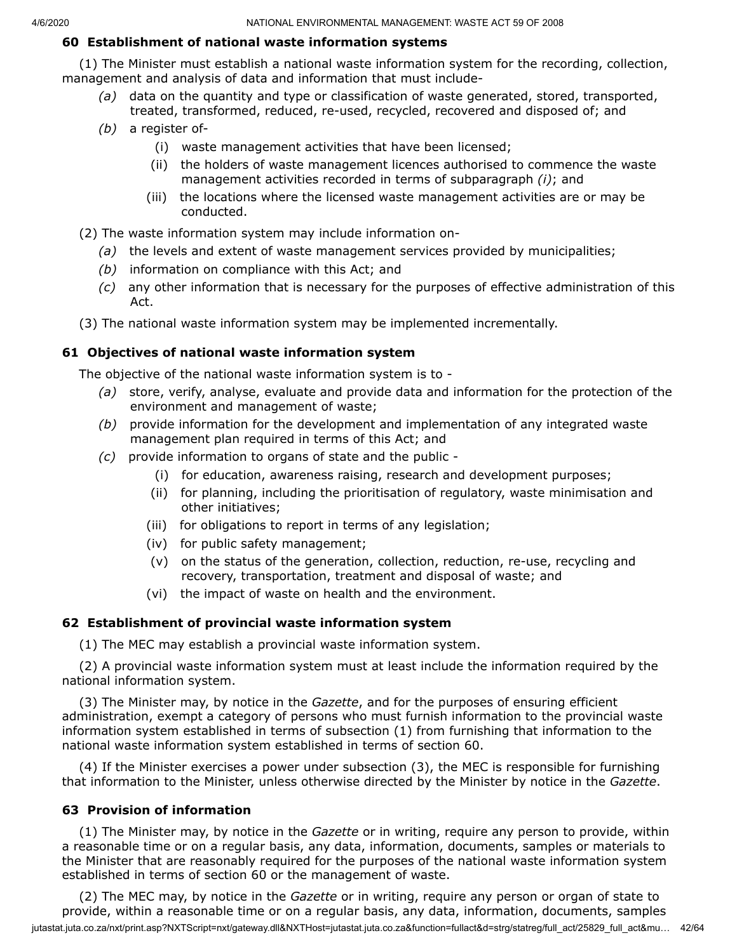#### **60 Establishment of national waste information systems**

(1) The Minister must establish a national waste information system for the recording, collection, management and analysis of data and information that must include-

- *(a)* data on the quantity and type or classification of waste generated, stored, transported, treated, transformed, reduced, re-used, recycled, recovered and disposed of; and
- *(b)* a register of-
	- (i) waste management activities that have been licensed;
	- (ii) the holders of waste management licences authorised to commence the waste management activities recorded in terms of subparagraph *(i)*; and
	- (iii) the locations where the licensed waste management activities are or may be conducted.

(2) The waste information system may include information on-

- *(a)* the levels and extent of waste management services provided by municipalities;
- *(b)* information on compliance with this Act; and
- *(c)* any other information that is necessary for the purposes of effective administration of this Act.
- (3) The national waste information system may be implemented incrementally.

#### **61 Objectives of national waste information system**

The objective of the national waste information system is to -

- *(a)* store, verify, analyse, evaluate and provide data and information for the protection of the environment and management of waste;
- *(b)* provide information for the development and implementation of any integrated waste management plan required in terms of this Act; and
- *(c)* provide information to organs of state and the public
	- (i) for education, awareness raising, research and development purposes;
	- (ii) for planning, including the prioritisation of regulatory, waste minimisation and other initiatives;
	- (iii) for obligations to report in terms of any legislation;
	- (iv) for public safety management;
	- (v) on the status of the generation, collection, reduction, re-use, recycling and recovery, transportation, treatment and disposal of waste; and
	- (vi) the impact of waste on health and the environment.

#### **62 Establishment of provincial waste information system**

(1) The MEC may establish a provincial waste information system.

(2) A provincial waste information system must at least include the information required by the national information system.

(3) The Minister may, by notice in the *Gazette*, and for the purposes of ensuring efficient administration, exempt a category of persons who must furnish information to the provincial waste information system established in terms of subsection (1) from furnishing that information to the national waste information system established in terms of section 60.

(4) If the Minister exercises a power under subsection (3), the MEC is responsible for furnishing that information to the Minister, unless otherwise directed by the Minister by notice in the *Gazette*.

#### **63 Provision of information**

(1) The Minister may, by notice in the *Gazette* or in writing, require any person to provide, within a reasonable time or on a regular basis, any data, information, documents, samples or materials to the Minister that are reasonably required for the purposes of the national waste information system established in terms of section 60 or the management of waste.

jutastat.juta.co.za/nxt/print.asp?NXTScript=nxt/gateway.dll&NXTHost=jutastat.juta.co.za&function=fullact&d=strg/statreg/full\_act/25829\_full\_act&mu... 42/64 (2) The MEC may, by notice in the *Gazette* or in writing, require any person or organ of state to provide, within a reasonable time or on a regular basis, any data, information, documents, samples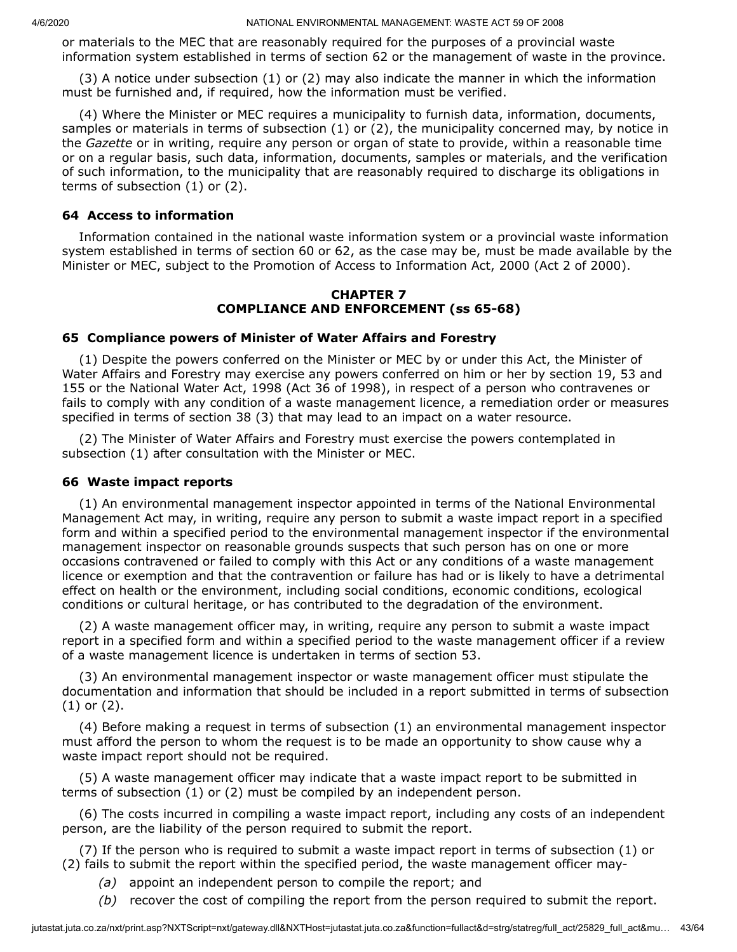or materials to the MEC that are reasonably required for the purposes of a provincial waste information system established in terms of section 62 or the management of waste in the province.

(3) A notice under subsection (1) or (2) may also indicate the manner in which the information must be furnished and, if required, how the information must be verified.

(4) Where the Minister or MEC requires a municipality to furnish data, information, documents, samples or materials in terms of subsection (1) or (2), the municipality concerned may, by notice in the *Gazette* or in writing, require any person or organ of state to provide, within a reasonable time or on a regular basis, such data, information, documents, samples or materials, and the verification of such information, to the municipality that are reasonably required to discharge its obligations in terms of subsection (1) or (2).

#### **64 Access to information**

Information contained in the national waste information system or a provincial waste information system established in terms of section 60 or 62, as the case may be, must be made available by the Minister or MEC, subject to the Promotion of Access to Information Act, 2000 (Act 2 of 2000).

#### **CHAPTER 7 COMPLIANCE AND ENFORCEMENT (ss 65-68)**

#### **65 Compliance powers of Minister of Water Affairs and Forestry**

(1) Despite the powers conferred on the Minister or MEC by or under this Act, the Minister of Water Affairs and Forestry may exercise any powers conferred on him or her by section 19, 53 and 155 or the National Water Act, 1998 (Act 36 of 1998), in respect of a person who contravenes or fails to comply with any condition of a waste management licence, a remediation order or measures specified in terms of section 38 (3) that may lead to an impact on a water resource.

(2) The Minister of Water Affairs and Forestry must exercise the powers contemplated in subsection (1) after consultation with the Minister or MEC.

#### **66 Waste impact reports**

(1) An environmental management inspector appointed in terms of the National Environmental Management Act may, in writing, require any person to submit a waste impact report in a specified form and within a specified period to the environmental management inspector if the environmental management inspector on reasonable grounds suspects that such person has on one or more occasions contravened or failed to comply with this Act or any conditions of a waste management licence or exemption and that the contravention or failure has had or is likely to have a detrimental effect on health or the environment, including social conditions, economic conditions, ecological conditions or cultural heritage, or has contributed to the degradation of the environment.

(2) A waste management officer may, in writing, require any person to submit a waste impact report in a specified form and within a specified period to the waste management officer if a review of a waste management licence is undertaken in terms of section 53.

(3) An environmental management inspector or waste management officer must stipulate the documentation and information that should be included in a report submitted in terms of subsection (1) or (2).

(4) Before making a request in terms of subsection (1) an environmental management inspector must afford the person to whom the request is to be made an opportunity to show cause why a waste impact report should not be required.

(5) A waste management officer may indicate that a waste impact report to be submitted in terms of subsection (1) or (2) must be compiled by an independent person.

(6) The costs incurred in compiling a waste impact report, including any costs of an independent person, are the liability of the person required to submit the report.

(7) If the person who is required to submit a waste impact report in terms of subsection (1) or (2) fails to submit the report within the specified period, the waste management officer may-

- *(a)* appoint an independent person to compile the report; and
- *(b)* recover the cost of compiling the report from the person required to submit the report.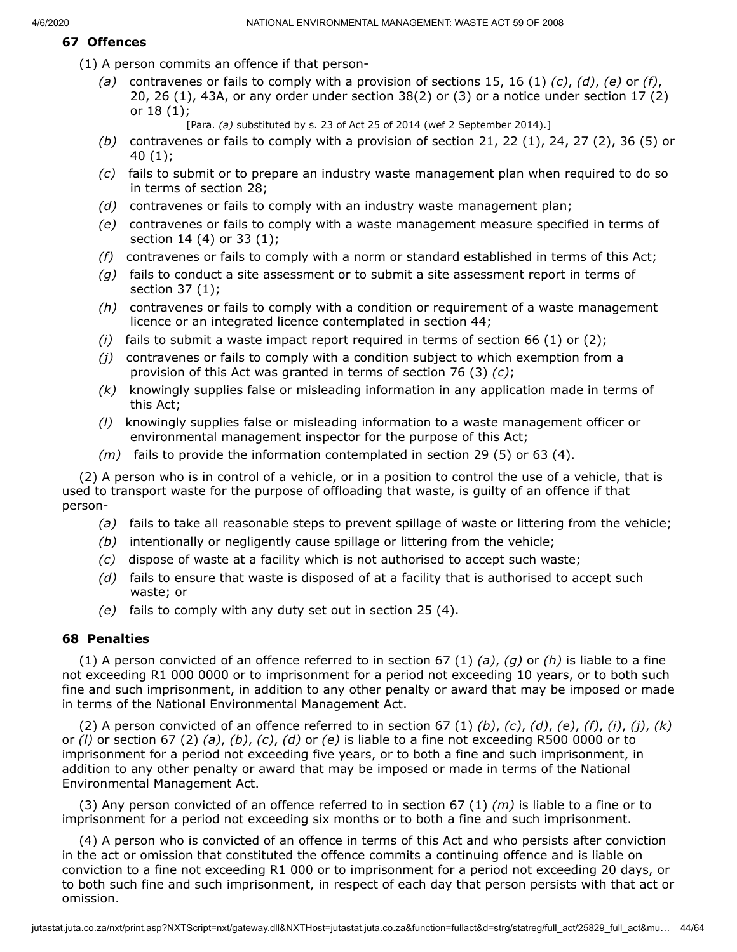## **67 Offences**

(1) A person commits an offence if that person-

- *(a)* contravenes or fails to comply with a provision of sections 15, 16 (1) *(c)*, *(d)*, *(e)* or *(f)*, 20, 26 (1), 43A, or any order under section 38(2) or (3) or a notice under section 17 (2) or 18 (1);
	- [Para. *(a)* substituted by s. 23 of Act 25 of 2014 (wef 2 September 2014).]
- *(b)* contravenes or fails to comply with a provision of section 21, 22 (1), 24, 27 (2), 36 (5) or 40 (1);
- *(c)* fails to submit or to prepare an industry waste management plan when required to do so in terms of section 28;
- *(d)* contravenes or fails to comply with an industry waste management plan;
- *(e)* contravenes or fails to comply with a waste management measure specified in terms of section 14 (4) or 33 (1);
- *(f)* contravenes or fails to comply with a norm or standard established in terms of this Act;
- *(g)* fails to conduct a site assessment or to submit a site assessment report in terms of section 37 (1);
- *(h)* contravenes or fails to comply with a condition or requirement of a waste management licence or an integrated licence contemplated in section 44;
- *(i)* fails to submit a waste impact report required in terms of section 66 (1) or (2);
- *(j)* contravenes or fails to comply with a condition subject to which exemption from a provision of this Act was granted in terms of section 76 (3) *(c)*;
- *(k)* knowingly supplies false or misleading information in any application made in terms of this Act;
- *(l)* knowingly supplies false or misleading information to a waste management officer or environmental management inspector for the purpose of this Act;
- *(m)* fails to provide the information contemplated in section 29 (5) or 63 (4).

(2) A person who is in control of a vehicle, or in a position to control the use of a vehicle, that is used to transport waste for the purpose of offloading that waste, is guilty of an offence if that person-

- *(a)* fails to take all reasonable steps to prevent spillage of waste or littering from the vehicle;
- *(b)* intentionally or negligently cause spillage or littering from the vehicle;
- *(c)* dispose of waste at a facility which is not authorised to accept such waste;
- *(d)* fails to ensure that waste is disposed of at a facility that is authorised to accept such waste; or
- *(e)* fails to comply with any duty set out in section 25 (4).

#### **68 Penalties**

(1) A person convicted of an offence referred to in section 67 (1) *(a)*, *(g)* or *(h)* is liable to a fine not exceeding R1 000 0000 or to imprisonment for a period not exceeding 10 years, or to both such fine and such imprisonment, in addition to any other penalty or award that may be imposed or made in terms of the National Environmental Management Act.

(2) A person convicted of an offence referred to in section 67 (1) *(b)*, *(c)*, *(d)*, *(e)*, *(f)*, *(i)*, *(j)*, *(k)* or *(l)* or section 67 (2) *(a)*, *(b)*, *(c)*, *(d)* or *(e)* is liable to a fine not exceeding R500 0000 or to imprisonment for a period not exceeding five years, or to both a fine and such imprisonment, in addition to any other penalty or award that may be imposed or made in terms of the National Environmental Management Act.

(3) Any person convicted of an offence referred to in section 67 (1) *(m)* is liable to a fine or to imprisonment for a period not exceeding six months or to both a fine and such imprisonment.

(4) A person who is convicted of an offence in terms of this Act and who persists after conviction in the act or omission that constituted the offence commits a continuing offence and is liable on conviction to a fine not exceeding R1 000 or to imprisonment for a period not exceeding 20 days, or to both such fine and such imprisonment, in respect of each day that person persists with that act or omission.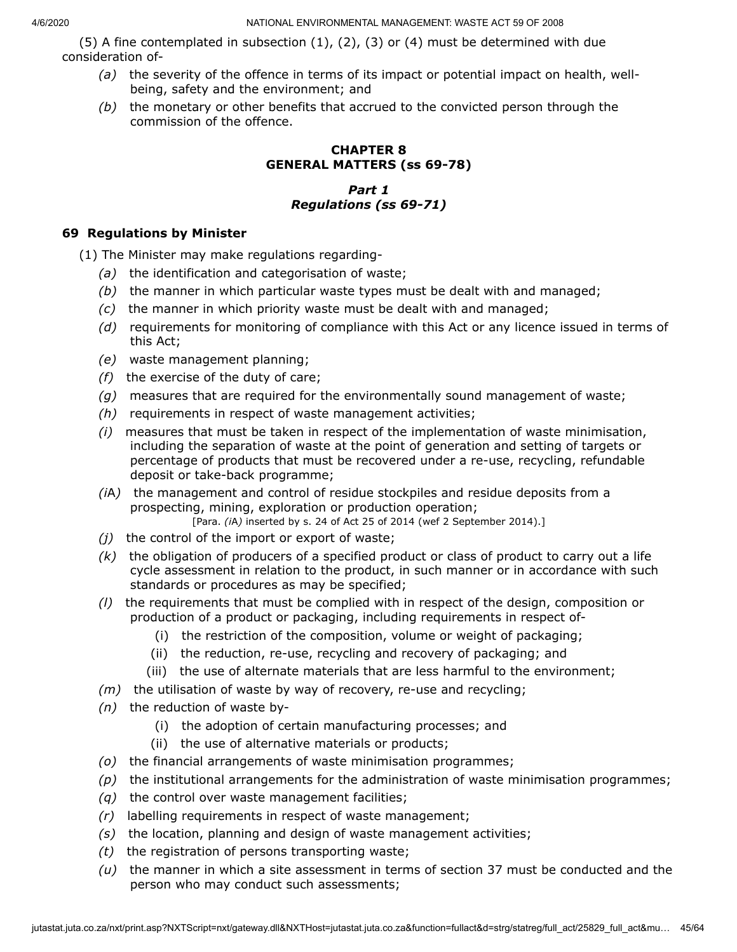(5) A fine contemplated in subsection  $(1)$ ,  $(2)$ ,  $(3)$  or  $(4)$  must be determined with due consideration of-

- *(a)* the severity of the offence in terms of its impact or potential impact on health, wellbeing, safety and the environment; and
- *(b)* the monetary or other benefits that accrued to the convicted person through the commission of the offence.

# **CHAPTER 8 GENERAL MATTERS (ss 69-78)**

# *Part 1 Regulations (ss 69-71)*

# **69 Regulations by Minister**

(1) The Minister may make regulations regarding-

- *(a)* the identification and categorisation of waste;
- *(b)* the manner in which particular waste types must be dealt with and managed;
- *(c)* the manner in which priority waste must be dealt with and managed;
- *(d)* requirements for monitoring of compliance with this Act or any licence issued in terms of this Act;
- *(e)* waste management planning;
- *(f)* the exercise of the duty of care;
- *(g)* measures that are required for the environmentally sound management of waste;
- *(h)* requirements in respect of waste management activities;
- *(i)* measures that must be taken in respect of the implementation of waste minimisation, including the separation of waste at the point of generation and setting of targets or percentage of products that must be recovered under a re-use, recycling, refundable deposit or take-back programme;
- *(i*A*)* the management and control of residue stockpiles and residue deposits from a prospecting, mining, exploration or production operation; [Para. *(i*A*)* inserted by s. 24 of Act 25 of 2014 (wef 2 September 2014).]
- *(j)* the control of the import or export of waste;
- *(k)* the obligation of producers of a specified product or class of product to carry out a life cycle assessment in relation to the product, in such manner or in accordance with such standards or procedures as may be specified;
- *(l)* the requirements that must be complied with in respect of the design, composition or production of a product or packaging, including requirements in respect of-
	- (i) the restriction of the composition, volume or weight of packaging;
	- (ii) the reduction, re-use, recycling and recovery of packaging; and
	- (iii) the use of alternate materials that are less harmful to the environment;
- *(m)* the utilisation of waste by way of recovery, re-use and recycling;
- *(n)* the reduction of waste by-
	- (i) the adoption of certain manufacturing processes; and
	- (ii) the use of alternative materials or products;
- *(o)* the financial arrangements of waste minimisation programmes;
- *(p)* the institutional arrangements for the administration of waste minimisation programmes;
- *(q)* the control over waste management facilities;
- *(r)* labelling requirements in respect of waste management;
- *(s)* the location, planning and design of waste management activities;
- *(t)* the registration of persons transporting waste;
- *(u)* the manner in which a site assessment in terms of section 37 must be conducted and the person who may conduct such assessments;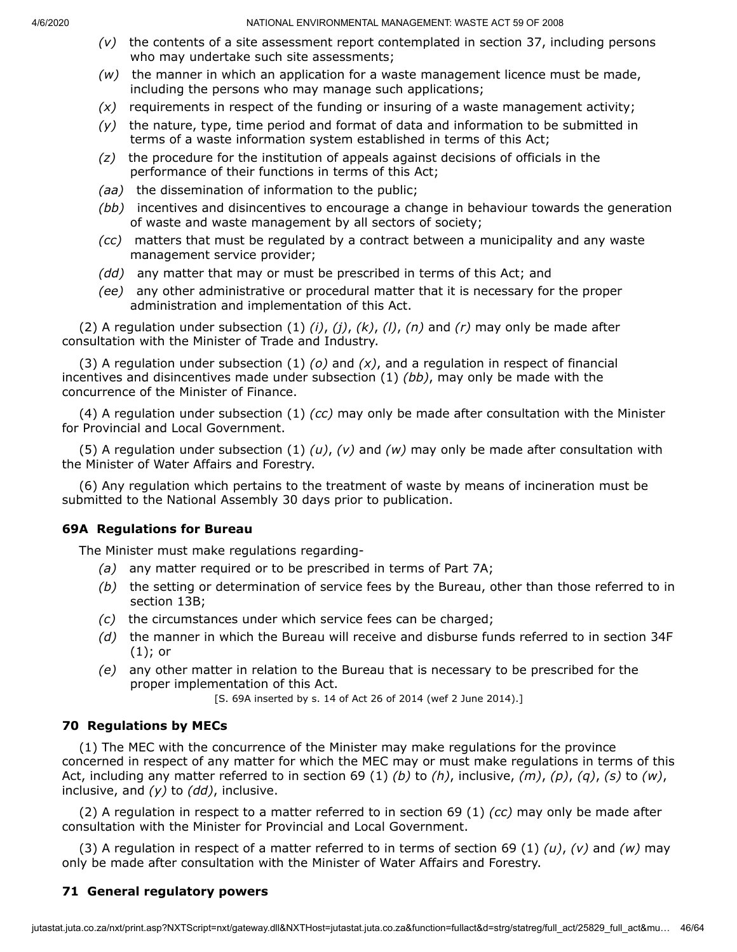- *(v)* the contents of a site assessment report contemplated in section 37, including persons who may undertake such site assessments;
- *(w)* the manner in which an application for a waste management licence must be made, including the persons who may manage such applications;
- *(x)* requirements in respect of the funding or insuring of a waste management activity;
- *(y)* the nature, type, time period and format of data and information to be submitted in terms of a waste information system established in terms of this Act;
- *(z)* the procedure for the institution of appeals against decisions of officials in the performance of their functions in terms of this Act;
- *(aa)* the dissemination of information to the public;
- *(bb)* incentives and disincentives to encourage a change in behaviour towards the generation of waste and waste management by all sectors of society;
- *(cc)* matters that must be regulated by a contract between a municipality and any waste management service provider;
- *(dd)* any matter that may or must be prescribed in terms of this Act; and
- *(ee)* any other administrative or procedural matter that it is necessary for the proper administration and implementation of this Act.

(2) A regulation under subsection (1) *(i)*, *(j)*, *(k)*, *(l)*, *(n)* and *(r)* may only be made after consultation with the Minister of Trade and Industry.

(3) A regulation under subsection (1) *(o)* and *(x)*, and a regulation in respect of financial incentives and disincentives made under subsection (1) *(bb)*, may only be made with the concurrence of the Minister of Finance.

(4) A regulation under subsection (1) *(cc)* may only be made after consultation with the Minister for Provincial and Local Government.

(5) A regulation under subsection (1) *(u)*, *(v)* and *(w)* may only be made after consultation with the Minister of Water Affairs and Forestry.

(6) Any regulation which pertains to the treatment of waste by means of incineration must be submitted to the National Assembly 30 days prior to publication.

# **69A Regulations for Bureau**

The Minister must make regulations regarding-

- *(a)* any matter required or to be prescribed in terms of Part 7A;
- *(b)* the setting or determination of service fees by the Bureau, other than those referred to in section 13B;
- *(c)* the circumstances under which service fees can be charged;
- *(d)* the manner in which the Bureau will receive and disburse funds referred to in section 34F (1); or
- *(e)* any other matter in relation to the Bureau that is necessary to be prescribed for the proper implementation of this Act.

[S. 69A inserted by s. 14 of Act 26 of 2014 (wef 2 June 2014).]

# **70 Regulations by MECs**

(1) The MEC with the concurrence of the Minister may make regulations for the province concerned in respect of any matter for which the MEC may or must make regulations in terms of this Act, including any matter referred to in section 69 (1) *(b)* to *(h)*, inclusive, *(m)*, *(p)*, *(q)*, *(s)* to *(w)*, inclusive, and *(y)* to *(dd)*, inclusive.

(2) A regulation in respect to a matter referred to in section 69 (1) *(cc)* may only be made after consultation with the Minister for Provincial and Local Government.

(3) A regulation in respect of a matter referred to in terms of section 69 (1) *(u)*, *(v)* and *(w)* may only be made after consultation with the Minister of Water Affairs and Forestry.

# **71 General regulatory powers**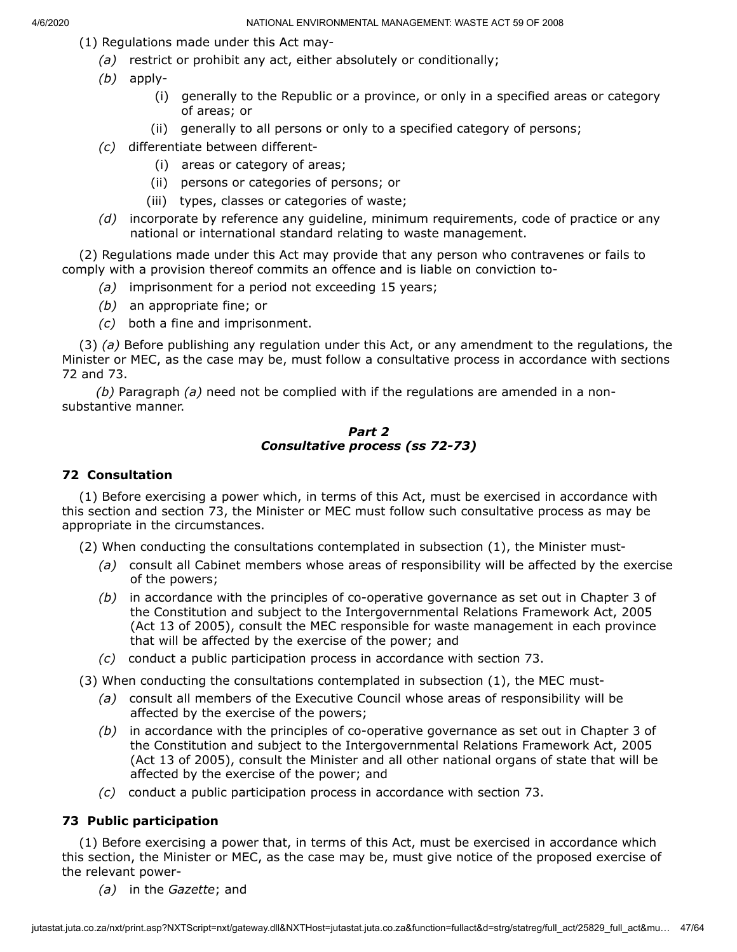- (1) Regulations made under this Act may-
	- *(a)* restrict or prohibit any act, either absolutely or conditionally;
	- *(b)* apply-
		- (i) generally to the Republic or a province, or only in a specified areas or category of areas; or
		- (ii) generally to all persons or only to a specified category of persons;
	- *(c)* differentiate between different-
		- (i) areas or category of areas;
		- (ii) persons or categories of persons; or
		- (iii) types, classes or categories of waste;
	- *(d)* incorporate by reference any guideline, minimum requirements, code of practice or any national or international standard relating to waste management.

(2) Regulations made under this Act may provide that any person who contravenes or fails to comply with a provision thereof commits an offence and is liable on conviction to-

- *(a)* imprisonment for a period not exceeding 15 years;
- *(b)* an appropriate fine; or
- *(c)* both a fine and imprisonment.

(3) *(a)* Before publishing any regulation under this Act, or any amendment to the regulations, the Minister or MEC, as the case may be, must follow a consultative process in accordance with sections 72 and 73.

*(b)* Paragraph *(a)* need not be complied with if the regulations are amended in a nonsubstantive manner.

#### *Part 2 Consultative process (ss 72-73)*

#### **72 Consultation**

(1) Before exercising a power which, in terms of this Act, must be exercised in accordance with this section and section 73, the Minister or MEC must follow such consultative process as may be appropriate in the circumstances.

(2) When conducting the consultations contemplated in subsection (1), the Minister must-

- *(a)* consult all Cabinet members whose areas of responsibility will be affected by the exercise of the powers;
- *(b)* in accordance with the principles of co-operative governance as set out in Chapter 3 of the Constitution and subject to the Intergovernmental Relations Framework Act, 2005 (Act 13 of 2005), consult the MEC responsible for waste management in each province that will be affected by the exercise of the power; and
- *(c)* conduct a public participation process in accordance with section 73.

(3) When conducting the consultations contemplated in subsection (1), the MEC must-

- *(a)* consult all members of the Executive Council whose areas of responsibility will be affected by the exercise of the powers;
- *(b)* in accordance with the principles of co-operative governance as set out in Chapter 3 of the Constitution and subject to the Intergovernmental Relations Framework Act, 2005 (Act 13 of 2005), consult the Minister and all other national organs of state that will be affected by the exercise of the power; and
- *(c)* conduct a public participation process in accordance with section 73.

## **73 Public participation**

(1) Before exercising a power that, in terms of this Act, must be exercised in accordance which this section, the Minister or MEC, as the case may be, must give notice of the proposed exercise of the relevant power-

*(a)* in the *Gazette*; and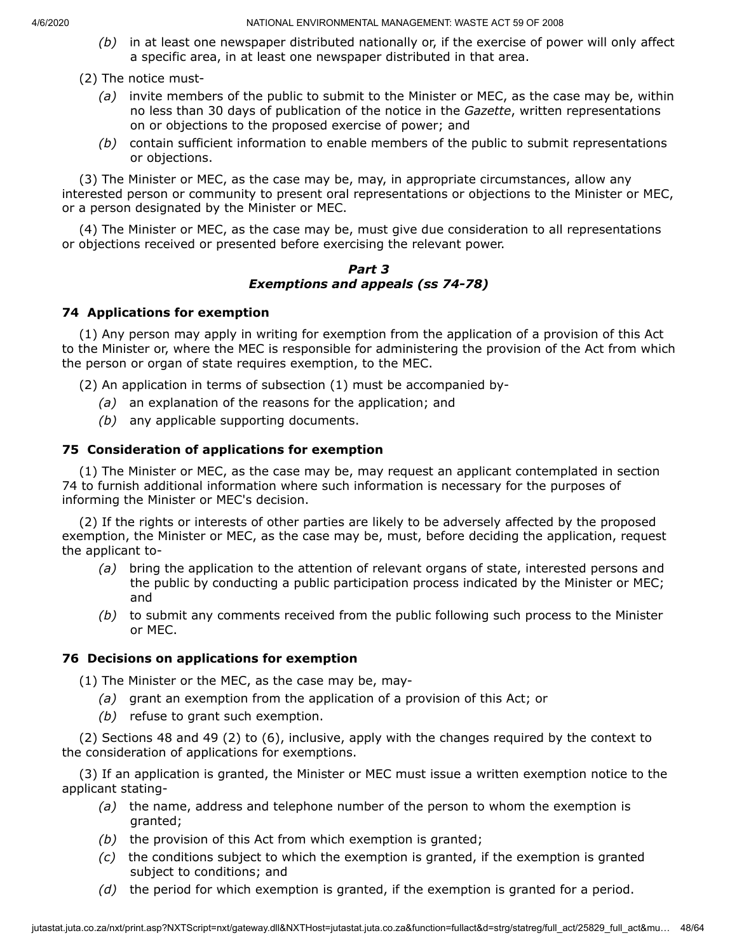*(b)* in at least one newspaper distributed nationally or, if the exercise of power will only affect a specific area, in at least one newspaper distributed in that area.

## (2) The notice must-

- *(a)* invite members of the public to submit to the Minister or MEC, as the case may be, within no less than 30 days of publication of the notice in the *Gazette*, written representations on or objections to the proposed exercise of power; and
- *(b)* contain sufficient information to enable members of the public to submit representations or objections.

(3) The Minister or MEC, as the case may be, may, in appropriate circumstances, allow any interested person or community to present oral representations or objections to the Minister or MEC, or a person designated by the Minister or MEC.

(4) The Minister or MEC, as the case may be, must give due consideration to all representations or objections received or presented before exercising the relevant power.

#### *Part 3 Exemptions and appeals (ss 74-78)*

# **74 Applications for exemption**

(1) Any person may apply in writing for exemption from the application of a provision of this Act to the Minister or, where the MEC is responsible for administering the provision of the Act from which the person or organ of state requires exemption, to the MEC.

(2) An application in terms of subsection (1) must be accompanied by-

- *(a)* an explanation of the reasons for the application; and
- *(b)* any applicable supporting documents.

# **75 Consideration of applications for exemption**

(1) The Minister or MEC, as the case may be, may request an applicant contemplated in section 74 to furnish additional information where such information is necessary for the purposes of informing the Minister or MEC's decision.

(2) If the rights or interests of other parties are likely to be adversely affected by the proposed exemption, the Minister or MEC, as the case may be, must, before deciding the application, request the applicant to-

- *(a)* bring the application to the attention of relevant organs of state, interested persons and the public by conducting a public participation process indicated by the Minister or MEC; and
- *(b)* to submit any comments received from the public following such process to the Minister or MEC.

# **76 Decisions on applications for exemption**

(1) The Minister or the MEC, as the case may be, may-

- *(a)* grant an exemption from the application of a provision of this Act; or
- *(b)* refuse to grant such exemption.

(2) Sections 48 and 49 (2) to (6), inclusive, apply with the changes required by the context to the consideration of applications for exemptions.

(3) If an application is granted, the Minister or MEC must issue a written exemption notice to the applicant stating-

- *(a)* the name, address and telephone number of the person to whom the exemption is granted;
- *(b)* the provision of this Act from which exemption is granted;
- *(c)* the conditions subject to which the exemption is granted, if the exemption is granted subject to conditions; and
- *(d)* the period for which exemption is granted, if the exemption is granted for a period.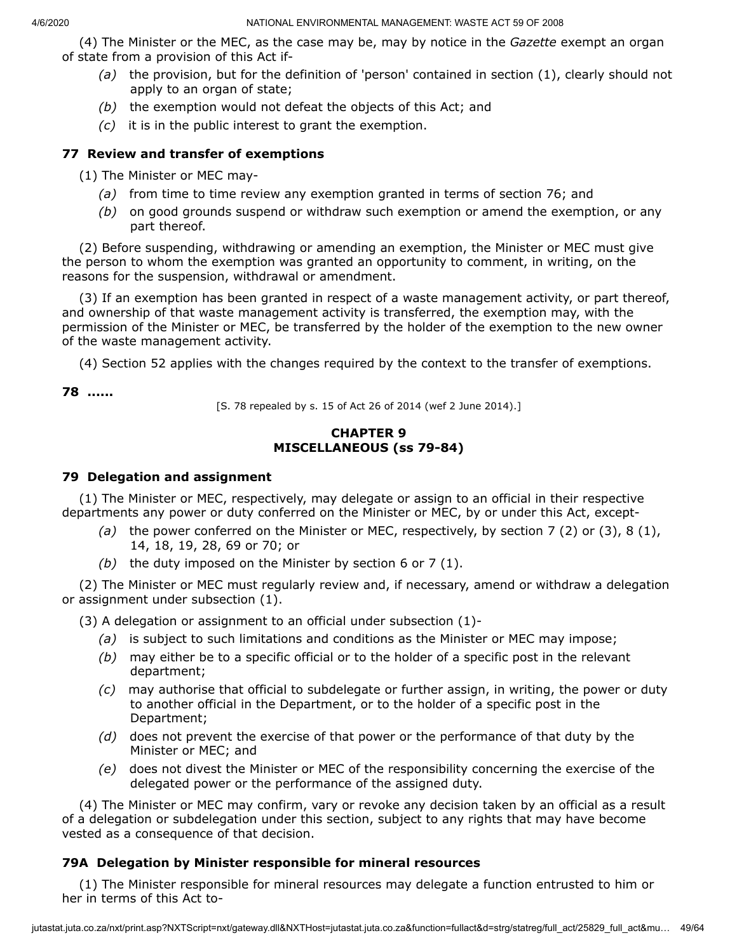(4) The Minister or the MEC, as the case may be, may by notice in the *Gazette* exempt an organ of state from a provision of this Act if-

- *(a)* the provision, but for the definition of 'person' contained in section (1), clearly should not apply to an organ of state;
- *(b)* the exemption would not defeat the objects of this Act; and
- *(c)* it is in the public interest to grant the exemption.

# **77 Review and transfer of exemptions**

(1) The Minister or MEC may-

- *(a)* from time to time review any exemption granted in terms of section 76; and
- *(b)* on good grounds suspend or withdraw such exemption or amend the exemption, or any part thereof.

(2) Before suspending, withdrawing or amending an exemption, the Minister or MEC must give the person to whom the exemption was granted an opportunity to comment, in writing, on the reasons for the suspension, withdrawal or amendment.

(3) If an exemption has been granted in respect of a waste management activity, or part thereof, and ownership of that waste management activity is transferred, the exemption may, with the permission of the Minister or MEC, be transferred by the holder of the exemption to the new owner of the waste management activity.

(4) Section 52 applies with the changes required by the context to the transfer of exemptions.

**78 ......**

[S. 78 repealed by s. 15 of Act 26 of 2014 (wef 2 June 2014).]

# **CHAPTER 9 MISCELLANEOUS (ss 79-84)**

## **79 Delegation and assignment**

(1) The Minister or MEC, respectively, may delegate or assign to an official in their respective departments any power or duty conferred on the Minister or MEC, by or under this Act, except-

- *(a)* the power conferred on the Minister or MEC, respectively, by section 7 (2) or (3), 8 (1), 14, 18, 19, 28, 69 or 70; or
- *(b)* the duty imposed on the Minister by section 6 or 7 (1).

(2) The Minister or MEC must regularly review and, if necessary, amend or withdraw a delegation or assignment under subsection (1).

(3) A delegation or assignment to an official under subsection (1)-

- *(a)* is subject to such limitations and conditions as the Minister or MEC may impose;
- *(b)* may either be to a specific official or to the holder of a specific post in the relevant department;
- *(c)* may authorise that official to subdelegate or further assign, in writing, the power or duty to another official in the Department, or to the holder of a specific post in the Department;
- *(d)* does not prevent the exercise of that power or the performance of that duty by the Minister or MEC; and
- *(e)* does not divest the Minister or MEC of the responsibility concerning the exercise of the delegated power or the performance of the assigned duty.

(4) The Minister or MEC may confirm, vary or revoke any decision taken by an official as a result of a delegation or subdelegation under this section, subject to any rights that may have become vested as a consequence of that decision.

# **79A Delegation by Minister responsible for mineral resources**

(1) The Minister responsible for mineral resources may delegate a function entrusted to him or her in terms of this Act to-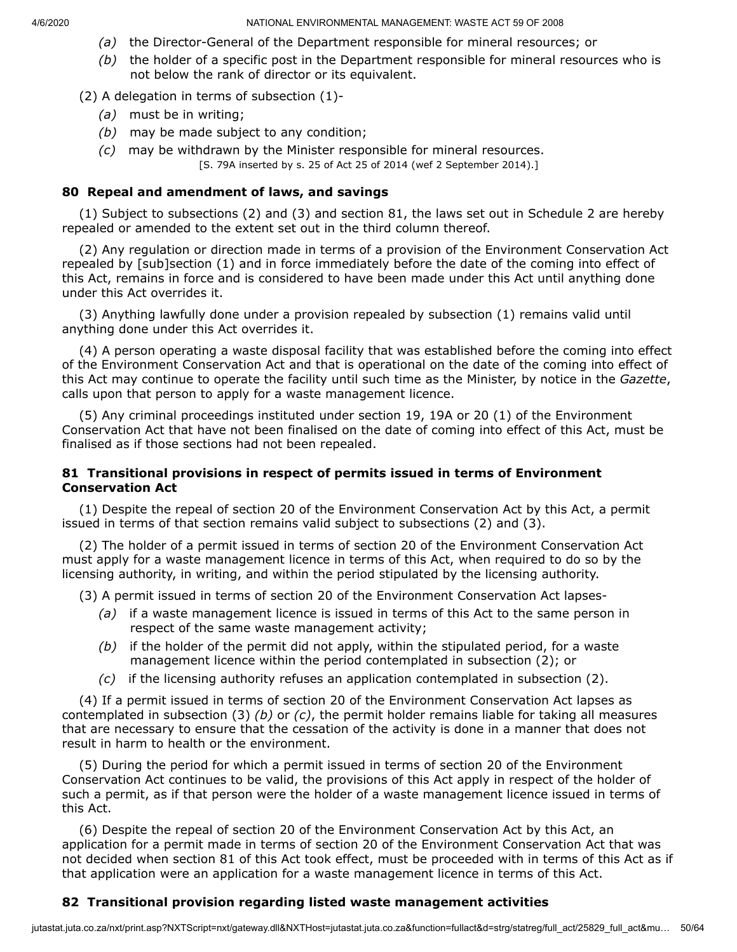- *(a)* the Director-General of the Department responsible for mineral resources; or
- *(b)* the holder of a specific post in the Department responsible for mineral resources who is not below the rank of director or its equivalent.

(2) A delegation in terms of subsection (1)-

- *(a)* must be in writing;
- *(b)* may be made subject to any condition;
- *(c)* may be withdrawn by the Minister responsible for mineral resources. [S. 79A inserted by s. 25 of Act 25 of 2014 (wef 2 September 2014).]

#### **80 Repeal and amendment of laws, and savings**

(1) Subject to subsections (2) and (3) and section 81, the laws set out in Schedule 2 are hereby repealed or amended to the extent set out in the third column thereof.

(2) Any regulation or direction made in terms of a provision of the Environment Conservation Act repealed by [sub]section (1) and in force immediately before the date of the coming into effect of this Act, remains in force and is considered to have been made under this Act until anything done under this Act overrides it.

(3) Anything lawfully done under a provision repealed by subsection (1) remains valid until anything done under this Act overrides it.

(4) A person operating a waste disposal facility that was established before the coming into effect of the Environment Conservation Act and that is operational on the date of the coming into effect of this Act may continue to operate the facility until such time as the Minister, by notice in the *Gazette*, calls upon that person to apply for a waste management licence.

(5) Any criminal proceedings instituted under section 19, 19A or 20 (1) of the Environment Conservation Act that have not been finalised on the date of coming into effect of this Act, must be finalised as if those sections had not been repealed.

#### **81 Transitional provisions in respect of permits issued in terms of Environment Conservation Act**

(1) Despite the repeal of section 20 of the Environment Conservation Act by this Act, a permit issued in terms of that section remains valid subject to subsections (2) and (3).

(2) The holder of a permit issued in terms of section 20 of the Environment Conservation Act must apply for a waste management licence in terms of this Act, when required to do so by the licensing authority, in writing, and within the period stipulated by the licensing authority.

(3) A permit issued in terms of section 20 of the Environment Conservation Act lapses-

- *(a)* if a waste management licence is issued in terms of this Act to the same person in respect of the same waste management activity;
- *(b)* if the holder of the permit did not apply, within the stipulated period, for a waste management licence within the period contemplated in subsection (2); or
- *(c)* if the licensing authority refuses an application contemplated in subsection (2).

(4) If a permit issued in terms of section 20 of the Environment Conservation Act lapses as contemplated in subsection (3) *(b)* or *(c)*, the permit holder remains liable for taking all measures that are necessary to ensure that the cessation of the activity is done in a manner that does not result in harm to health or the environment.

(5) During the period for which a permit issued in terms of section 20 of the Environment Conservation Act continues to be valid, the provisions of this Act apply in respect of the holder of such a permit, as if that person were the holder of a waste management licence issued in terms of this Act.

(6) Despite the repeal of section 20 of the Environment Conservation Act by this Act, an application for a permit made in terms of section 20 of the Environment Conservation Act that was not decided when section 81 of this Act took effect, must be proceeded with in terms of this Act as if that application were an application for a waste management licence in terms of this Act.

## **82 Transitional provision regarding listed waste management activities**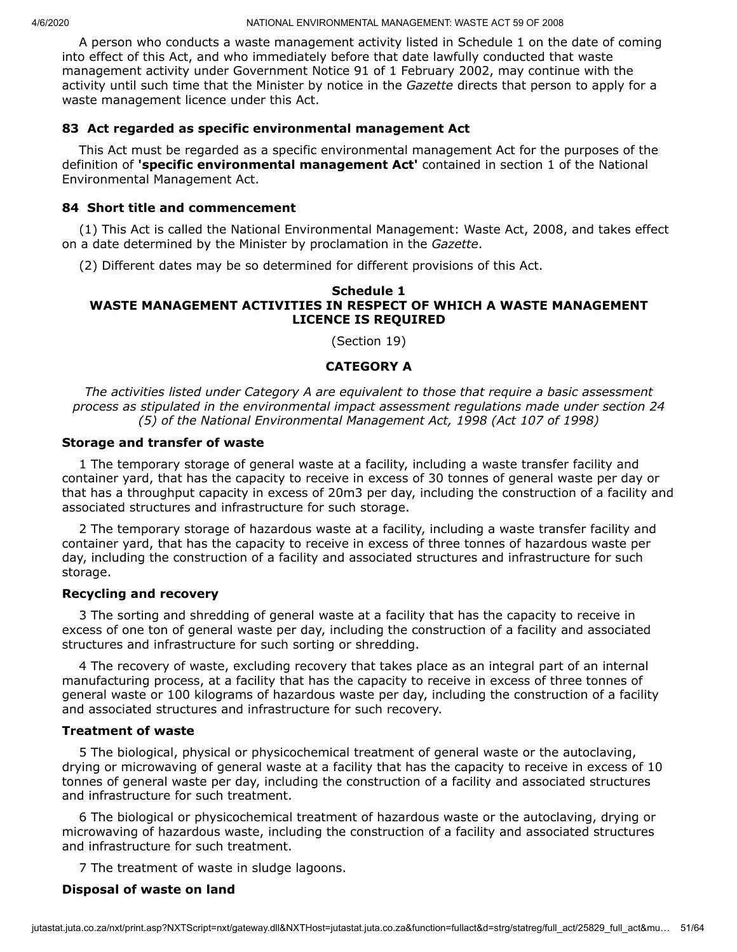A person who conducts a waste management activity listed in Schedule 1 on the date of coming into effect of this Act, and who immediately before that date lawfully conducted that waste management activity under Government Notice 91 of 1 February 2002, may continue with the activity until such time that the Minister by notice in the *Gazette* directs that person to apply for a waste management licence under this Act.

## **83 Act regarded as specific environmental management Act**

This Act must be regarded as a specific environmental management Act for the purposes of the definition of **'specific environmental management Act'** contained in section 1 of the National Environmental Management Act.

#### **84 Short title and commencement**

(1) This Act is called the National Environmental Management: Waste Act, 2008, and takes effect on a date determined by the Minister by proclamation in the *Gazette*.

(2) Different dates may be so determined for different provisions of this Act.

#### **Schedule 1 WASTE MANAGEMENT ACTIVITIES IN RESPECT OF WHICH A WASTE MANAGEMENT LICENCE IS REQUIRED**

(Section 19)

#### **CATEGORY A**

*The activities listed under Category A are equivalent to those that require a basic assessment process as stipulated in the environmental impact assessment regulations made under section 24 (5) of the National Environmental Management Act, 1998 (Act 107 of 1998)*

#### **Storage and transfer of waste**

1 The temporary storage of general waste at a facility, including a waste transfer facility and container yard, that has the capacity to receive in excess of 30 tonnes of general waste per day or that has a throughput capacity in excess of 20m3 per day, including the construction of a facility and associated structures and infrastructure for such storage.

2 The temporary storage of hazardous waste at a facility, including a waste transfer facility and container yard, that has the capacity to receive in excess of three tonnes of hazardous waste per day, including the construction of a facility and associated structures and infrastructure for such storage.

#### **Recycling and recovery**

3 The sorting and shredding of general waste at a facility that has the capacity to receive in excess of one ton of general waste per day, including the construction of a facility and associated structures and infrastructure for such sorting or shredding.

4 The recovery of waste, excluding recovery that takes place as an integral part of an internal manufacturing process, at a facility that has the capacity to receive in excess of three tonnes of general waste or 100 kilograms of hazardous waste per day, including the construction of a facility and associated structures and infrastructure for such recovery.

#### **Treatment of waste**

5 The biological, physical or physicochemical treatment of general waste or the autoclaving, drying or microwaving of general waste at a facility that has the capacity to receive in excess of 10 tonnes of general waste per day, including the construction of a facility and associated structures and infrastructure for such treatment.

6 The biological or physicochemical treatment of hazardous waste or the autoclaving, drying or microwaving of hazardous waste, including the construction of a facility and associated structures and infrastructure for such treatment.

7 The treatment of waste in sludge lagoons.

## **Disposal of waste on land**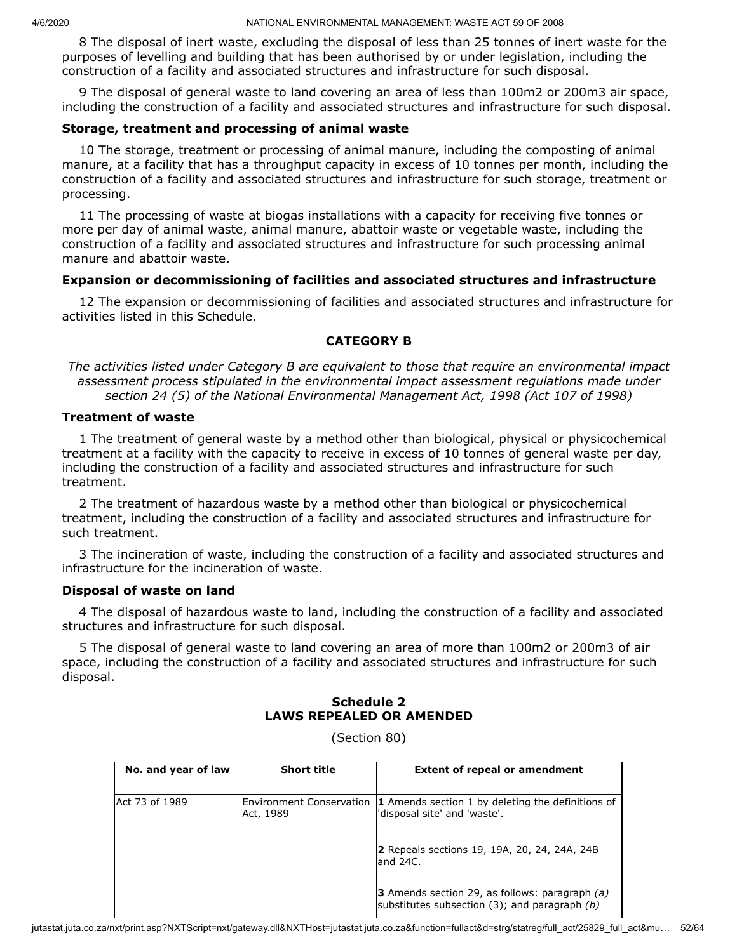8 The disposal of inert waste, excluding the disposal of less than 25 tonnes of inert waste for the purposes of levelling and building that has been authorised by or under legislation, including the construction of a facility and associated structures and infrastructure for such disposal.

9 The disposal of general waste to land covering an area of less than 100m2 or 200m3 air space, including the construction of a facility and associated structures and infrastructure for such disposal.

#### **Storage, treatment and processing of animal waste**

10 The storage, treatment or processing of animal manure, including the composting of animal manure, at a facility that has a throughput capacity in excess of 10 tonnes per month, including the construction of a facility and associated structures and infrastructure for such storage, treatment or processing.

11 The processing of waste at biogas installations with a capacity for receiving five tonnes or more per day of animal waste, animal manure, abattoir waste or vegetable waste, including the construction of a facility and associated structures and infrastructure for such processing animal manure and abattoir waste.

#### **Expansion or decommissioning of facilities and associated structures and infrastructure**

12 The expansion or decommissioning of facilities and associated structures and infrastructure for activities listed in this Schedule.

## **CATEGORY B**

*The activities listed under Category B are equivalent to those that require an environmental impact assessment process stipulated in the environmental impact assessment regulations made under section 24 (5) of the National Environmental Management Act, 1998 (Act 107 of 1998)*

## **Treatment of waste**

1 The treatment of general waste by a method other than biological, physical or physicochemical treatment at a facility with the capacity to receive in excess of 10 tonnes of general waste per day, including the construction of a facility and associated structures and infrastructure for such treatment.

2 The treatment of hazardous waste by a method other than biological or physicochemical treatment, including the construction of a facility and associated structures and infrastructure for such treatment.

3 The incineration of waste, including the construction of a facility and associated structures and infrastructure for the incineration of waste.

## **Disposal of waste on land**

4 The disposal of hazardous waste to land, including the construction of a facility and associated structures and infrastructure for such disposal.

5 The disposal of general waste to land covering an area of more than 100m2 or 200m3 of air space, including the construction of a facility and associated structures and infrastructure for such disposal.

## **Schedule 2 LAWS REPEALED OR AMENDED**

(Section 80)

| No. and year of law | <b>Short title</b>                    | <b>Extent of repeal or amendment</b>                                                                          |
|---------------------|---------------------------------------|---------------------------------------------------------------------------------------------------------------|
| Act 73 of 1989      | Environment Conservation<br>Act, 1989 | <b>1</b> Amends section 1 by deleting the definitions of<br>'disposal site' and 'waste'.                      |
|                     |                                       | 2 Repeals sections 19, 19A, 20, 24, 24A, 24B<br>land 24C.                                                     |
|                     |                                       | <b>3</b> Amends section 29, as follows: paragraph $(a)$<br>substitutes subsection $(3)$ ; and paragraph $(b)$ |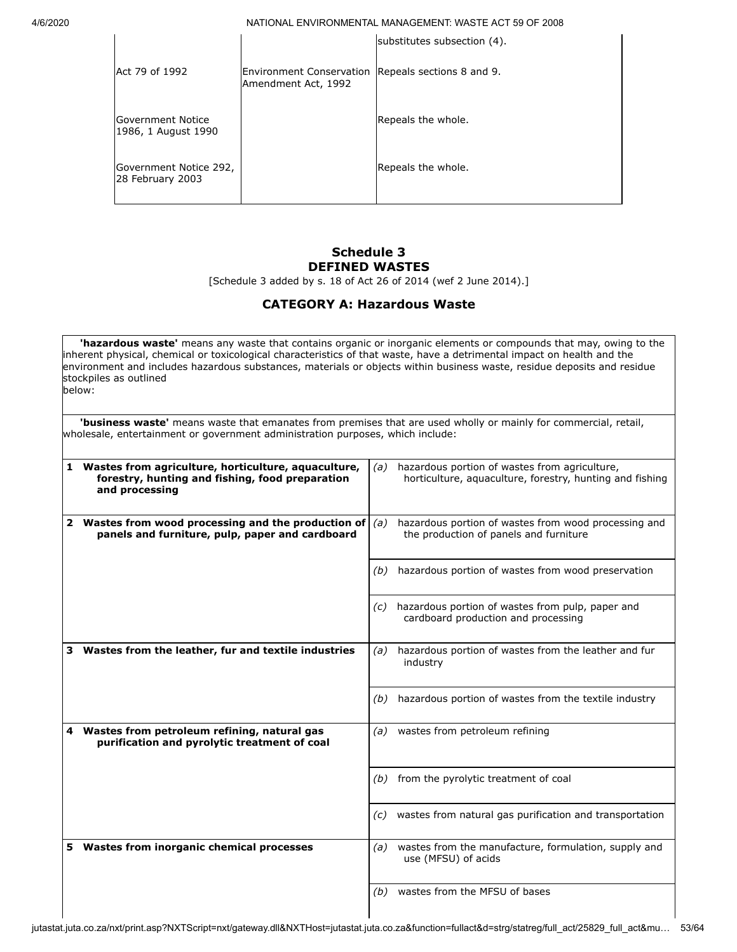|                                            |                                                                           | substitutes subsection (4). |
|--------------------------------------------|---------------------------------------------------------------------------|-----------------------------|
| Act 79 of 1992                             | Environment Conservation Repeals sections 8 and 9.<br>Amendment Act, 1992 |                             |
| Government Notice<br>1986, 1 August 1990   |                                                                           | Repeals the whole.          |
| Government Notice 292,<br>28 February 2003 |                                                                           | Repeals the whole.          |
|                                            |                                                                           |                             |

# **Schedule 3 DEFINED WASTES**

[Schedule 3 added by s. 18 of Act 26 of 2014 (wef 2 June 2014).]

# **CATEGORY A: Hazardous Waste**

**'hazardous waste'** means any waste that contains organic or inorganic elements or compounds that may, owing to the inherent physical, chemical or toxicological characteristics of that waste, have a detrimental impact on health and the environment and includes hazardous substances, materials or objects within business waste, residue deposits and residue stockpiles as outlined below:

**'business waste'** means waste that emanates from premises that are used wholly or mainly for commercial, retail, wholesale, entertainment or government administration purposes, which include:

|   | Wastes from agriculture, horticulture, aquaculture,<br>forestry, hunting and fishing, food preparation<br>and processing | (a) | hazardous portion of wastes from agriculture,<br>horticulture, aguaculture, forestry, hunting and fishing |
|---|--------------------------------------------------------------------------------------------------------------------------|-----|-----------------------------------------------------------------------------------------------------------|
|   | 2 Wastes from wood processing and the production of<br>panels and furniture, pulp, paper and cardboard                   | (a) | hazardous portion of wastes from wood processing and<br>the production of panels and furniture            |
|   |                                                                                                                          | (b) | hazardous portion of wastes from wood preservation                                                        |
|   |                                                                                                                          | (c) | hazardous portion of wastes from pulp, paper and<br>cardboard production and processing                   |
| 3 | Wastes from the leather, fur and textile industries                                                                      | (a) | hazardous portion of wastes from the leather and fur<br>industry                                          |
|   |                                                                                                                          | (b) | hazardous portion of wastes from the textile industry                                                     |
| 4 | Wastes from petroleum refining, natural gas<br>purification and pyrolytic treatment of coal                              | (a) | wastes from petroleum refining                                                                            |
|   |                                                                                                                          | (b) | from the pyrolytic treatment of coal                                                                      |
|   |                                                                                                                          | (c) | wastes from natural gas purification and transportation                                                   |
|   | 5 Wastes from inorganic chemical processes                                                                               | (a) | wastes from the manufacture, formulation, supply and<br>use (MFSU) of acids                               |
|   |                                                                                                                          | (b) | wastes from the MFSU of bases                                                                             |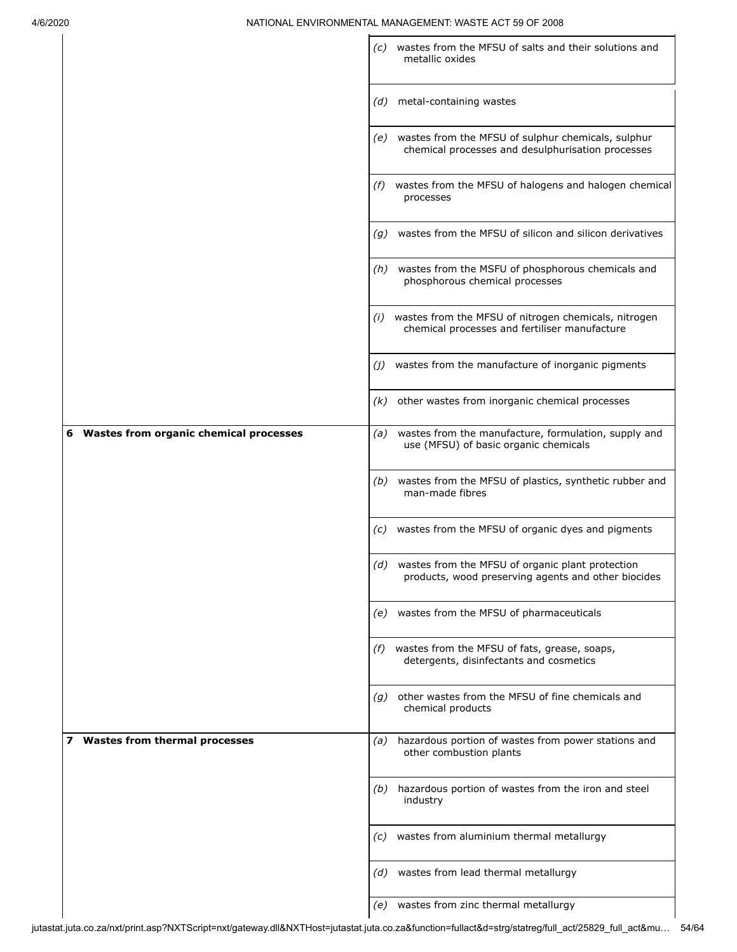|                                                    | wastes from the MFSU of salts and their solutions and<br>(C)<br>metallic oxides                                |
|----------------------------------------------------|----------------------------------------------------------------------------------------------------------------|
|                                                    | metal-containing wastes<br>(d)                                                                                 |
|                                                    | (e) wastes from the MFSU of sulphur chemicals, sulphur<br>chemical processes and desulphurisation processes    |
|                                                    | wastes from the MFSU of halogens and halogen chemical<br>(f)<br>processes                                      |
|                                                    | wastes from the MFSU of silicon and silicon derivatives<br>(g)                                                 |
|                                                    | (h) wastes from the MSFU of phosphorous chemicals and<br>phosphorous chemical processes                        |
|                                                    | wastes from the MFSU of nitrogen chemicals, nitrogen<br>(i)<br>chemical processes and fertiliser manufacture   |
|                                                    | wastes from the manufacture of inorganic pigments<br>(j)                                                       |
|                                                    | other wastes from inorganic chemical processes<br>(k)                                                          |
| <b>Wastes from organic chemical processes</b><br>6 | wastes from the manufacture, formulation, supply and<br>(a)<br>use (MFSU) of basic organic chemicals           |
|                                                    | wastes from the MFSU of plastics, synthetic rubber and<br>(b)<br>man-made fibres                               |
|                                                    | wastes from the MFSU of organic dyes and pigments<br>(C)                                                       |
|                                                    | wastes from the MFSU of organic plant protection<br>(d)<br>products, wood preserving agents and other biocides |
|                                                    | (e) wastes from the MFSU of pharmaceuticals                                                                    |
|                                                    | (f) wastes from the MFSU of fats, grease, soaps,<br>detergents, disinfectants and cosmetics                    |
|                                                    | other wastes from the MFSU of fine chemicals and<br>(q)<br>chemical products                                   |
| 7 Wastes from thermal processes                    | hazardous portion of wastes from power stations and<br>(a)<br>other combustion plants                          |
|                                                    | hazardous portion of wastes from the iron and steel<br>(b)<br>industry                                         |
|                                                    | (c) wastes from aluminium thermal metallurgy                                                                   |
|                                                    | (d) wastes from lead thermal metallurgy                                                                        |
|                                                    | wastes from zinc thermal metallurgy<br>(e)                                                                     |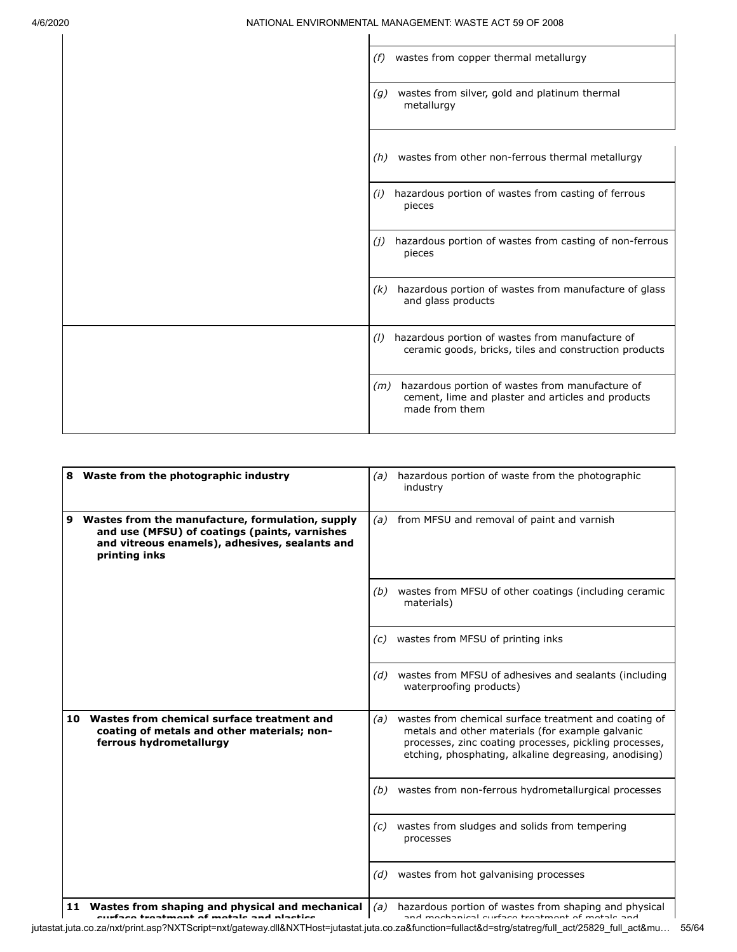| wastes from copper thermal metallurgy<br>(f)                                                                                  |
|-------------------------------------------------------------------------------------------------------------------------------|
| wastes from silver, gold and platinum thermal<br>(g)<br>metallurgy                                                            |
| wastes from other non-ferrous thermal metallurgy<br>(h)                                                                       |
| hazardous portion of wastes from casting of ferrous<br>(i)<br>pieces                                                          |
| hazardous portion of wastes from casting of non-ferrous<br>(j)<br>pieces                                                      |
| hazardous portion of wastes from manufacture of glass<br>(k)<br>and glass products                                            |
| hazardous portion of wastes from manufacture of<br>(1)<br>ceramic goods, bricks, tiles and construction products              |
| $(m)$ hazardous portion of wastes from manufacture of<br>cement, lime and plaster and articles and products<br>made from them |

| Waste from the photographic industry<br>8                                                                                                                                 | hazardous portion of waste from the photographic<br>(a)<br>industry                                                                                                                                                                 |
|---------------------------------------------------------------------------------------------------------------------------------------------------------------------------|-------------------------------------------------------------------------------------------------------------------------------------------------------------------------------------------------------------------------------------|
| Wastes from the manufacture, formulation, supply<br>9<br>and use (MFSU) of coatings (paints, varnishes<br>and vitreous enamels), adhesives, sealants and<br>printing inks | from MFSU and removal of paint and varnish<br>(a)                                                                                                                                                                                   |
|                                                                                                                                                                           | wastes from MFSU of other coatings (including ceramic<br>(b)<br>materials)                                                                                                                                                          |
|                                                                                                                                                                           | wastes from MFSU of printing inks<br>(c)                                                                                                                                                                                            |
|                                                                                                                                                                           | wastes from MFSU of adhesives and sealants (including<br>(d)<br>waterproofing products)                                                                                                                                             |
| Wastes from chemical surface treatment and<br>10<br>coating of metals and other materials; non-<br>ferrous hydrometallurgy                                                | wastes from chemical surface treatment and coating of<br>(a)<br>metals and other materials (for example galvanic<br>processes, zinc coating processes, pickling processes,<br>etching, phosphating, alkaline degreasing, anodising) |
|                                                                                                                                                                           | wastes from non-ferrous hydrometallurgical processes<br>(b)                                                                                                                                                                         |
|                                                                                                                                                                           | wastes from sludges and solids from tempering<br>(c)<br>processes                                                                                                                                                                   |
|                                                                                                                                                                           | wastes from hot galvanising processes<br>(d)                                                                                                                                                                                        |
| 11 Wastes from shaping and physical and mechanical                                                                                                                        | hazardous portion of wastes from shaping and physical<br>(a)                                                                                                                                                                        |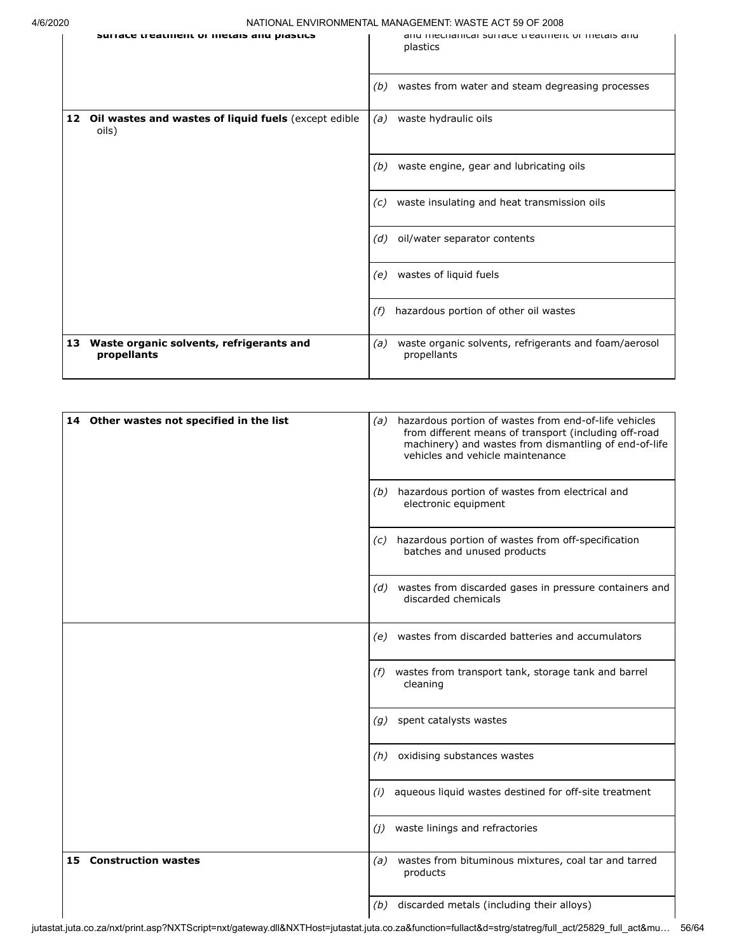$\overline{\phantom{a}}$ 

4/6/2020 NATIONAL ENVIRONMENTAL MANAGEMENT: WASTE ACT 59 OF 2008

| ∸∪ |                                                                  |     | <u>INATIONAL LIVYIINOININLIVIALINAINAULINLIVII. YVÄYTE AUT 33 OL 2000</u> |
|----|------------------------------------------------------------------|-----|---------------------------------------------------------------------------|
|    | Suriace treatment or metals and plastics                         |     | and methanital sunate treatment or metals and<br>plastics                 |
|    |                                                                  | (b) | wastes from water and steam degreasing processes                          |
|    | 12 Oil wastes and wastes of liquid fuels (except edible<br>oils) | (a) | waste hydraulic oils                                                      |
|    |                                                                  | (b) | waste engine, gear and lubricating oils                                   |
|    |                                                                  | (c) | waste insulating and heat transmission oils                               |
|    |                                                                  | (d) | oil/water separator contents                                              |
|    |                                                                  | (e) | wastes of liquid fuels                                                    |
|    |                                                                  | (f) | hazardous portion of other oil wastes                                     |
| 13 | Waste organic solvents, refrigerants and<br>propellants          | (a) | waste organic solvents, refrigerants and foam/aerosol<br>propellants      |

| 14 Other wastes not specified in the list | (a) hazardous portion of wastes from end-of-life vehicles<br>from different means of transport (including off-road<br>machinery) and wastes from dismantling of end-of-life<br>vehicles and vehicle maintenance |
|-------------------------------------------|-----------------------------------------------------------------------------------------------------------------------------------------------------------------------------------------------------------------|
|                                           | hazardous portion of wastes from electrical and<br>(b)<br>electronic equipment                                                                                                                                  |
|                                           | hazardous portion of wastes from off-specification<br>(c)<br>batches and unused products                                                                                                                        |
|                                           | (d) wastes from discarded gases in pressure containers and<br>discarded chemicals                                                                                                                               |
|                                           | wastes from discarded batteries and accumulators<br>(e)                                                                                                                                                         |
|                                           | wastes from transport tank, storage tank and barrel<br>(f)<br>cleaning                                                                                                                                          |
|                                           | spent catalysts wastes<br>(g)                                                                                                                                                                                   |
|                                           | (h) oxidising substances wastes                                                                                                                                                                                 |
|                                           | aqueous liquid wastes destined for off-site treatment<br>(i)                                                                                                                                                    |
|                                           | waste linings and refractories<br>(i)                                                                                                                                                                           |
| <b>Construction wastes</b><br>15.         | wastes from bituminous mixtures, coal tar and tarred<br>(a)<br>products                                                                                                                                         |
|                                           | discarded metals (including their alloys)<br>(b)                                                                                                                                                                |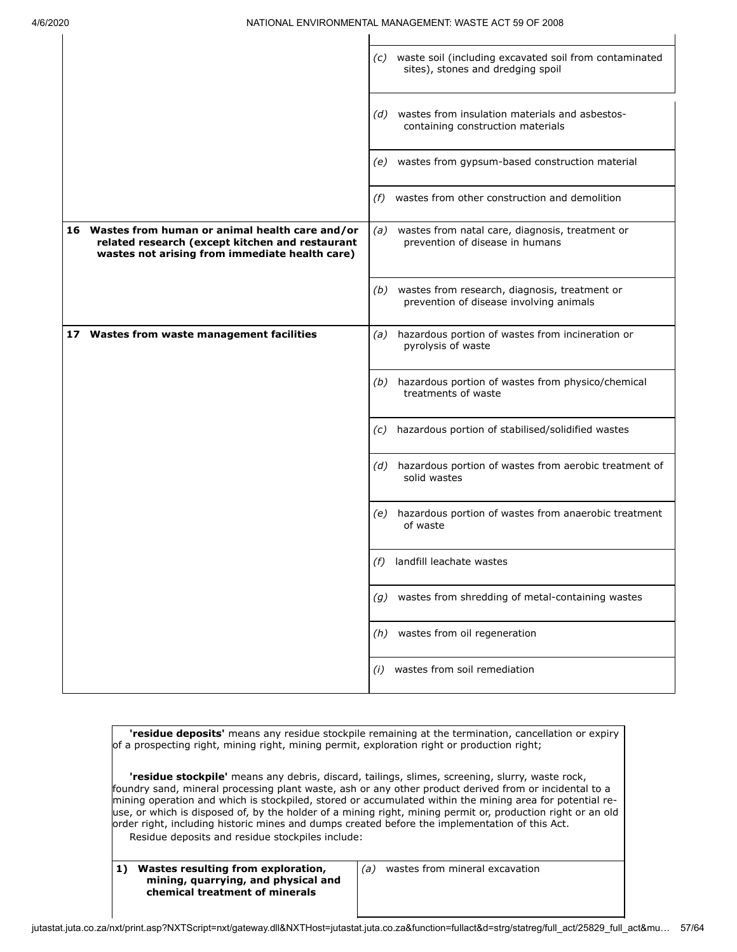$\mathbf{I}$ 

 $\mathbf{I}$ 

 $\overline{1}$ 

|                                                                                                                                                        | (c) waste soil (including excavated soil from contaminated<br>sites), stones and dredging spoil |
|--------------------------------------------------------------------------------------------------------------------------------------------------------|-------------------------------------------------------------------------------------------------|
|                                                                                                                                                        | wastes from insulation materials and asbestos-<br>(d)<br>containing construction materials      |
|                                                                                                                                                        | wastes from gypsum-based construction material<br>(e)                                           |
|                                                                                                                                                        | wastes from other construction and demolition<br>(f)                                            |
| 16 Wastes from human or animal health care and/or<br>related research (except kitchen and restaurant<br>wastes not arising from immediate health care) | (a) wastes from natal care, diagnosis, treatment or<br>prevention of disease in humans          |
|                                                                                                                                                        | (b) wastes from research, diagnosis, treatment or<br>prevention of disease involving animals    |
| 17 Wastes from waste management facilities                                                                                                             | hazardous portion of wastes from incineration or<br>(a)<br>pyrolysis of waste                   |
|                                                                                                                                                        | hazardous portion of wastes from physico/chemical<br>(b)<br>treatments of waste                 |
|                                                                                                                                                        | hazardous portion of stabilised/solidified wastes<br>(C)                                        |
|                                                                                                                                                        | (d) hazardous portion of wastes from aerobic treatment of<br>solid wastes                       |
|                                                                                                                                                        | hazardous portion of wastes from anaerobic treatment<br>(e)<br>of waste                         |
|                                                                                                                                                        | landfill leachate wastes<br>(f)                                                                 |
|                                                                                                                                                        | wastes from shredding of metal-containing wastes<br>(g)                                         |
|                                                                                                                                                        | wastes from oil regeneration<br>(h)                                                             |
|                                                                                                                                                        | wastes from soil remediation<br>(i)                                                             |

**'residue deposits'** means any residue stockpile remaining at the termination, cancellation or expiry of a prospecting right, mining right, mining permit, exploration right or production right;

**'residue stockpile'** means any debris, discard, tailings, slimes, screening, slurry, waste rock, foundry sand, mineral processing plant waste, ash or any other product derived from or incidental to a mining operation and which is stockpiled, stored or accumulated within the mining area for potential reuse, or which is disposed of, by the holder of a mining right, mining permit or, production right or an old order right, including historic mines and dumps created before the implementation of this Act. Residue deposits and residue stockpiles include:

**1) Wastes resulting from exploration, mining, quarrying, and physical and chemical treatment of minerals**

*(a)* wastes from mineral excavation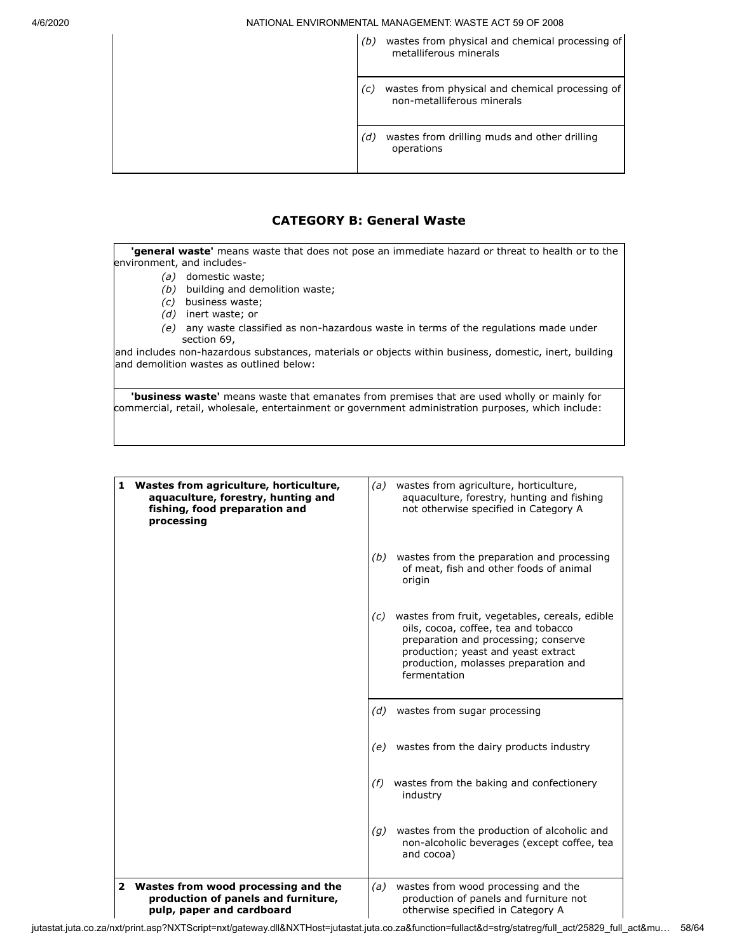| (b) wastes from physical and chemical processing of |  |  |  |  |
|-----------------------------------------------------|--|--|--|--|
| metalliferous minerals                              |  |  |  |  |

*(c)* wastes from physical and chemical processing of non-metalliferous minerals

*(d)* wastes from drilling muds and other drilling operations

## **CATEGORY B: General Waste**

**'general waste'** means waste that does not pose an immediate hazard or threat to health or to the environment, and includes-

- *(a)* domestic waste;
- *(b)* building and demolition waste;
- *(c)* business waste;
- *(d)* inert waste; or
- *(e)* any waste classified as non-hazardous waste in terms of the regulations made under section 69,

and includes non-hazardous substances, materials or objects within business, domestic, inert, building and demolition wastes as outlined below:

**'business waste'** means waste that emanates from premises that are used wholly or mainly for commercial, retail, wholesale, entertainment or government administration purposes, which include:

| 1 | Wastes from agriculture, horticulture,<br>aquaculture, forestry, hunting and<br>fishing, food preparation and<br>processing | (a) | wastes from agriculture, horticulture,<br>aguaculture, forestry, hunting and fishing<br>not otherwise specified in Category A                                                                                                 |
|---|-----------------------------------------------------------------------------------------------------------------------------|-----|-------------------------------------------------------------------------------------------------------------------------------------------------------------------------------------------------------------------------------|
|   |                                                                                                                             | (b) | wastes from the preparation and processing<br>of meat, fish and other foods of animal<br>origin                                                                                                                               |
|   |                                                                                                                             | (c) | wastes from fruit, vegetables, cereals, edible<br>oils, cocoa, coffee, tea and tobacco<br>preparation and processing; conserve<br>production; yeast and yeast extract<br>production, molasses preparation and<br>fermentation |
|   |                                                                                                                             |     | $(d)$ wastes from sugar processing                                                                                                                                                                                            |
|   |                                                                                                                             |     | (e) wastes from the dairy products industry                                                                                                                                                                                   |
|   |                                                                                                                             | (f) | wastes from the baking and confectionery<br>industry                                                                                                                                                                          |
|   |                                                                                                                             | (q) | wastes from the production of alcoholic and<br>non-alcoholic beverages (except coffee, tea<br>and cocoa)                                                                                                                      |
|   | 2 Wastes from wood processing and the<br>production of panels and furniture,<br>pulp, paper and cardboard                   | (a) | wastes from wood processing and the<br>production of panels and furniture not<br>otherwise specified in Category A                                                                                                            |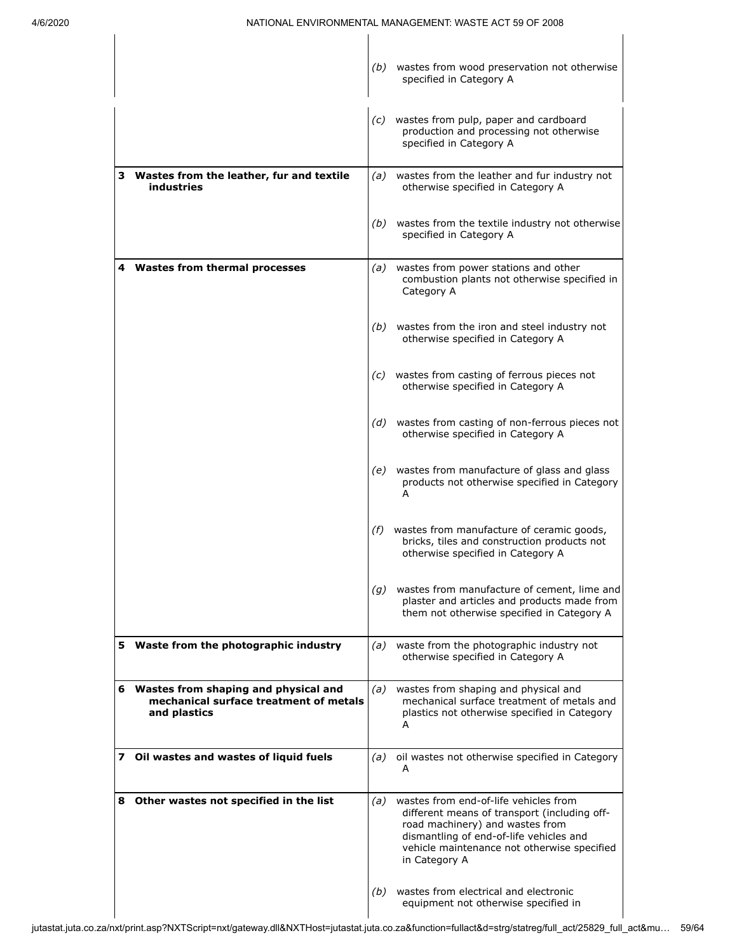|    |                                                                                                |     | (b) wastes from wood preservation not otherwise<br>specified in Category A                                                                                                                                                          |
|----|------------------------------------------------------------------------------------------------|-----|-------------------------------------------------------------------------------------------------------------------------------------------------------------------------------------------------------------------------------------|
|    |                                                                                                |     |                                                                                                                                                                                                                                     |
|    |                                                                                                |     | (c) wastes from pulp, paper and cardboard<br>production and processing not otherwise<br>specified in Category A                                                                                                                     |
|    | 3 Wastes from the leather, fur and textile<br><b>industries</b>                                |     | (a) wastes from the leather and fur industry not<br>otherwise specified in Category A                                                                                                                                               |
|    |                                                                                                |     | (b) wastes from the textile industry not otherwise<br>specified in Category A                                                                                                                                                       |
|    | 4 Wastes from thermal processes                                                                | (a) | wastes from power stations and other<br>combustion plants not otherwise specified in<br>Category A                                                                                                                                  |
|    |                                                                                                |     | (b) wastes from the iron and steel industry not<br>otherwise specified in Category A                                                                                                                                                |
|    |                                                                                                |     | (c) wastes from casting of ferrous pieces not<br>otherwise specified in Category A                                                                                                                                                  |
|    |                                                                                                | (d) | wastes from casting of non-ferrous pieces not<br>otherwise specified in Category A                                                                                                                                                  |
|    |                                                                                                | (e) | wastes from manufacture of glass and glass<br>products not otherwise specified in Category<br>А                                                                                                                                     |
|    |                                                                                                | (f) | wastes from manufacture of ceramic goods,<br>bricks, tiles and construction products not<br>otherwise specified in Category A                                                                                                       |
|    |                                                                                                | (g) | wastes from manufacture of cement, lime and<br>plaster and articles and products made from<br>them not otherwise specified in Category A                                                                                            |
|    | 5 Waste from the photographic industry                                                         | (a) | waste from the photographic industry not<br>otherwise specified in Category A                                                                                                                                                       |
| 6. | Wastes from shaping and physical and<br>mechanical surface treatment of metals<br>and plastics | (a) | wastes from shaping and physical and<br>mechanical surface treatment of metals and<br>plastics not otherwise specified in Category<br>A                                                                                             |
|    | 7 Oil wastes and wastes of liquid fuels                                                        | (a) | oil wastes not otherwise specified in Category<br>А                                                                                                                                                                                 |
|    | 8 Other wastes not specified in the list                                                       | (a) | wastes from end-of-life vehicles from<br>different means of transport (including off-<br>road machinery) and wastes from<br>dismantling of end-of-life vehicles and<br>vehicle maintenance not otherwise specified<br>in Category A |
|    |                                                                                                | (b) | wastes from electrical and electronic<br>equipment not otherwise specified in                                                                                                                                                       |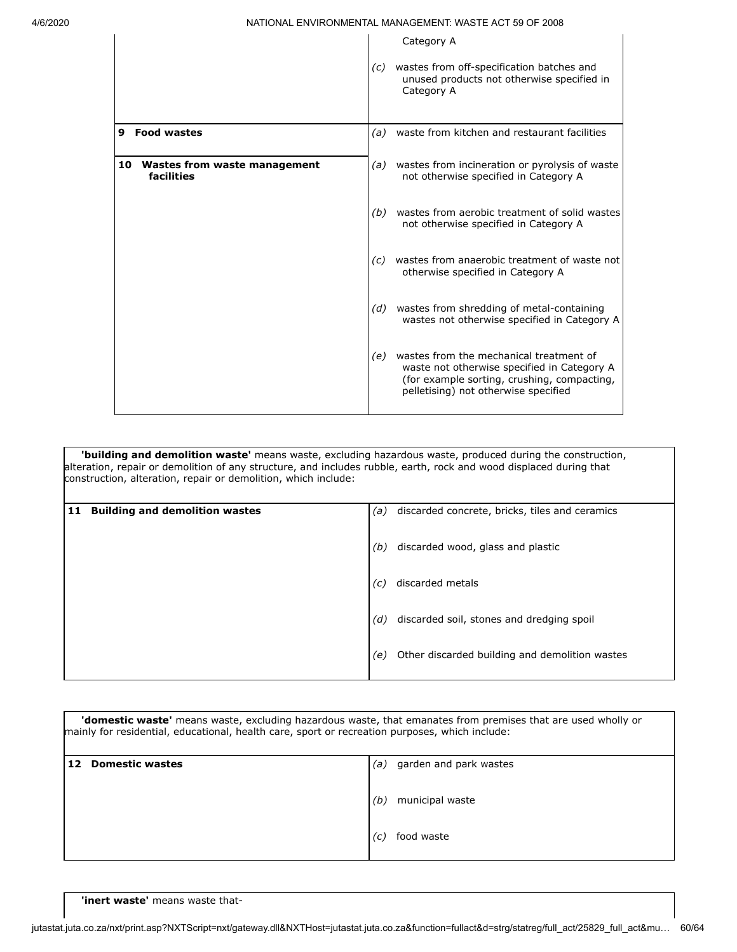|                                               |                   | Category A                                                                                                                                                                    |
|-----------------------------------------------|-------------------|-------------------------------------------------------------------------------------------------------------------------------------------------------------------------------|
|                                               | $\left( c\right)$ | wastes from off-specification batches and<br>unused products not otherwise specified in<br>Category A                                                                         |
| <b>Food wastes</b><br>9                       | (a)               | waste from kitchen and restaurant facilities                                                                                                                                  |
| 10 Wastes from waste management<br>facilities |                   | (a) wastes from incineration or pyrolysis of waste<br>not otherwise specified in Category A                                                                                   |
|                                               | (b)               | wastes from aerobic treatment of solid wastes<br>not otherwise specified in Category A                                                                                        |
|                                               | (c)               | wastes from anaerobic treatment of waste not<br>otherwise specified in Category A                                                                                             |
|                                               | (d)               | wastes from shredding of metal-containing<br>wastes not otherwise specified in Category A                                                                                     |
|                                               | (e)               | wastes from the mechanical treatment of<br>waste not otherwise specified in Category A<br>(for example sorting, crushing, compacting,<br>pelletising) not otherwise specified |

**'building and demolition waste'** means waste, excluding hazardous waste, produced during the construction, alteration, repair or demolition of any structure, and includes rubble, earth, rock and wood displaced during that construction, alteration, repair or demolition, which include:

| 11 | <b>Building and demolition wastes</b> | (a) | discarded concrete, bricks, tiles and ceramics |
|----|---------------------------------------|-----|------------------------------------------------|
|    |                                       | (b) | discarded wood, glass and plastic              |
|    |                                       | (c) | discarded metals                               |
|    |                                       | (d) | discarded soil, stones and dredging spoil      |
|    |                                       | (e) | Other discarded building and demolition wastes |

| <b>'domestic waste'</b> means waste, excluding hazardous waste, that emanates from premises that are used wholly or<br>mainly for residential, educational, health care, sport or recreation purposes, which include: |                                                                             |  |  |
|-----------------------------------------------------------------------------------------------------------------------------------------------------------------------------------------------------------------------|-----------------------------------------------------------------------------|--|--|
| <b>Domestic wastes</b>                                                                                                                                                                                                | garden and park wastes<br>(a)<br>municipal waste<br>(b.<br>food waste<br>(C |  |  |

**'inert waste'** means waste that-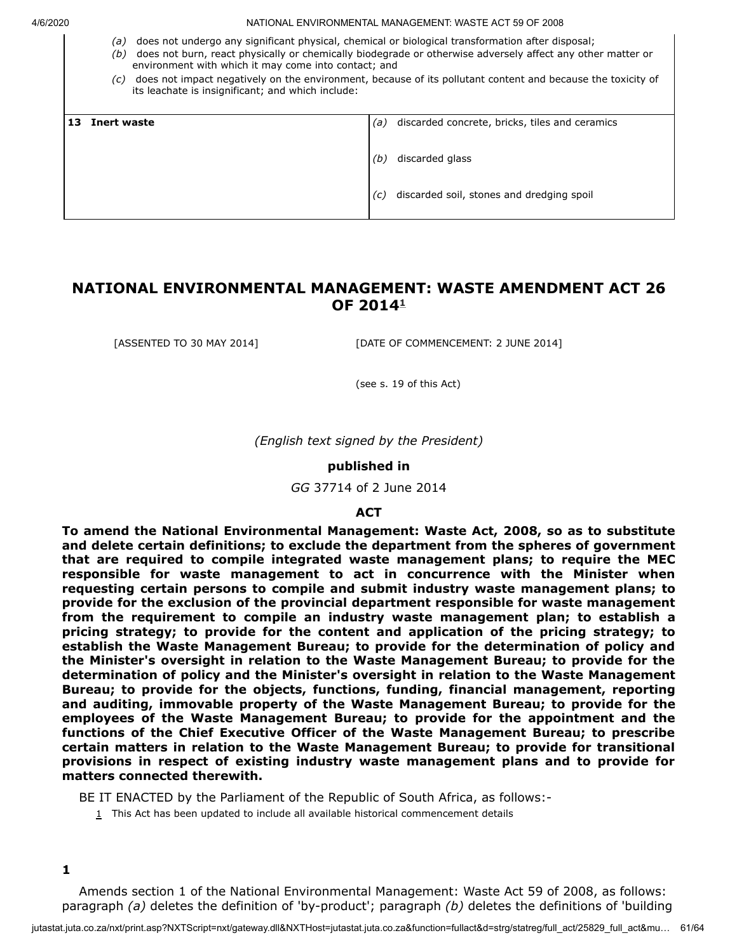- *(a)* does not undergo any significant physical, chemical or biological transformation after disposal;
- *(b)* does not burn, react physically or chemically biodegrade or otherwise adversely affect any other matter or environment with which it may come into contact; and
- *(c)* does not impact negatively on the environment, because of its pollutant content and because the toxicity of its leachate is insignificant; and which include:

| 13 | <b>Inert waste</b> | (a)        | discarded concrete, bricks, tiles and ceramics               |
|----|--------------------|------------|--------------------------------------------------------------|
|    |                    | (b)<br>(c) | discarded glass<br>discarded soil, stones and dredging spoil |
|    |                    |            |                                                              |

# **NATIONAL ENVIRONMENTAL MANAGEMENT: WASTE AMENDMENT ACT 26 OF 2014 [1](#page-60-0)**

[ASSENTED TO 30 MAY 2014] [DATE OF COMMENCEMENT: 2 JUNE 2014]

(see s. 19 of this Act)

*(English text signed by the President)*

#### **published in**

*GG* 37714 of 2 June 2014

#### **ACT**

**To amend the National Environmental Management: Waste Act, 2008, so as to substitute and delete certain definitions; to exclude the department from the spheres of government that are required to compile integrated waste management plans; to require the MEC responsible for waste management to act in concurrence with the Minister when requesting certain persons to compile and submit industry waste management plans; to provide for the exclusion of the provincial department responsible for waste management from the requirement to compile an industry waste management plan; to establish a pricing strategy; to provide for the content and application of the pricing strategy; to establish the Waste Management Bureau; to provide for the determination of policy and the Minister's oversight in relation to the Waste Management Bureau; to provide for the determination of policy and the Minister's oversight in relation to the Waste Management Bureau; to provide for the objects, functions, funding, financial management, reporting and auditing, immovable property of the Waste Management Bureau; to provide for the employees of the Waste Management Bureau; to provide for the appointment and the functions of the Chief Executive Officer of the Waste Management Bureau; to prescribe certain matters in relation to the Waste Management Bureau; to provide for transitional provisions in respect of existing industry waste management plans and to provide for matters connected therewith.**

<span id="page-60-0"></span>BE IT ENACTED by the Parliament of the Republic of South Africa, as follows:-

 $1$  This Act has been updated to include all available historical commencement details

Amends section 1 of the National Environmental Management: Waste Act 59 of 2008, as follows: paragraph *(a)* deletes the definition of 'by-product'; paragraph *(b)* deletes the definitions of 'building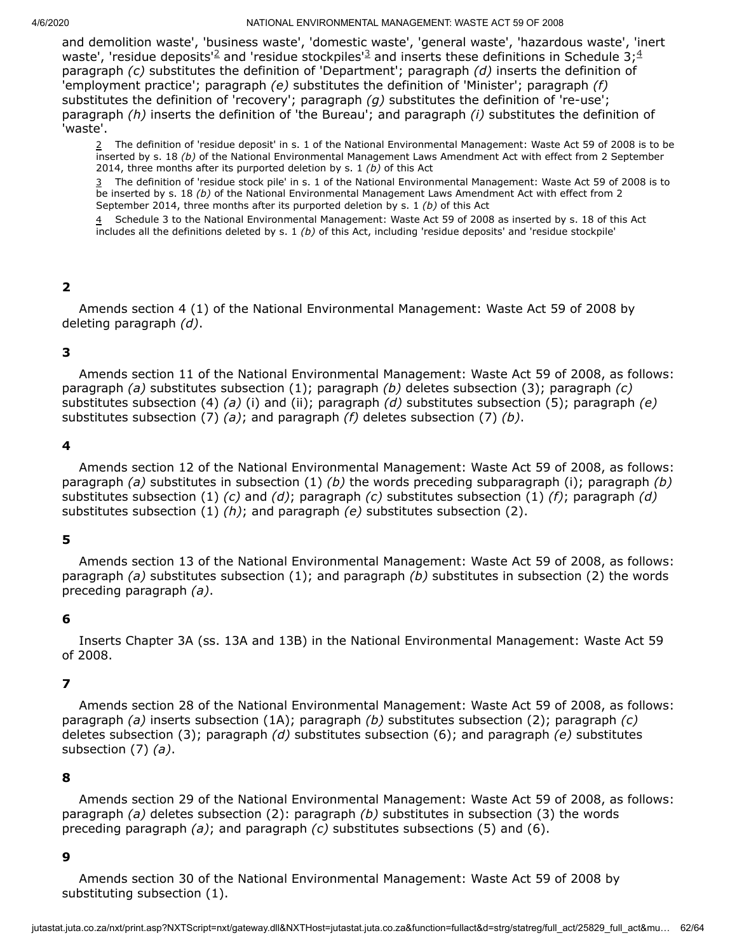and demolition waste', 'business waste', 'domestic waste', 'general waste', 'hazardous waste', 'inert waste', 'residue deposits'<sup>[2](#page-61-0)</sup> and 'residue stockpiles'<sup>[3](#page-61-1)</sup> and inserts these definitions in Schedule 3;<sup>[4](#page-61-2)</sup> paragraph *(c)* substitutes the definition of 'Department'; paragraph *(d)* inserts the definition of 'employment practice'; paragraph *(e)* substitutes the definition of 'Minister'; paragraph *(f)* substitutes the definition of 'recovery'; paragraph *(g)* substitutes the definition of 're-use'; paragraph *(h)* inserts the definition of 'the Bureau'; and paragraph *(i)* substitutes the definition of 'waste'.

<span id="page-61-0"></span>2 The definition of 'residue deposit' in s. 1 of the National Environmental Management: Waste Act 59 of 2008 is to be inserted by s. 18 *(b)* of the National Environmental Management Laws Amendment Act with effect from 2 September 2014, three months after its purported deletion by s. 1 *(b)* of this Act

<span id="page-61-1"></span>3 The definition of 'residue stock pile' in s. 1 of the National Environmental Management: Waste Act 59 of 2008 is to be inserted by s. 18 *(b)* of the National Environmental Management Laws Amendment Act with effect from 2 September 2014, three months after its purported deletion by s. 1 *(b)* of this Act

<span id="page-61-2"></span>4 Schedule 3 to the National Environmental Management: Waste Act 59 of 2008 as inserted by s. 18 of this Act includes all the definitions deleted by s. 1 *(b)* of this Act, including 'residue deposits' and 'residue stockpile'

# **2**

Amends section 4 (1) of the National Environmental Management: Waste Act 59 of 2008 by deleting paragraph *(d)*.

## **3**

Amends section 11 of the National Environmental Management: Waste Act 59 of 2008, as follows: paragraph *(a)* substitutes subsection (1); paragraph *(b)* deletes subsection (3); paragraph *(c)* substitutes subsection (4) *(a)* (i) and (ii); paragraph *(d)* substitutes subsection (5); paragraph *(e)* substitutes subsection (7) *(a)*; and paragraph *(f)* deletes subsection (7) *(b)*.

## **4**

Amends section 12 of the National Environmental Management: Waste Act 59 of 2008, as follows: paragraph *(a)* substitutes in subsection (1) *(b)* the words preceding subparagraph (i); paragraph *(b)* substitutes subsection (1) *(c)* and *(d)*; paragraph *(c)* substitutes subsection (1) *(f)*; paragraph *(d)* substitutes subsection (1) *(h)*; and paragraph *(e)* substitutes subsection (2).

## **5**

Amends section 13 of the National Environmental Management: Waste Act 59 of 2008, as follows: paragraph *(a)* substitutes subsection (1); and paragraph *(b)* substitutes in subsection (2) the words preceding paragraph *(a)*.

## **6**

Inserts Chapter 3A (ss. 13A and 13B) in the National Environmental Management: Waste Act 59 of 2008.

## **7**

Amends section 28 of the National Environmental Management: Waste Act 59 of 2008, as follows: paragraph *(a)* inserts subsection (1A); paragraph *(b)* substitutes subsection (2); paragraph *(c)* deletes subsection (3); paragraph *(d)* substitutes subsection (6); and paragraph *(e)* substitutes subsection (7) *(a)*.

## **8**

Amends section 29 of the National Environmental Management: Waste Act 59 of 2008, as follows: paragraph *(a)* deletes subsection (2): paragraph *(b)* substitutes in subsection (3) the words preceding paragraph *(a)*; and paragraph *(c)* substitutes subsections (5) and (6).

## **9**

Amends section 30 of the National Environmental Management: Waste Act 59 of 2008 by substituting subsection (1).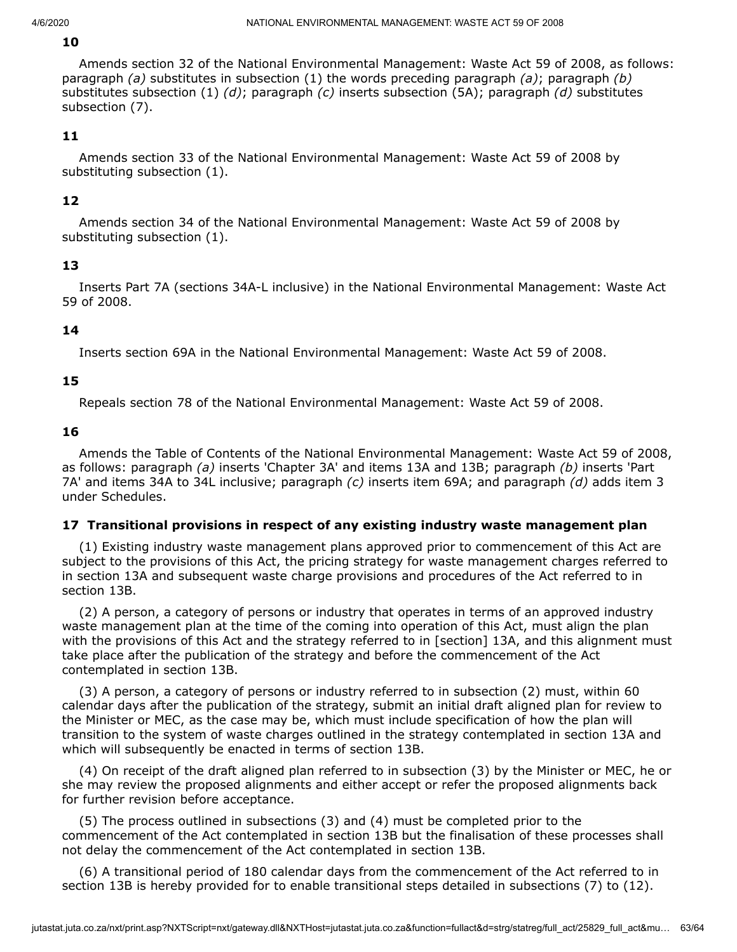# **10**

Amends section 32 of the National Environmental Management: Waste Act 59 of 2008, as follows: paragraph *(a)* substitutes in subsection (1) the words preceding paragraph *(a)*; paragraph *(b)* substitutes subsection (1) *(d)*; paragraph *(c)* inserts subsection (5A); paragraph *(d)* substitutes subsection (7).

# **11**

Amends section 33 of the National Environmental Management: Waste Act 59 of 2008 by substituting subsection (1).

# **12**

Amends section 34 of the National Environmental Management: Waste Act 59 of 2008 by substituting subsection (1).

# **13**

Inserts Part 7A (sections 34A-L inclusive) in the National Environmental Management: Waste Act 59 of 2008.

# **14**

Inserts section 69A in the National Environmental Management: Waste Act 59 of 2008.

# **15**

Repeals section 78 of the National Environmental Management: Waste Act 59 of 2008.

## **16**

Amends the Table of Contents of the National Environmental Management: Waste Act 59 of 2008, as follows: paragraph *(a)* inserts 'Chapter 3A' and items 13A and 13B; paragraph *(b)* inserts 'Part 7A' and items 34A to 34L inclusive; paragraph *(c)* inserts item 69A; and paragraph *(d)* adds item 3 under Schedules.

## **17 Transitional provisions in respect of any existing industry waste management plan**

(1) Existing industry waste management plans approved prior to commencement of this Act are subject to the provisions of this Act, the pricing strategy for waste management charges referred to in section 13A and subsequent waste charge provisions and procedures of the Act referred to in section 13B.

(2) A person, a category of persons or industry that operates in terms of an approved industry waste management plan at the time of the coming into operation of this Act, must align the plan with the provisions of this Act and the strategy referred to in [section] 13A, and this alignment must take place after the publication of the strategy and before the commencement of the Act contemplated in section 13B.

(3) A person, a category of persons or industry referred to in subsection (2) must, within 60 calendar days after the publication of the strategy, submit an initial draft aligned plan for review to the Minister or MEC, as the case may be, which must include specification of how the plan will transition to the system of waste charges outlined in the strategy contemplated in section 13A and which will subsequently be enacted in terms of section 13B.

(4) On receipt of the draft aligned plan referred to in subsection (3) by the Minister or MEC, he or she may review the proposed alignments and either accept or refer the proposed alignments back for further revision before acceptance.

(5) The process outlined in subsections (3) and (4) must be completed prior to the commencement of the Act contemplated in section 13B but the finalisation of these processes shall not delay the commencement of the Act contemplated in section 13B.

(6) A transitional period of 180 calendar days from the commencement of the Act referred to in section 13B is hereby provided for to enable transitional steps detailed in subsections (7) to (12).